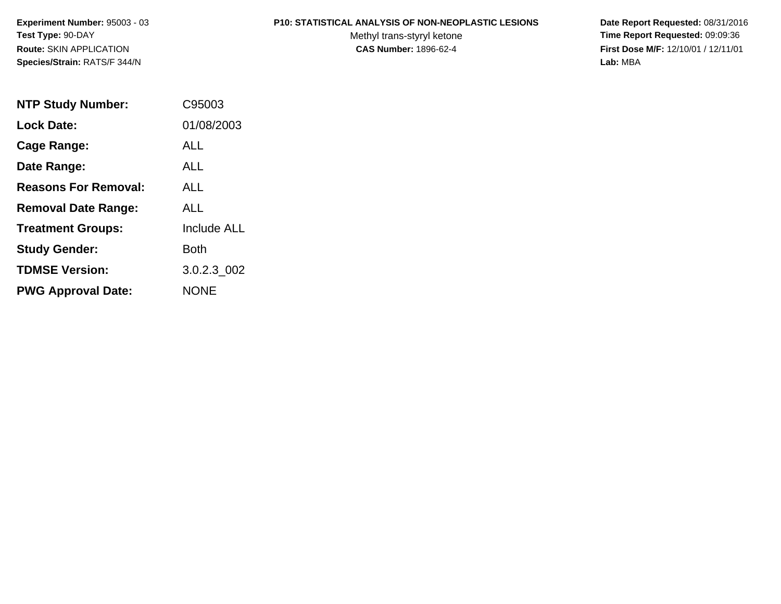**Experiment Number:** 95003 - 03**Test Type:** 90-DAY**Route:** SKIN APPLICATION**Species/Strain:** RATS/F 344/N

#### **P10: STATISTICAL ANALYSIS OF NON-NEOPLASTIC LESIONS**

Methyl trans-styryl ketone<br>CAS Number: 1896-62-4

 **Date Report Requested:** 08/31/2016 **Time Report Requested:** 09:09:36 **First Dose M/F:** 12/10/01 / 12/11/01<br>Lab: MBA **Lab:** MBA

| <b>NTP Study Number:</b>    | C95003             |
|-----------------------------|--------------------|
| <b>Lock Date:</b>           | 01/08/2003         |
| Cage Range:                 | ALL                |
| Date Range:                 | AI I               |
| <b>Reasons For Removal:</b> | <b>ALL</b>         |
| <b>Removal Date Range:</b>  | ALL                |
| <b>Treatment Groups:</b>    | <b>Include ALL</b> |
| <b>Study Gender:</b>        | Both               |
| <b>TDMSE Version:</b>       | 3.0.2.3 002        |
| <b>PWG Approval Date:</b>   | <b>NONE</b>        |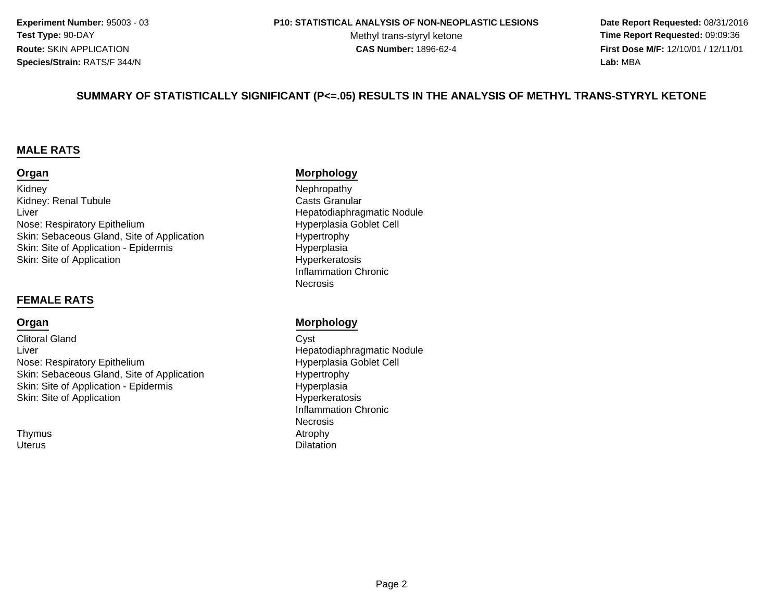**Experiment Number:** 95003 - 03**Test Type:** 90-DAY**Route:** SKIN APPLICATION**Species/Strain:** RATS/F 344/N

#### **P10: STATISTICAL ANALYSIS OF NON-NEOPLASTIC LESIONS**

Methyl trans-styryl ketone<br>CAS Number: 1896-62-4

 **Date Report Requested:** 08/31/2016 **Time Report Requested:** 09:09:36 **First Dose M/F:** 12/10/01 / 12/11/01<br>**Lab:** MBA **Lab:** MBA

#### **SUMMARY OF STATISTICALLY SIGNIFICANT (P<=.05) RESULTS IN THE ANALYSIS OF METHYL TRANS-STYRYL KETONE**

#### **MALE RATS**

#### **Organ**

KidneyKidney: Renal TubuleLiverNose: Respiratory EpitheliumSkin: Sebaceous Gland, Site of ApplicationSkin: Site of Application - Epidermisn Byperkeratosis Skin: Site of Application

#### **FEMALE RATS**

#### **Organ**

Clitoral Glandd Cyst LiverNose: Respiratory EpitheliumSkin: Sebaceous Gland, Site of ApplicationSkin: Site of Application - Epidermis Hyperkeratosis Skin: Site of Application

**Thymus Uterus** 

#### **Morphology**

 Nephropathy Casts Granular Hepatodiaphragmatic Nodule Hyperplasia Goblet Cell Hypertrophy HyperplasiaInflammation Chronic**Necrosis** 

#### **Morphology**

 Hepatodiaphragmatic Nodule Hyperplasia Goblet Cell Hypertrophy HyperplasiaInflammation ChronicNecrosisAtrophy s and the contract of the contract of the contract of  $\lambda$  and  $\lambda$  and  $\lambda$  and  $\lambda$  and  $\lambda$  and  $\lambda$  and  $\lambda$  and  $\lambda$  and  $\lambda$  and  $\lambda$  and  $\lambda$  and  $\lambda$  and  $\lambda$  and  $\lambda$  and  $\lambda$  and  $\lambda$  and  $\lambda$  and  $\lambda$  and  $\lambda$  a s Dilatation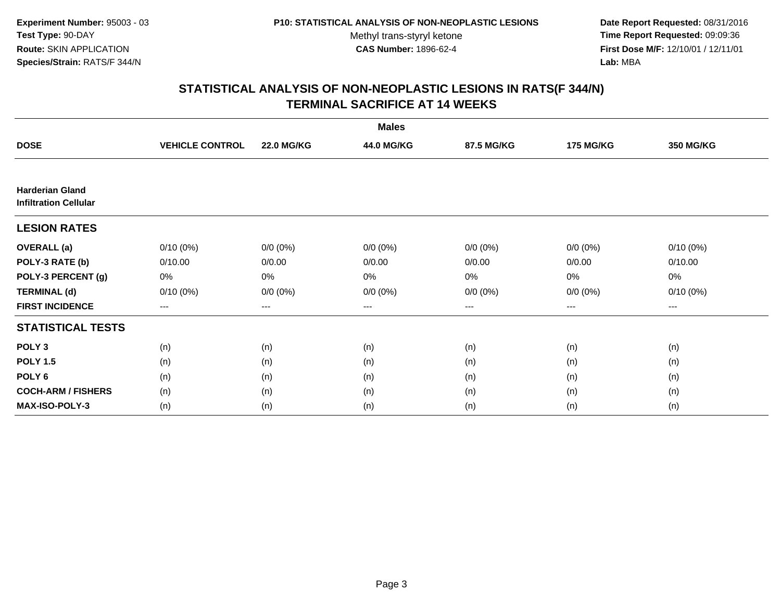**Date Report Requested:** 08/31/2016 **Time Report Requested:** 09:09:36 **First Dose M/F:** 12/10/01 / 12/11/01<br>**Lab:** MBA **Lab:** MBA

|                                                        |                        |                   | <b>Males</b> |             |                  |                  |
|--------------------------------------------------------|------------------------|-------------------|--------------|-------------|------------------|------------------|
| <b>DOSE</b>                                            | <b>VEHICLE CONTROL</b> | <b>22.0 MG/KG</b> | 44.0 MG/KG   | 87.5 MG/KG  | <b>175 MG/KG</b> | <b>350 MG/KG</b> |
|                                                        |                        |                   |              |             |                  |                  |
| <b>Harderian Gland</b><br><b>Infiltration Cellular</b> |                        |                   |              |             |                  |                  |
| <b>LESION RATES</b>                                    |                        |                   |              |             |                  |                  |
| <b>OVERALL</b> (a)                                     | $0/10(0\%)$            | $0/0 (0\%)$       | $0/0 (0\%)$  | $0/0 (0\%)$ | $0/0 (0\%)$      | $0/10(0\%)$      |
| POLY-3 RATE (b)                                        | 0/10.00                | 0/0.00            | 0/0.00       | 0/0.00      | 0/0.00           | 0/10.00          |
| POLY-3 PERCENT (g)                                     | 0%                     | 0%                | 0%           | 0%          | 0%               | 0%               |
| <b>TERMINAL (d)</b>                                    | $0/10(0\%)$            | $0/0 (0\%)$       | $0/0 (0\%)$  | $0/0 (0\%)$ | $0/0 (0\%)$      | $0/10(0\%)$      |
| <b>FIRST INCIDENCE</b>                                 | $\qquad \qquad -$      | $\qquad \qquad -$ | $---$        | ---         | $---$            | ---              |
| <b>STATISTICAL TESTS</b>                               |                        |                   |              |             |                  |                  |
| POLY <sub>3</sub>                                      | (n)                    | (n)               | (n)          | (n)         | (n)              | (n)              |
| <b>POLY 1.5</b>                                        | (n)                    | (n)               | (n)          | (n)         | (n)              | (n)              |
| POLY <sub>6</sub>                                      | (n)                    | (n)               | (n)          | (n)         | (n)              | (n)              |
| <b>COCH-ARM / FISHERS</b>                              | (n)                    | (n)               | (n)          | (n)         | (n)              | (n)              |
| <b>MAX-ISO-POLY-3</b>                                  | (n)                    | (n)               | (n)          | (n)         | (n)              | (n)              |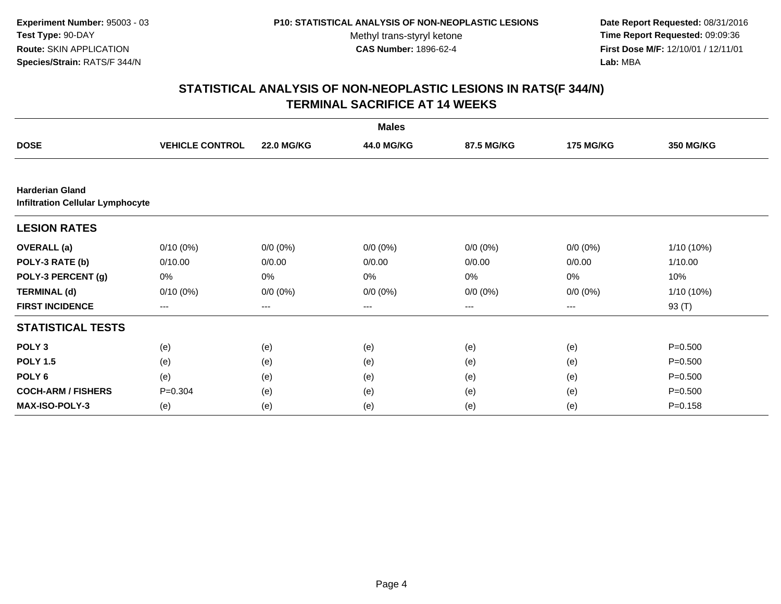**Date Report Requested:** 08/31/2016 **Time Report Requested:** 09:09:36 **First Dose M/F:** 12/10/01 / 12/11/01<br>**Lab:** MBA **Lab:** MBA

|                                                                   |                        |                   | <b>Males</b> |             |                  |                  |
|-------------------------------------------------------------------|------------------------|-------------------|--------------|-------------|------------------|------------------|
| <b>DOSE</b>                                                       | <b>VEHICLE CONTROL</b> | <b>22.0 MG/KG</b> | 44.0 MG/KG   | 87.5 MG/KG  | <b>175 MG/KG</b> | <b>350 MG/KG</b> |
|                                                                   |                        |                   |              |             |                  |                  |
| <b>Harderian Gland</b><br><b>Infiltration Cellular Lymphocyte</b> |                        |                   |              |             |                  |                  |
| <b>LESION RATES</b>                                               |                        |                   |              |             |                  |                  |
| <b>OVERALL</b> (a)                                                | $0/10(0\%)$            | $0/0 (0\%)$       | $0/0 (0\%)$  | $0/0 (0\%)$ | $0/0 (0\%)$      | 1/10 (10%)       |
| POLY-3 RATE (b)                                                   | 0/10.00                | 0/0.00            | 0/0.00       | 0/0.00      | 0/0.00           | 1/10.00          |
| POLY-3 PERCENT (g)                                                | 0%                     | 0%                | 0%           | 0%          | 0%               | 10%              |
| <b>TERMINAL (d)</b>                                               | $0/10(0\%)$            | $0/0 (0\%)$       | $0/0 (0\%)$  | $0/0 (0\%)$ | $0/0 (0\%)$      | 1/10 (10%)       |
| <b>FIRST INCIDENCE</b>                                            | ---                    | ---               | ---          | $--$        | ---              | 93 (T)           |
| <b>STATISTICAL TESTS</b>                                          |                        |                   |              |             |                  |                  |
| POLY <sub>3</sub>                                                 | (e)                    | (e)               | (e)          | (e)         | (e)              | $P = 0.500$      |
| <b>POLY 1.5</b>                                                   | (e)                    | (e)               | (e)          | (e)         | (e)              | $P = 0.500$      |
| POLY <sub>6</sub>                                                 | (e)                    | (e)               | (e)          | (e)         | (e)              | $P = 0.500$      |
| <b>COCH-ARM / FISHERS</b>                                         | $P = 0.304$            | (e)               | (e)          | (e)         | (e)              | $P = 0.500$      |
| <b>MAX-ISO-POLY-3</b>                                             | (e)                    | (e)               | (e)          | (e)         | (e)              | $P = 0.158$      |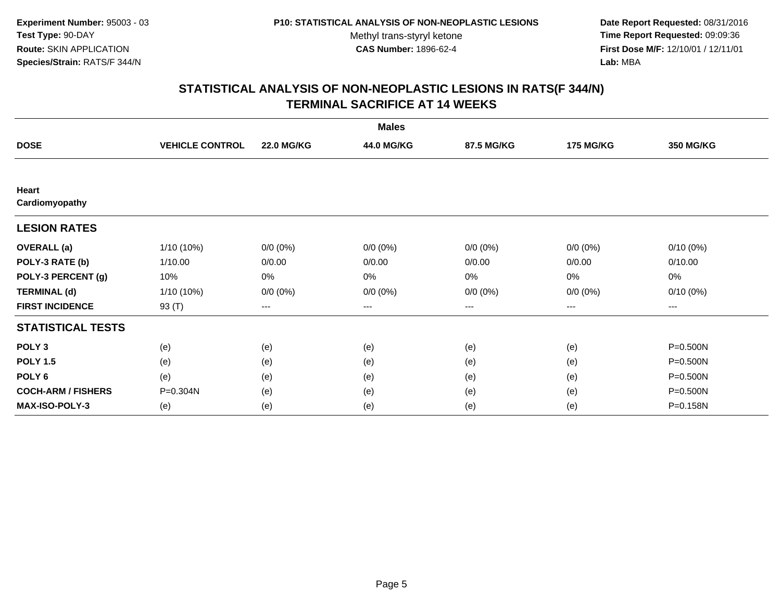**Date Report Requested:** 08/31/2016 **Time Report Requested:** 09:09:36 **First Dose M/F:** 12/10/01 / 12/11/01<br>**Lab:** MBA **Lab:** MBA

|                           |                        |                        | <b>Males</b>      |             |                  |                   |
|---------------------------|------------------------|------------------------|-------------------|-------------|------------------|-------------------|
| <b>DOSE</b>               | <b>VEHICLE CONTROL</b> | <b>22.0 MG/KG</b>      | 44.0 MG/KG        | 87.5 MG/KG  | <b>175 MG/KG</b> | <b>350 MG/KG</b>  |
|                           |                        |                        |                   |             |                  |                   |
| Heart<br>Cardiomyopathy   |                        |                        |                   |             |                  |                   |
| <b>LESION RATES</b>       |                        |                        |                   |             |                  |                   |
| <b>OVERALL</b> (a)        | 1/10 (10%)             | $0/0 (0\%)$            | $0/0 (0\%)$       | $0/0 (0\%)$ | $0/0 (0\%)$      | $0/10(0\%)$       |
| POLY-3 RATE (b)           | 1/10.00                | 0/0.00                 | 0/0.00            | 0/0.00      | 0/0.00           | 0/10.00           |
| POLY-3 PERCENT (g)        | 10%                    | 0%                     | 0%                | 0%          | 0%               | $0\%$             |
| <b>TERMINAL (d)</b>       | 1/10 (10%)             | $0/0 (0\%)$            | $0/0 (0\%)$       | $0/0 (0\%)$ | $0/0 (0\%)$      | $0/10(0\%)$       |
| <b>FIRST INCIDENCE</b>    | 93 (T)                 | $\qquad \qquad \cdots$ | $\qquad \qquad -$ | ---         | $--$             | $\qquad \qquad -$ |
| <b>STATISTICAL TESTS</b>  |                        |                        |                   |             |                  |                   |
| POLY <sub>3</sub>         | (e)                    | (e)                    | (e)               | (e)         | (e)              | P=0.500N          |
| <b>POLY 1.5</b>           | (e)                    | (e)                    | (e)               | (e)         | (e)              | P=0.500N          |
| POLY <sub>6</sub>         | (e)                    | (e)                    | (e)               | (e)         | (e)              | P=0.500N          |
| <b>COCH-ARM / FISHERS</b> | P=0.304N               | (e)                    | (e)               | (e)         | (e)              | P=0.500N          |
| <b>MAX-ISO-POLY-3</b>     | (e)                    | (e)                    | (e)               | (e)         | (e)              | P=0.158N          |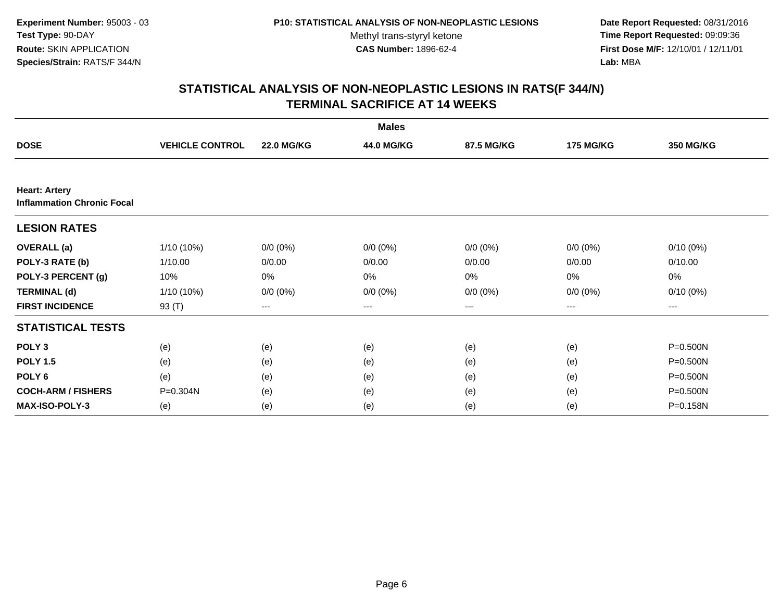**Date Report Requested:** 08/31/2016 **Time Report Requested:** 09:09:36 **First Dose M/F:** 12/10/01 / 12/11/01<br>**Lab:** MBA **Lab:** MBA

|                                                           |                        |                   | <b>Males</b> |             |                  |              |
|-----------------------------------------------------------|------------------------|-------------------|--------------|-------------|------------------|--------------|
| <b>DOSE</b>                                               | <b>VEHICLE CONTROL</b> | <b>22.0 MG/KG</b> | 44.0 MG/KG   | 87.5 MG/KG  | <b>175 MG/KG</b> | 350 MG/KG    |
|                                                           |                        |                   |              |             |                  |              |
| <b>Heart: Artery</b><br><b>Inflammation Chronic Focal</b> |                        |                   |              |             |                  |              |
| <b>LESION RATES</b>                                       |                        |                   |              |             |                  |              |
| <b>OVERALL</b> (a)                                        | 1/10 (10%)             | $0/0 (0\%)$       | $0/0 (0\%)$  | $0/0 (0\%)$ | $0/0 (0\%)$      | $0/10(0\%)$  |
| POLY-3 RATE (b)                                           | 1/10.00                | 0/0.00            | 0/0.00       | 0/0.00      | 0/0.00           | 0/10.00      |
| POLY-3 PERCENT (g)                                        | 10%                    | 0%                | 0%           | 0%          | 0%               | 0%           |
| <b>TERMINAL (d)</b>                                       | $1/10(10\%)$           | $0/0 (0\%)$       | $0/0 (0\%)$  | $0/0 (0\%)$ | $0/0 (0\%)$      | $0/10(0\%)$  |
| <b>FIRST INCIDENCE</b>                                    | 93 (T)                 | ---               | ---          | $--$        | ---              | ---          |
| <b>STATISTICAL TESTS</b>                                  |                        |                   |              |             |                  |              |
| POLY <sub>3</sub>                                         | (e)                    | (e)               | (e)          | (e)         | (e)              | $P = 0.500N$ |
| <b>POLY 1.5</b>                                           | (e)                    | (e)               | (e)          | (e)         | (e)              | P=0.500N     |
| POLY <sub>6</sub>                                         | (e)                    | (e)               | (e)          | (e)         | (e)              | $P = 0.500N$ |
| <b>COCH-ARM / FISHERS</b>                                 | P=0.304N               | (e)               | (e)          | (e)         | (e)              | P=0.500N     |
| MAX-ISO-POLY-3                                            | (e)                    | (e)               | (e)          | (e)         | (e)              | P=0.158N     |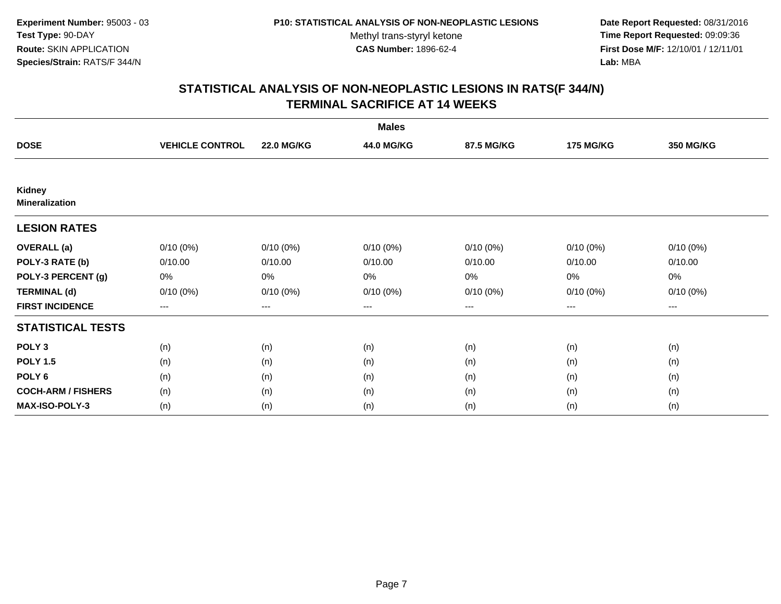**Date Report Requested:** 08/31/2016 **Time Report Requested:** 09:09:36 **First Dose M/F:** 12/10/01 / 12/11/01<br>**Lab:** MBA **Lab:** MBA

|                                 |                        |                   | <b>Males</b> |             |                  |                        |
|---------------------------------|------------------------|-------------------|--------------|-------------|------------------|------------------------|
| <b>DOSE</b>                     | <b>VEHICLE CONTROL</b> | <b>22.0 MG/KG</b> | 44.0 MG/KG   | 87.5 MG/KG  | <b>175 MG/KG</b> | <b>350 MG/KG</b>       |
|                                 |                        |                   |              |             |                  |                        |
| Kidney<br><b>Mineralization</b> |                        |                   |              |             |                  |                        |
| <b>LESION RATES</b>             |                        |                   |              |             |                  |                        |
| <b>OVERALL</b> (a)              | $0/10(0\%)$            | $0/10(0\%)$       | $0/10(0\%)$  | $0/10(0\%)$ | $0/10(0\%)$      | $0/10(0\%)$            |
| POLY-3 RATE (b)                 | 0/10.00                | 0/10.00           | 0/10.00      | 0/10.00     | 0/10.00          | 0/10.00                |
| POLY-3 PERCENT (g)              | 0%                     | 0%                | 0%           | 0%          | 0%               | 0%                     |
| <b>TERMINAL (d)</b>             | $0/10(0\%)$            | $0/10(0\%)$       | $0/10(0\%)$  | 0/10(0%)    | 0/10(0%)         | $0/10(0\%)$            |
| <b>FIRST INCIDENCE</b>          | $\cdots$               | $\cdots$          | ---          | ---         | $---$            | $\qquad \qquad \cdots$ |
| <b>STATISTICAL TESTS</b>        |                        |                   |              |             |                  |                        |
| POLY <sub>3</sub>               | (n)                    | (n)               | (n)          | (n)         | (n)              | (n)                    |
| <b>POLY 1.5</b>                 | (n)                    | (n)               | (n)          | (n)         | (n)              | (n)                    |
| POLY <sub>6</sub>               | (n)                    | (n)               | (n)          | (n)         | (n)              | (n)                    |
| <b>COCH-ARM / FISHERS</b>       | (n)                    | (n)               | (n)          | (n)         | (n)              | (n)                    |
| <b>MAX-ISO-POLY-3</b>           | (n)                    | (n)               | (n)          | (n)         | (n)              | (n)                    |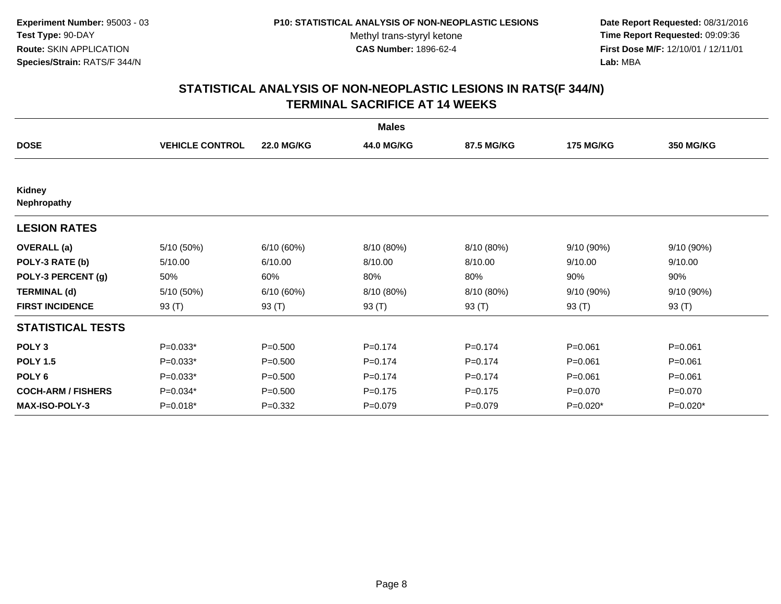**Date Report Requested:** 08/31/2016 **Time Report Requested:** 09:09:36 **First Dose M/F:** 12/10/01 / 12/11/01<br>**Lab:** MBA **Lab:** MBA

|                           |                        |                   | <b>Males</b> |             |                  |                  |
|---------------------------|------------------------|-------------------|--------------|-------------|------------------|------------------|
| <b>DOSE</b>               | <b>VEHICLE CONTROL</b> | <b>22.0 MG/KG</b> | 44.0 MG/KG   | 87.5 MG/KG  | <b>175 MG/KG</b> | <b>350 MG/KG</b> |
|                           |                        |                   |              |             |                  |                  |
| Kidney<br>Nephropathy     |                        |                   |              |             |                  |                  |
| <b>LESION RATES</b>       |                        |                   |              |             |                  |                  |
| <b>OVERALL</b> (a)        | 5/10 (50%)             | 6/10(60%)         | 8/10 (80%)   | 8/10 (80%)  | 9/10 (90%)       | 9/10(90%)        |
| POLY-3 RATE (b)           | 5/10.00                | 6/10.00           | 8/10.00      | 8/10.00     | 9/10.00          | 9/10.00          |
| POLY-3 PERCENT (g)        | 50%                    | 60%               | 80%          | 80%         | 90%              | 90%              |
| <b>TERMINAL (d)</b>       | 5/10 (50%)             | 6/10(60%)         | 8/10 (80%)   | 8/10 (80%)  | 9/10 (90%)       | 9/10(90%)        |
| <b>FIRST INCIDENCE</b>    | 93 $(T)$               | 93 (T)            | 93 (T)       | 93 $(T)$    | 93 (T)           | 93 $(T)$         |
| <b>STATISTICAL TESTS</b>  |                        |                   |              |             |                  |                  |
| POLY <sub>3</sub>         | $P=0.033*$             | $P = 0.500$       | $P = 0.174$  | $P = 0.174$ | $P = 0.061$      | $P = 0.061$      |
| <b>POLY 1.5</b>           | $P=0.033*$             | $P = 0.500$       | $P=0.174$    | $P = 0.174$ | $P = 0.061$      | $P = 0.061$      |
| POLY <sub>6</sub>         | $P=0.033*$             | $P = 0.500$       | $P=0.174$    | $P = 0.174$ | $P = 0.061$      | $P = 0.061$      |
| <b>COCH-ARM / FISHERS</b> | P=0.034*               | $P = 0.500$       | $P = 0.175$  | $P = 0.175$ | $P = 0.070$      | $P = 0.070$      |
| <b>MAX-ISO-POLY-3</b>     | P=0.018*               | $P = 0.332$       | $P = 0.079$  | $P = 0.079$ | $P=0.020*$       | P=0.020*         |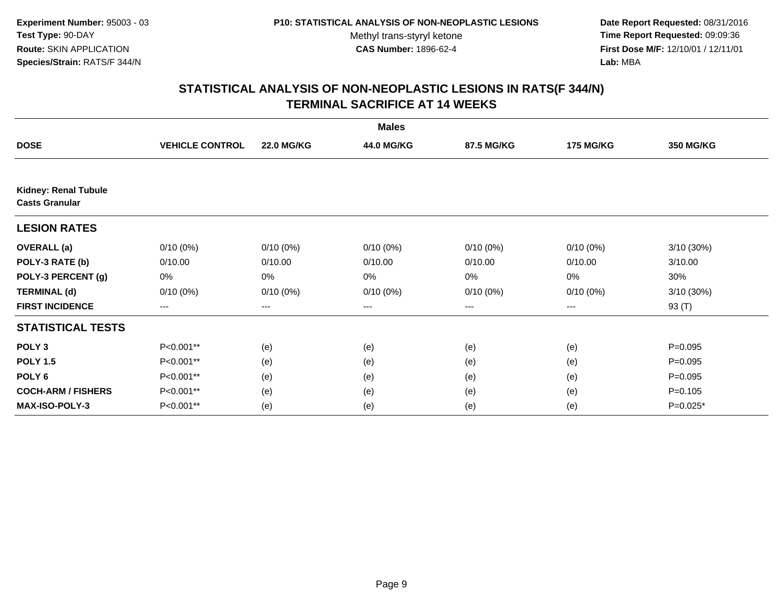**Date Report Requested:** 08/31/2016 **Time Report Requested:** 09:09:36 **First Dose M/F:** 12/10/01 / 12/11/01<br>**Lab:** MBA **Lab:** MBA

|                                                      |                        |                   | <b>Males</b> |             |                  |            |
|------------------------------------------------------|------------------------|-------------------|--------------|-------------|------------------|------------|
| <b>DOSE</b>                                          | <b>VEHICLE CONTROL</b> | <b>22.0 MG/KG</b> | 44.0 MG/KG   | 87.5 MG/KG  | <b>175 MG/KG</b> | 350 MG/KG  |
|                                                      |                        |                   |              |             |                  |            |
| <b>Kidney: Renal Tubule</b><br><b>Casts Granular</b> |                        |                   |              |             |                  |            |
| <b>LESION RATES</b>                                  |                        |                   |              |             |                  |            |
| <b>OVERALL</b> (a)                                   | $0/10(0\%)$            | $0/10(0\%)$       | $0/10(0\%)$  | $0/10(0\%)$ | $0/10(0\%)$      | 3/10(30%)  |
| POLY-3 RATE (b)                                      | 0/10.00                | 0/10.00           | 0/10.00      | 0/10.00     | 0/10.00          | 3/10.00    |
| POLY-3 PERCENT (g)                                   | 0%                     | 0%                | 0%           | 0%          | 0%               | 30%        |
| <b>TERMINAL (d)</b>                                  | $0/10(0\%)$            | $0/10(0\%)$       | $0/10(0\%)$  | $0/10(0\%)$ | $0/10(0\%)$      | 3/10 (30%) |
| <b>FIRST INCIDENCE</b>                               | ---                    | ---               | ---          | $--$        | ---              | 93 (T)     |
| <b>STATISTICAL TESTS</b>                             |                        |                   |              |             |                  |            |
| POLY <sub>3</sub>                                    | P<0.001**              | (e)               | (e)          | (e)         | (e)              | $P=0.095$  |
| <b>POLY 1.5</b>                                      | P<0.001**              | (e)               | (e)          | (e)         | (e)              | $P=0.095$  |
| POLY <sub>6</sub>                                    | P<0.001**              | (e)               | (e)          | (e)         | (e)              | $P=0.095$  |
| <b>COCH-ARM / FISHERS</b>                            | P<0.001**              | (e)               | (e)          | (e)         | (e)              | $P=0.105$  |
| MAX-ISO-POLY-3                                       | P<0.001**              | (e)               | (e)          | (e)         | (e)              | $P=0.025*$ |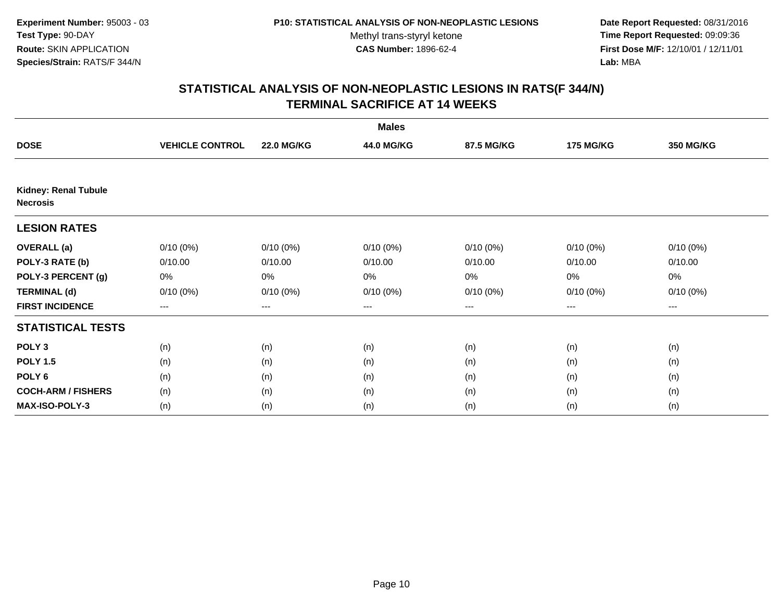**Date Report Requested:** 08/31/2016 **Time Report Requested:** 09:09:36 **First Dose M/F:** 12/10/01 / 12/11/01<br>**Lab:** MBA **Lab:** MBA

|                                                |                        |                   | <b>Males</b> |             |                  |                  |
|------------------------------------------------|------------------------|-------------------|--------------|-------------|------------------|------------------|
| <b>DOSE</b>                                    | <b>VEHICLE CONTROL</b> | <b>22.0 MG/KG</b> | 44.0 MG/KG   | 87.5 MG/KG  | <b>175 MG/KG</b> | <b>350 MG/KG</b> |
|                                                |                        |                   |              |             |                  |                  |
| <b>Kidney: Renal Tubule</b><br><b>Necrosis</b> |                        |                   |              |             |                  |                  |
| <b>LESION RATES</b>                            |                        |                   |              |             |                  |                  |
| <b>OVERALL</b> (a)                             | $0/10(0\%)$            | $0/10(0\%)$       | $0/10(0\%)$  | $0/10(0\%)$ | $0/10(0\%)$      | $0/10(0\%)$      |
| POLY-3 RATE (b)                                | 0/10.00                | 0/10.00           | 0/10.00      | 0/10.00     | 0/10.00          | 0/10.00          |
| POLY-3 PERCENT (g)                             | 0%                     | 0%                | 0%           | 0%          | 0%               | 0%               |
| <b>TERMINAL (d)</b>                            | $0/10(0\%)$            | $0/10(0\%)$       | $0/10(0\%)$  | 0/10(0%)    | 0/10(0%)         | $0/10(0\%)$      |
| <b>FIRST INCIDENCE</b>                         | $\cdots$               | $\cdots$          | ---          | ---         | $---$            | $\cdots$         |
| <b>STATISTICAL TESTS</b>                       |                        |                   |              |             |                  |                  |
| POLY <sub>3</sub>                              | (n)                    | (n)               | (n)          | (n)         | (n)              | (n)              |
| <b>POLY 1.5</b>                                | (n)                    | (n)               | (n)          | (n)         | (n)              | (n)              |
| POLY <sub>6</sub>                              | (n)                    | (n)               | (n)          | (n)         | (n)              | (n)              |
| <b>COCH-ARM / FISHERS</b>                      | (n)                    | (n)               | (n)          | (n)         | (n)              | (n)              |
| <b>MAX-ISO-POLY-3</b>                          | (n)                    | (n)               | (n)          | (n)         | (n)              | (n)              |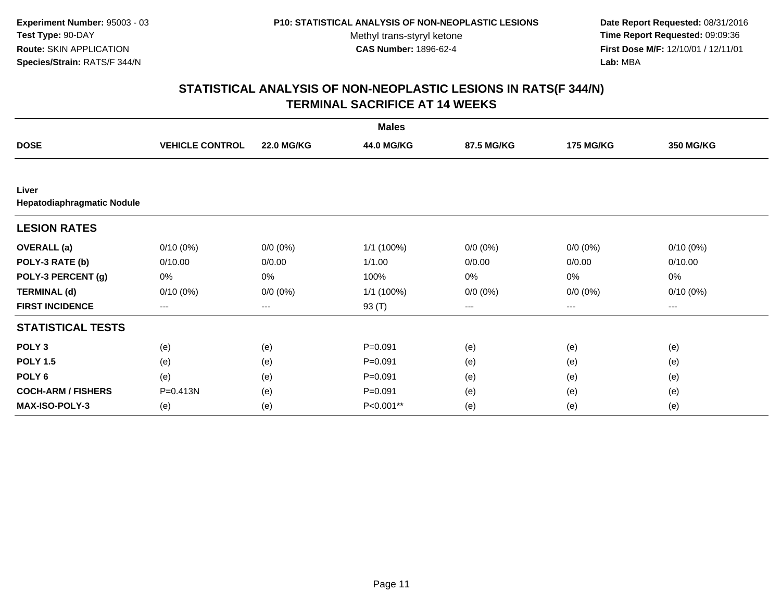**Date Report Requested:** 08/31/2016 **Time Report Requested:** 09:09:36 **First Dose M/F:** 12/10/01 / 12/11/01<br>**Lab:** MBA **Lab:** MBA

|                                     |                        |                   | <b>Males</b> |             |                  |                  |
|-------------------------------------|------------------------|-------------------|--------------|-------------|------------------|------------------|
| <b>DOSE</b>                         | <b>VEHICLE CONTROL</b> | <b>22.0 MG/KG</b> | 44.0 MG/KG   | 87.5 MG/KG  | <b>175 MG/KG</b> | <b>350 MG/KG</b> |
|                                     |                        |                   |              |             |                  |                  |
| Liver<br>Hepatodiaphragmatic Nodule |                        |                   |              |             |                  |                  |
| <b>LESION RATES</b>                 |                        |                   |              |             |                  |                  |
| <b>OVERALL</b> (a)                  | $0/10(0\%)$            | $0/0 (0\%)$       | 1/1 (100%)   | $0/0 (0\%)$ | $0/0 (0\%)$      | $0/10(0\%)$      |
| POLY-3 RATE (b)                     | 0/10.00                | 0/0.00            | 1/1.00       | 0/0.00      | 0/0.00           | 0/10.00          |
| POLY-3 PERCENT (g)                  | 0%                     | 0%                | 100%         | 0%          | 0%               | 0%               |
| <b>TERMINAL (d)</b>                 | $0/10(0\%)$            | $0/0 (0\%)$       | 1/1 (100%)   | $0/0 (0\%)$ | $0/0 (0\%)$      | $0/10(0\%)$      |
| <b>FIRST INCIDENCE</b>              | ---                    | $---$             | 93 (T)       | ---         | ---              | ---              |
| <b>STATISTICAL TESTS</b>            |                        |                   |              |             |                  |                  |
| POLY <sub>3</sub>                   | (e)                    | (e)               | $P = 0.091$  | (e)         | (e)              | (e)              |
| <b>POLY 1.5</b>                     | (e)                    | (e)               | $P = 0.091$  | (e)         | (e)              | (e)              |
| POLY <sub>6</sub>                   | (e)                    | (e)               | $P = 0.091$  | (e)         | (e)              | (e)              |
| <b>COCH-ARM / FISHERS</b>           | P=0.413N               | (e)               | $P = 0.091$  | (e)         | (e)              | (e)              |
| <b>MAX-ISO-POLY-3</b>               | (e)                    | (e)               | P<0.001**    | (e)         | (e)              | (e)              |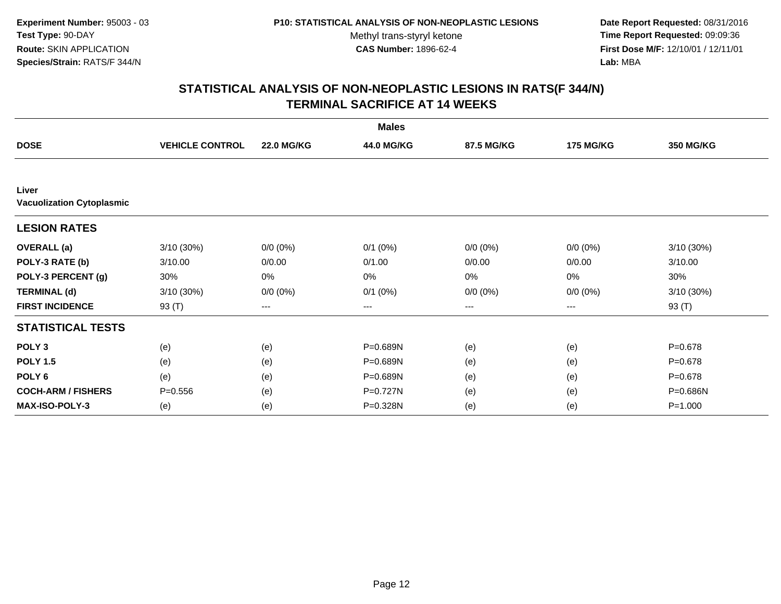**Date Report Requested:** 08/31/2016 **Time Report Requested:** 09:09:36 **First Dose M/F:** 12/10/01 / 12/11/01<br>**Lab:** MBA **Lab:** MBA

|                                           |                        |                   | <b>Males</b> |             |                  |                  |
|-------------------------------------------|------------------------|-------------------|--------------|-------------|------------------|------------------|
| <b>DOSE</b>                               | <b>VEHICLE CONTROL</b> | <b>22.0 MG/KG</b> | 44.0 MG/KG   | 87.5 MG/KG  | <b>175 MG/KG</b> | <b>350 MG/KG</b> |
|                                           |                        |                   |              |             |                  |                  |
| Liver<br><b>Vacuolization Cytoplasmic</b> |                        |                   |              |             |                  |                  |
| <b>LESION RATES</b>                       |                        |                   |              |             |                  |                  |
| <b>OVERALL</b> (a)                        | 3/10 (30%)             | $0/0 (0\%)$       | $0/1$ $(0%)$ | $0/0 (0\%)$ | $0/0 (0\%)$      | 3/10 (30%)       |
| POLY-3 RATE (b)                           | 3/10.00                | 0/0.00            | 0/1.00       | 0/0.00      | 0/0.00           | 3/10.00          |
| POLY-3 PERCENT (g)                        | 30%                    | 0%                | 0%           | 0%          | 0%               | 30%              |
| <b>TERMINAL (d)</b>                       | 3/10 (30%)             | $0/0 (0\%)$       | $0/1$ $(0%)$ | $0/0 (0\%)$ | $0/0 (0\%)$      | 3/10 (30%)       |
| <b>FIRST INCIDENCE</b>                    | 93 $(T)$               | $\qquad \qquad -$ | ---          | ---         | ---              | 93 (T)           |
| <b>STATISTICAL TESTS</b>                  |                        |                   |              |             |                  |                  |
| POLY <sub>3</sub>                         | (e)                    | (e)               | P=0.689N     | (e)         | (e)              | $P = 0.678$      |
| <b>POLY 1.5</b>                           | (e)                    | (e)               | P=0.689N     | (e)         | (e)              | $P = 0.678$      |
| POLY <sub>6</sub>                         | (e)                    | (e)               | P=0.689N     | (e)         | (e)              | $P = 0.678$      |
| <b>COCH-ARM / FISHERS</b>                 | $P = 0.556$            | (e)               | P=0.727N     | (e)         | (e)              | P=0.686N         |
| MAX-ISO-POLY-3                            | (e)                    | (e)               | P=0.328N     | (e)         | (e)              | $P = 1.000$      |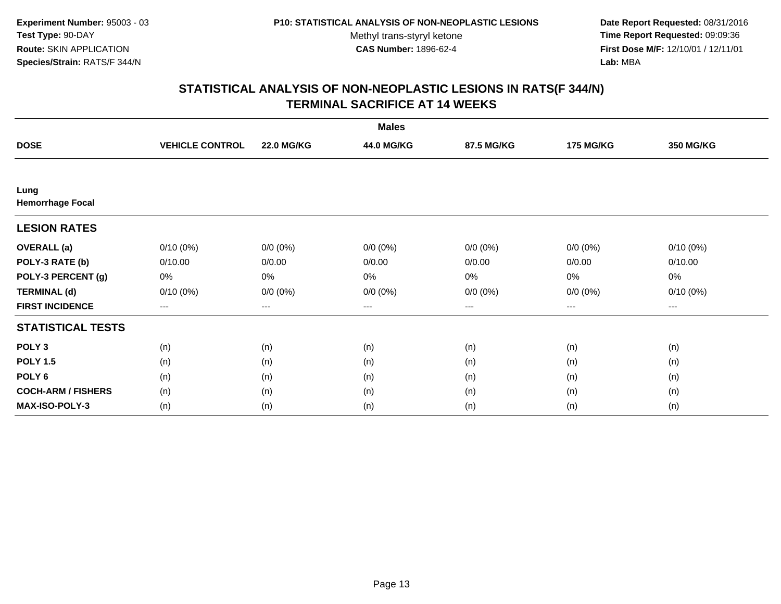**Date Report Requested:** 08/31/2016 **Time Report Requested:** 09:09:36 **First Dose M/F:** 12/10/01 / 12/11/01<br>**Lab:** MBA **Lab:** MBA

|                                 |                        |                   | <b>Males</b> |             |                  |             |
|---------------------------------|------------------------|-------------------|--------------|-------------|------------------|-------------|
| <b>DOSE</b>                     | <b>VEHICLE CONTROL</b> | <b>22.0 MG/KG</b> | 44.0 MG/KG   | 87.5 MG/KG  | <b>175 MG/KG</b> | 350 MG/KG   |
|                                 |                        |                   |              |             |                  |             |
| Lung<br><b>Hemorrhage Focal</b> |                        |                   |              |             |                  |             |
| <b>LESION RATES</b>             |                        |                   |              |             |                  |             |
| <b>OVERALL</b> (a)              | $0/10(0\%)$            | $0/0 (0\%)$       | $0/0 (0\%)$  | $0/0 (0\%)$ | $0/0 (0\%)$      | $0/10(0\%)$ |
| POLY-3 RATE (b)                 | 0/10.00                | 0/0.00            | 0/0.00       | 0/0.00      | 0/0.00           | 0/10.00     |
| POLY-3 PERCENT (g)              | 0%                     | $0\%$             | $0\%$        | 0%          | 0%               | 0%          |
| <b>TERMINAL (d)</b>             | $0/10(0\%)$            | $0/0 (0\%)$       | $0/0 (0\%)$  | $0/0 (0\%)$ | $0/0 (0\%)$      | $0/10(0\%)$ |
| <b>FIRST INCIDENCE</b>          | $--$                   | $\qquad \qquad -$ | $---$        | ---         | $--$             | $---$       |
| <b>STATISTICAL TESTS</b>        |                        |                   |              |             |                  |             |
| POLY <sub>3</sub>               | (n)                    | (n)               | (n)          | (n)         | (n)              | (n)         |
| <b>POLY 1.5</b>                 | (n)                    | (n)               | (n)          | (n)         | (n)              | (n)         |
| POLY <sub>6</sub>               | (n)                    | (n)               | (n)          | (n)         | (n)              | (n)         |
| <b>COCH-ARM / FISHERS</b>       | (n)                    | (n)               | (n)          | (n)         | (n)              | (n)         |
| MAX-ISO-POLY-3                  | (n)                    | (n)               | (n)          | (n)         | (n)              | (n)         |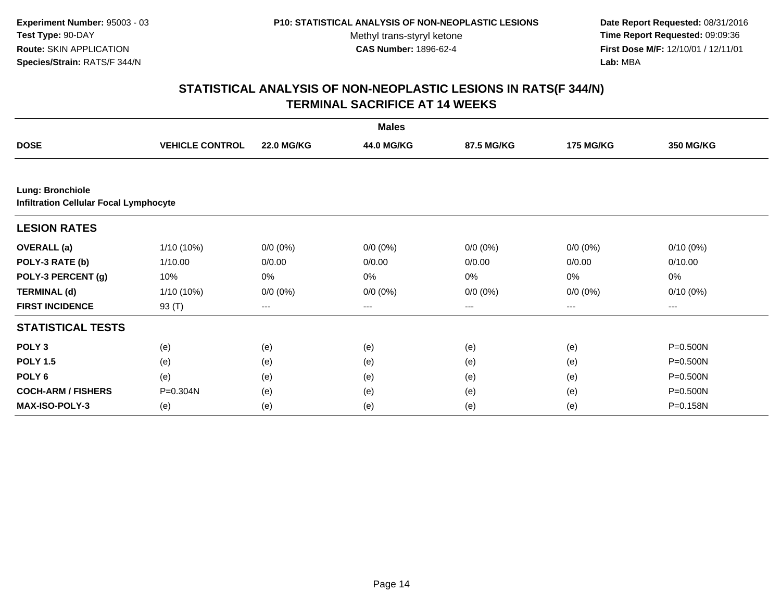**Date Report Requested:** 08/31/2016 **Time Report Requested:** 09:09:36 **First Dose M/F:** 12/10/01 / 12/11/01<br>**Lab:** MBA **Lab:** MBA

| <b>Males</b>                                                             |                        |                   |             |             |                  |                  |  |  |
|--------------------------------------------------------------------------|------------------------|-------------------|-------------|-------------|------------------|------------------|--|--|
| <b>DOSE</b>                                                              | <b>VEHICLE CONTROL</b> | <b>22.0 MG/KG</b> | 44.0 MG/KG  | 87.5 MG/KG  | <b>175 MG/KG</b> | <b>350 MG/KG</b> |  |  |
|                                                                          |                        |                   |             |             |                  |                  |  |  |
| <b>Lung: Bronchiole</b><br><b>Infiltration Cellular Focal Lymphocyte</b> |                        |                   |             |             |                  |                  |  |  |
| <b>LESION RATES</b>                                                      |                        |                   |             |             |                  |                  |  |  |
| <b>OVERALL</b> (a)                                                       | 1/10 (10%)             | $0/0 (0\%)$       | $0/0 (0\%)$ | $0/0 (0\%)$ | $0/0 (0\%)$      | $0/10(0\%)$      |  |  |
| POLY-3 RATE (b)                                                          | 1/10.00                | 0/0.00            | 0/0.00      | 0/0.00      | 0/0.00           | 0/10.00          |  |  |
| POLY-3 PERCENT (g)                                                       | 10%                    | 0%                | 0%          | 0%          | 0%               | 0%               |  |  |
| <b>TERMINAL (d)</b>                                                      | 1/10 (10%)             | $0/0 (0\%)$       | $0/0 (0\%)$ | $0/0 (0\%)$ | $0/0 (0\%)$      | $0/10(0\%)$      |  |  |
| <b>FIRST INCIDENCE</b>                                                   | 93 (T)                 | ---               | ---         | $---$       | ---              | ---              |  |  |
| <b>STATISTICAL TESTS</b>                                                 |                        |                   |             |             |                  |                  |  |  |
| POLY <sub>3</sub>                                                        | (e)                    | (e)               | (e)         | (e)         | (e)              | P=0.500N         |  |  |
| <b>POLY 1.5</b>                                                          | (e)                    | (e)               | (e)         | (e)         | (e)              | P=0.500N         |  |  |
| POLY <sub>6</sub>                                                        | (e)                    | (e)               | (e)         | (e)         | (e)              | P=0.500N         |  |  |
| <b>COCH-ARM / FISHERS</b>                                                | $P = 0.304N$           | (e)               | (e)         | (e)         | (e)              | P=0.500N         |  |  |
| <b>MAX-ISO-POLY-3</b>                                                    | (e)                    | (e)               | (e)         | (e)         | (e)              | P=0.158N         |  |  |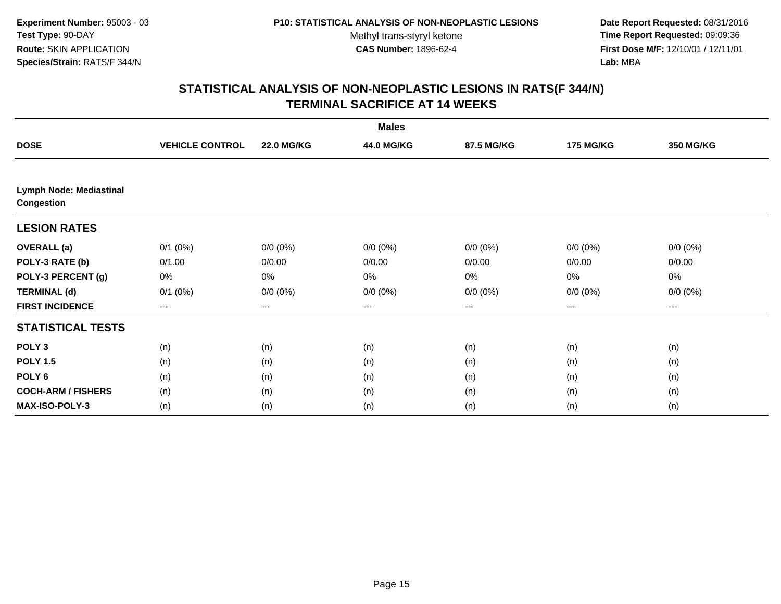**Date Report Requested:** 08/31/2016 **Time Report Requested:** 09:09:36 **First Dose M/F:** 12/10/01 / 12/11/01<br>**Lab:** MBA **Lab:** MBA

| <b>Males</b>                                        |                        |                   |             |             |                  |                  |  |  |
|-----------------------------------------------------|------------------------|-------------------|-------------|-------------|------------------|------------------|--|--|
| <b>DOSE</b>                                         | <b>VEHICLE CONTROL</b> | <b>22.0 MG/KG</b> | 44.0 MG/KG  | 87.5 MG/KG  | <b>175 MG/KG</b> | <b>350 MG/KG</b> |  |  |
|                                                     |                        |                   |             |             |                  |                  |  |  |
| <b>Lymph Node: Mediastinal</b><br><b>Congestion</b> |                        |                   |             |             |                  |                  |  |  |
| <b>LESION RATES</b>                                 |                        |                   |             |             |                  |                  |  |  |
| <b>OVERALL</b> (a)                                  | $0/1$ $(0%)$           | $0/0 (0\%)$       | $0/0 (0\%)$ | $0/0 (0\%)$ | $0/0 (0\%)$      | $0/0 (0\%)$      |  |  |
| POLY-3 RATE (b)                                     | 0/1.00                 | 0/0.00            | 0/0.00      | 0/0.00      | 0/0.00           | 0/0.00           |  |  |
| POLY-3 PERCENT (g)                                  | 0%                     | $0\%$             | 0%          | 0%          | 0%               | 0%               |  |  |
| <b>TERMINAL (d)</b>                                 | $0/1$ $(0%)$           | $0/0 (0\%)$       | $0/0 (0\%)$ | $0/0 (0\%)$ | $0/0 (0\%)$      | $0/0 (0\%)$      |  |  |
| <b>FIRST INCIDENCE</b>                              | $\qquad \qquad \cdots$ | $---$             | ---         | $--$        | $\cdots$         | ---              |  |  |
| <b>STATISTICAL TESTS</b>                            |                        |                   |             |             |                  |                  |  |  |
| POLY <sub>3</sub>                                   | (n)                    | (n)               | (n)         | (n)         | (n)              | (n)              |  |  |
| <b>POLY 1.5</b>                                     | (n)                    | (n)               | (n)         | (n)         | (n)              | (n)              |  |  |
| POLY <sub>6</sub>                                   | (n)                    | (n)               | (n)         | (n)         | (n)              | (n)              |  |  |
| <b>COCH-ARM / FISHERS</b>                           | (n)                    | (n)               | (n)         | (n)         | (n)              | (n)              |  |  |
| <b>MAX-ISO-POLY-3</b>                               | (n)                    | (n)               | (n)         | (n)         | (n)              | (n)              |  |  |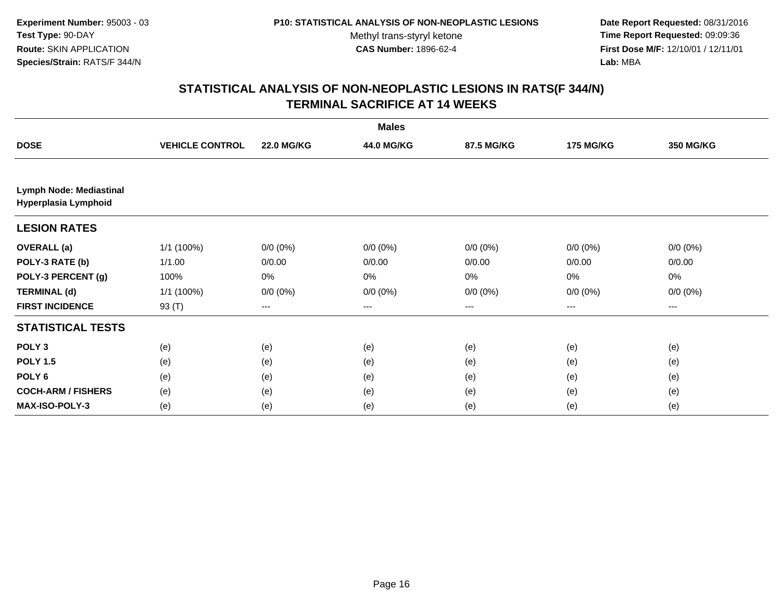**Date Report Requested:** 08/31/2016 **Time Report Requested:** 09:09:36 **First Dose M/F:** 12/10/01 / 12/11/01<br>**Lab:** MBA **Lab:** MBA

| <b>Males</b>                                    |                        |                   |             |                        |                  |                  |  |
|-------------------------------------------------|------------------------|-------------------|-------------|------------------------|------------------|------------------|--|
| <b>DOSE</b>                                     | <b>VEHICLE CONTROL</b> | <b>22.0 MG/KG</b> | 44.0 MG/KG  | 87.5 MG/KG             | <b>175 MG/KG</b> | <b>350 MG/KG</b> |  |
|                                                 |                        |                   |             |                        |                  |                  |  |
| Lymph Node: Mediastinal<br>Hyperplasia Lymphoid |                        |                   |             |                        |                  |                  |  |
| <b>LESION RATES</b>                             |                        |                   |             |                        |                  |                  |  |
| <b>OVERALL</b> (a)                              | 1/1 (100%)             | $0/0 (0\%)$       | $0/0 (0\%)$ | $0/0 (0\%)$            | $0/0 (0\%)$      | $0/0 (0\%)$      |  |
| POLY-3 RATE (b)                                 | 1/1.00                 | 0/0.00            | 0/0.00      | 0/0.00                 | 0/0.00           | 0/0.00           |  |
| POLY-3 PERCENT (g)                              | 100%                   | 0%                | 0%          | 0%                     | 0%               | 0%               |  |
| <b>TERMINAL (d)</b>                             | 1/1 (100%)             | $0/0 (0\%)$       | $0/0 (0\%)$ | $0/0 (0\%)$            | $0/0 (0\%)$      | $0/0 (0\%)$      |  |
| <b>FIRST INCIDENCE</b>                          | 93 (T)                 | $---$             | $---$       | $\qquad \qquad \cdots$ | ---              | $--$             |  |
| <b>STATISTICAL TESTS</b>                        |                        |                   |             |                        |                  |                  |  |
| POLY <sub>3</sub>                               | (e)                    | (e)               | (e)         | (e)                    | (e)              | (e)              |  |
| <b>POLY 1.5</b>                                 | (e)                    | (e)               | (e)         | (e)                    | (e)              | (e)              |  |
| POLY <sub>6</sub>                               | (e)                    | (e)               | (e)         | (e)                    | (e)              | (e)              |  |
| <b>COCH-ARM / FISHERS</b>                       | (e)                    | (e)               | (e)         | (e)                    | (e)              | (e)              |  |
| MAX-ISO-POLY-3                                  | (e)                    | (e)               | (e)         | (e)                    | (e)              | (e)              |  |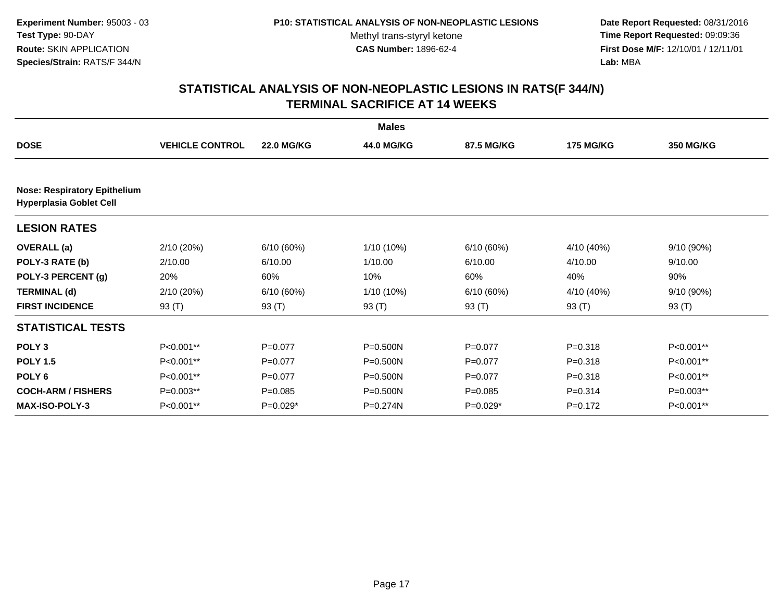**Date Report Requested:** 08/31/2016 **Time Report Requested:** 09:09:36 **First Dose M/F:** 12/10/01 / 12/11/01<br>**Lab:** MBA **Lab:** MBA

| <b>Males</b>                        |                        |                   |              |             |                  |                  |  |  |
|-------------------------------------|------------------------|-------------------|--------------|-------------|------------------|------------------|--|--|
| <b>DOSE</b>                         | <b>VEHICLE CONTROL</b> | <b>22.0 MG/KG</b> | 44.0 MG/KG   | 87.5 MG/KG  | <b>175 MG/KG</b> | <b>350 MG/KG</b> |  |  |
| <b>Nose: Respiratory Epithelium</b> |                        |                   |              |             |                  |                  |  |  |
| <b>Hyperplasia Goblet Cell</b>      |                        |                   |              |             |                  |                  |  |  |
| <b>LESION RATES</b>                 |                        |                   |              |             |                  |                  |  |  |
| <b>OVERALL</b> (a)                  | 2/10 (20%)             | 6/10(60%)         | 1/10 (10%)   | 6/10(60%)   | 4/10 (40%)       | 9/10 (90%)       |  |  |
| POLY-3 RATE (b)                     | 2/10.00                | 6/10.00           | 1/10.00      | 6/10.00     | 4/10.00          | 9/10.00          |  |  |
| POLY-3 PERCENT (g)                  | 20%                    | 60%               | 10%          | 60%         | 40%              | 90%              |  |  |
| <b>TERMINAL (d)</b>                 | 2/10 (20%)             | 6/10(60%)         | 1/10 (10%)   | 6/10(60%)   | 4/10 (40%)       | 9/10 (90%)       |  |  |
| <b>FIRST INCIDENCE</b>              | 93 (T)                 | 93 $(T)$          | 93 (T)       | 93 (T)      | 93 $(T)$         | 93 (T)           |  |  |
| <b>STATISTICAL TESTS</b>            |                        |                   |              |             |                  |                  |  |  |
| POLY <sub>3</sub>                   | P<0.001**              | $P=0.077$         | P=0.500N     | $P=0.077$   | $P = 0.318$      | P<0.001**        |  |  |
| <b>POLY 1.5</b>                     | P<0.001**              | $P=0.077$         | $P = 0.500N$ | $P=0.077$   | $P = 0.318$      | P<0.001**        |  |  |
| POLY 6                              | P<0.001**              | $P=0.077$         | $P = 0.500N$ | $P=0.077$   | $P = 0.318$      | P<0.001**        |  |  |
| <b>COCH-ARM / FISHERS</b>           | P=0.003**              | $P = 0.085$       | $P = 0.500N$ | $P = 0.085$ | $P = 0.314$      | P=0.003**        |  |  |
| <b>MAX-ISO-POLY-3</b>               | P<0.001**              | $P=0.029*$        | P=0.274N     | $P=0.029*$  | $P=0.172$        | P<0.001**        |  |  |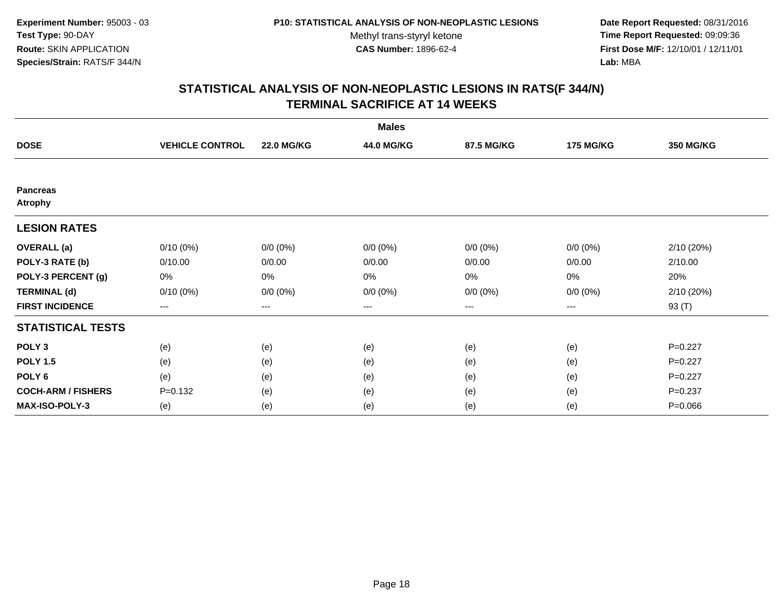**Date Report Requested:** 08/31/2016 **Time Report Requested:** 09:09:36 **First Dose M/F:** 12/10/01 / 12/11/01<br>**Lab:** MBA **Lab:** MBA

| <b>Males</b>                      |                        |                        |                   |             |                  |                  |  |  |
|-----------------------------------|------------------------|------------------------|-------------------|-------------|------------------|------------------|--|--|
| <b>DOSE</b>                       | <b>VEHICLE CONTROL</b> | <b>22.0 MG/KG</b>      | 44.0 MG/KG        | 87.5 MG/KG  | <b>175 MG/KG</b> | <b>350 MG/KG</b> |  |  |
|                                   |                        |                        |                   |             |                  |                  |  |  |
| <b>Pancreas</b><br><b>Atrophy</b> |                        |                        |                   |             |                  |                  |  |  |
| <b>LESION RATES</b>               |                        |                        |                   |             |                  |                  |  |  |
| <b>OVERALL</b> (a)                | $0/10(0\%)$            | $0/0 (0\%)$            | $0/0 (0\%)$       | $0/0 (0\%)$ | $0/0 (0\%)$      | 2/10 (20%)       |  |  |
| POLY-3 RATE (b)                   | 0/10.00                | 0/0.00                 | 0/0.00            | 0/0.00      | 0/0.00           | 2/10.00          |  |  |
| POLY-3 PERCENT (g)                | 0%                     | 0%                     | 0%                | 0%          | 0%               | 20%              |  |  |
| <b>TERMINAL (d)</b>               | $0/10(0\%)$            | $0/0 (0\%)$            | $0/0 (0\%)$       | $0/0 (0\%)$ | $0/0 (0\%)$      | 2/10 (20%)       |  |  |
| <b>FIRST INCIDENCE</b>            | ---                    | $\qquad \qquad \cdots$ | $\qquad \qquad -$ | ---         | $---$            | 93 (T)           |  |  |
| <b>STATISTICAL TESTS</b>          |                        |                        |                   |             |                  |                  |  |  |
| POLY <sub>3</sub>                 | (e)                    | (e)                    | (e)               | (e)         | (e)              | $P=0.227$        |  |  |
| <b>POLY 1.5</b>                   | (e)                    | (e)                    | (e)               | (e)         | (e)              | $P=0.227$        |  |  |
| POLY 6                            | (e)                    | (e)                    | (e)               | (e)         | (e)              | $P=0.227$        |  |  |
| <b>COCH-ARM / FISHERS</b>         | $P = 0.132$            | (e)                    | (e)               | (e)         | (e)              | $P = 0.237$      |  |  |
| <b>MAX-ISO-POLY-3</b>             | (e)                    | (e)                    | (e)               | (e)         | (e)              | $P = 0.066$      |  |  |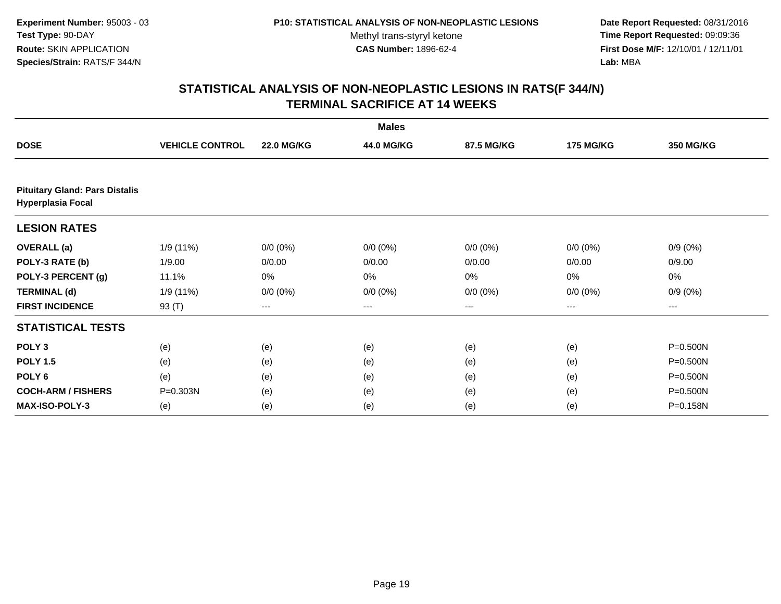**Date Report Requested:** 08/31/2016 **Time Report Requested:** 09:09:36 **First Dose M/F:** 12/10/01 / 12/11/01<br>**Lab:** MBA **Lab:** MBA

|                                                                   |                        |                   | <b>Males</b> |             |                  |                  |
|-------------------------------------------------------------------|------------------------|-------------------|--------------|-------------|------------------|------------------|
| <b>DOSE</b>                                                       | <b>VEHICLE CONTROL</b> | <b>22.0 MG/KG</b> | 44.0 MG/KG   | 87.5 MG/KG  | <b>175 MG/KG</b> | <b>350 MG/KG</b> |
|                                                                   |                        |                   |              |             |                  |                  |
| <b>Pituitary Gland: Pars Distalis</b><br><b>Hyperplasia Focal</b> |                        |                   |              |             |                  |                  |
| <b>LESION RATES</b>                                               |                        |                   |              |             |                  |                  |
| <b>OVERALL</b> (a)                                                | 1/9 (11%)              | $0/0 (0\%)$       | $0/0 (0\%)$  | $0/0 (0\%)$ | $0/0 (0\%)$      | $0/9(0\%)$       |
| POLY-3 RATE (b)                                                   | 1/9.00                 | 0/0.00            | 0/0.00       | 0/0.00      | 0/0.00           | 0/9.00           |
| POLY-3 PERCENT (g)                                                | 11.1%                  | 0%                | 0%           | 0%          | 0%               | 0%               |
| <b>TERMINAL (d)</b>                                               | 1/9 (11%)              | $0/0 (0\%)$       | $0/0 (0\%)$  | $0/0 (0\%)$ | $0/0 (0\%)$      | $0/9(0\%)$       |
| <b>FIRST INCIDENCE</b>                                            | 93 (T)                 | ---               | $--$         | ---         | ---              | ---              |
| <b>STATISTICAL TESTS</b>                                          |                        |                   |              |             |                  |                  |
| POLY <sub>3</sub>                                                 | (e)                    | (e)               | (e)          | (e)         | (e)              | P=0.500N         |
| <b>POLY 1.5</b>                                                   | (e)                    | (e)               | (e)          | (e)         | (e)              | P=0.500N         |
| POLY <sub>6</sub>                                                 | (e)                    | (e)               | (e)          | (e)         | (e)              | P=0.500N         |
| <b>COCH-ARM / FISHERS</b>                                         | $P = 0.303N$           | (e)               | (e)          | (e)         | (e)              | P=0.500N         |
| <b>MAX-ISO-POLY-3</b>                                             | (e)                    | (e)               | (e)          | (e)         | (e)              | P=0.158N         |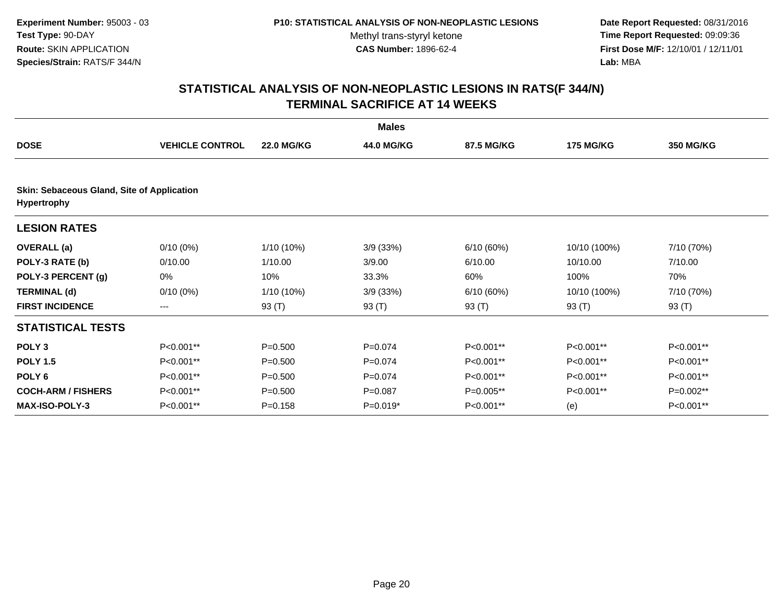**Date Report Requested:** 08/31/2016 **Time Report Requested:** 09:09:36 **First Dose M/F:** 12/10/01 / 12/11/01<br>**Lab:** MBA **Lab:** MBA

| <b>Males</b>                                                     |                        |                   |             |            |                  |            |  |  |
|------------------------------------------------------------------|------------------------|-------------------|-------------|------------|------------------|------------|--|--|
| <b>DOSE</b>                                                      | <b>VEHICLE CONTROL</b> | <b>22.0 MG/KG</b> | 44.0 MG/KG  | 87.5 MG/KG | <b>175 MG/KG</b> | 350 MG/KG  |  |  |
| Skin: Sebaceous Gland, Site of Application<br><b>Hypertrophy</b> |                        |                   |             |            |                  |            |  |  |
| <b>LESION RATES</b>                                              |                        |                   |             |            |                  |            |  |  |
| <b>OVERALL</b> (a)                                               | $0/10(0\%)$            | 1/10 (10%)        | 3/9(33%)    | 6/10(60%)  | 10/10 (100%)     | 7/10 (70%) |  |  |
| POLY-3 RATE (b)                                                  | 0/10.00                | 1/10.00           | 3/9.00      | 6/10.00    | 10/10.00         | 7/10.00    |  |  |
| POLY-3 PERCENT (g)                                               | 0%                     | 10%               | 33.3%       | 60%        | 100%             | 70%        |  |  |
| <b>TERMINAL (d)</b>                                              | $0/10(0\%)$            | 1/10 (10%)        | 3/9(33%)    | 6/10(60%)  | 10/10 (100%)     | 7/10 (70%) |  |  |
| <b>FIRST INCIDENCE</b>                                           | $---$                  | 93 (T)            | 93 (T)      | 93 (T)     | 93 (T)           | 93 (T)     |  |  |
| <b>STATISTICAL TESTS</b>                                         |                        |                   |             |            |                  |            |  |  |
| POLY <sub>3</sub>                                                | P<0.001**              | $P = 0.500$       | $P = 0.074$ | P<0.001**  | P<0.001**        | P<0.001**  |  |  |
| <b>POLY 1.5</b>                                                  | P<0.001**              | $P = 0.500$       | $P = 0.074$ | P<0.001**  | P<0.001**        | P<0.001**  |  |  |
| POLY <sub>6</sub>                                                | P<0.001**              | $P = 0.500$       | $P = 0.074$ | P<0.001**  | P<0.001**        | P<0.001**  |  |  |
| <b>COCH-ARM / FISHERS</b>                                        | P<0.001**              | $P = 0.500$       | $P = 0.087$ | P=0.005**  | P<0.001**        | P=0.002**  |  |  |
| <b>MAX-ISO-POLY-3</b>                                            | P<0.001**              | $P = 0.158$       | $P=0.019*$  | P<0.001**  | (e)              | P<0.001**  |  |  |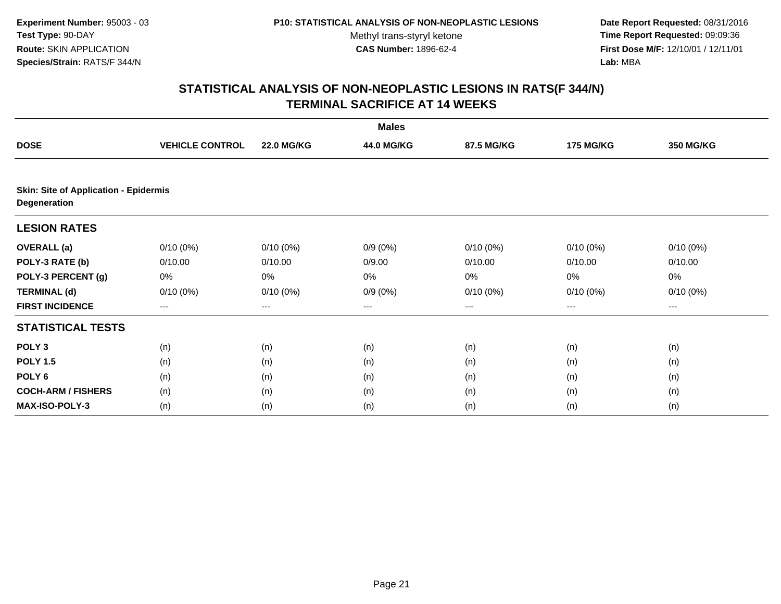**Date Report Requested:** 08/31/2016 **Time Report Requested:** 09:09:36 **First Dose M/F:** 12/10/01 / 12/11/01<br>**Lab:** MBA **Lab:** MBA

|                                                              | <b>Males</b>           |                   |            |             |                  |                  |  |  |  |
|--------------------------------------------------------------|------------------------|-------------------|------------|-------------|------------------|------------------|--|--|--|
| <b>DOSE</b>                                                  | <b>VEHICLE CONTROL</b> | <b>22.0 MG/KG</b> | 44.0 MG/KG | 87.5 MG/KG  | <b>175 MG/KG</b> | <b>350 MG/KG</b> |  |  |  |
|                                                              |                        |                   |            |             |                  |                  |  |  |  |
| <b>Skin: Site of Application - Epidermis</b><br>Degeneration |                        |                   |            |             |                  |                  |  |  |  |
| <b>LESION RATES</b>                                          |                        |                   |            |             |                  |                  |  |  |  |
| <b>OVERALL</b> (a)                                           | $0/10(0\%)$            | $0/10(0\%)$       | $0/9(0\%)$ | $0/10(0\%)$ | $0/10(0\%)$      | $0/10(0\%)$      |  |  |  |
| POLY-3 RATE (b)                                              | 0/10.00                | 0/10.00           | 0/9.00     | 0/10.00     | 0/10.00          | 0/10.00          |  |  |  |
| POLY-3 PERCENT (g)                                           | 0%                     | 0%                | 0%         | 0%          | 0%               | 0%               |  |  |  |
| <b>TERMINAL (d)</b>                                          | $0/10(0\%)$            | $0/10(0\%)$       | $0/9(0\%)$ | $0/10(0\%)$ | $0/10(0\%)$      | $0/10(0\%)$      |  |  |  |
| <b>FIRST INCIDENCE</b>                                       | ---                    | ---               | $--$       | ---         | ---              | ---              |  |  |  |
| <b>STATISTICAL TESTS</b>                                     |                        |                   |            |             |                  |                  |  |  |  |
| POLY <sub>3</sub>                                            | (n)                    | (n)               | (n)        | (n)         | (n)              | (n)              |  |  |  |
| <b>POLY 1.5</b>                                              | (n)                    | (n)               | (n)        | (n)         | (n)              | (n)              |  |  |  |
| POLY <sub>6</sub>                                            | (n)                    | (n)               | (n)        | (n)         | (n)              | (n)              |  |  |  |
| <b>COCH-ARM / FISHERS</b>                                    | (n)                    | (n)               | (n)        | (n)         | (n)              | (n)              |  |  |  |
| <b>MAX-ISO-POLY-3</b>                                        | (n)                    | (n)               | (n)        | (n)         | (n)              | (n)              |  |  |  |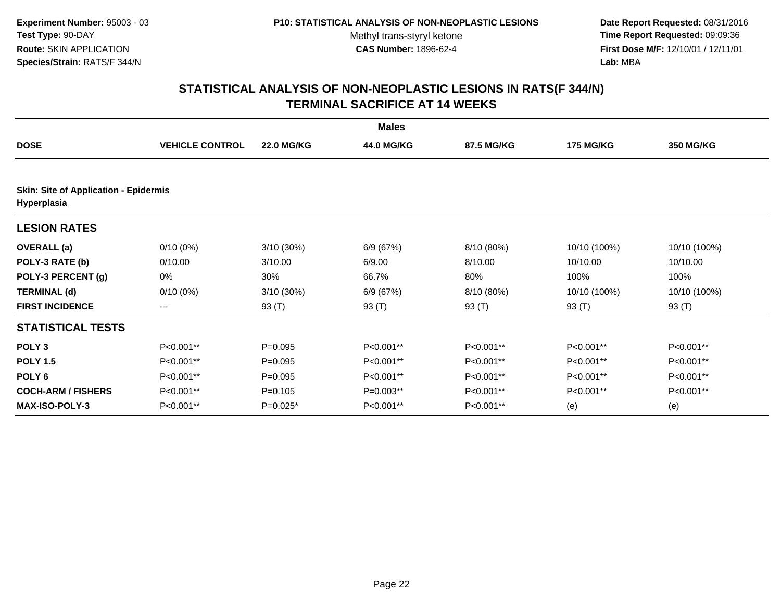**Date Report Requested:** 08/31/2016 **Time Report Requested:** 09:09:36 **First Dose M/F:** 12/10/01 / 12/11/01<br>**Lab:** MBA **Lab:** MBA

| <b>Males</b>                                                |                        |                   |            |            |                  |              |  |  |
|-------------------------------------------------------------|------------------------|-------------------|------------|------------|------------------|--------------|--|--|
| <b>DOSE</b>                                                 | <b>VEHICLE CONTROL</b> | <b>22.0 MG/KG</b> | 44.0 MG/KG | 87.5 MG/KG | <b>175 MG/KG</b> | 350 MG/KG    |  |  |
| <b>Skin: Site of Application - Epidermis</b><br>Hyperplasia |                        |                   |            |            |                  |              |  |  |
| <b>LESION RATES</b>                                         |                        |                   |            |            |                  |              |  |  |
| <b>OVERALL</b> (a)                                          | $0/10(0\%)$            | $3/10(30\%)$      | 6/9(67%)   | 8/10 (80%) | 10/10 (100%)     | 10/10 (100%) |  |  |
| POLY-3 RATE (b)                                             | 0/10.00                | 3/10.00           | 6/9.00     | 8/10.00    | 10/10.00         | 10/10.00     |  |  |
| POLY-3 PERCENT (g)                                          | 0%                     | 30%               | 66.7%      | 80%        | 100%             | 100%         |  |  |
| <b>TERMINAL (d)</b>                                         | $0/10(0\%)$            | $3/10(30\%)$      | 6/9(67%)   | 8/10 (80%) | 10/10 (100%)     | 10/10 (100%) |  |  |
| <b>FIRST INCIDENCE</b>                                      | ---                    | 93 (T)            | 93 $(T)$   | 93 $(T)$   | 93 $(T)$         | 93 (T)       |  |  |
| <b>STATISTICAL TESTS</b>                                    |                        |                   |            |            |                  |              |  |  |
| POLY <sub>3</sub>                                           | P<0.001**              | $P = 0.095$       | P<0.001**  | P<0.001**  | P<0.001**        | P<0.001**    |  |  |
| <b>POLY 1.5</b>                                             | P<0.001**              | $P = 0.095$       | P<0.001**  | P<0.001**  | P<0.001**        | P<0.001**    |  |  |
| POLY <sub>6</sub>                                           | P<0.001**              | $P=0.095$         | P<0.001**  | P<0.001**  | P<0.001**        | P<0.001**    |  |  |
| <b>COCH-ARM / FISHERS</b>                                   | P<0.001**              | $P = 0.105$       | P=0.003**  | P<0.001**  | P<0.001**        | P<0.001**    |  |  |
| <b>MAX-ISO-POLY-3</b>                                       | $P<0.001**$            | $P=0.025*$        | P<0.001**  | P<0.001**  | (e)              | (e)          |  |  |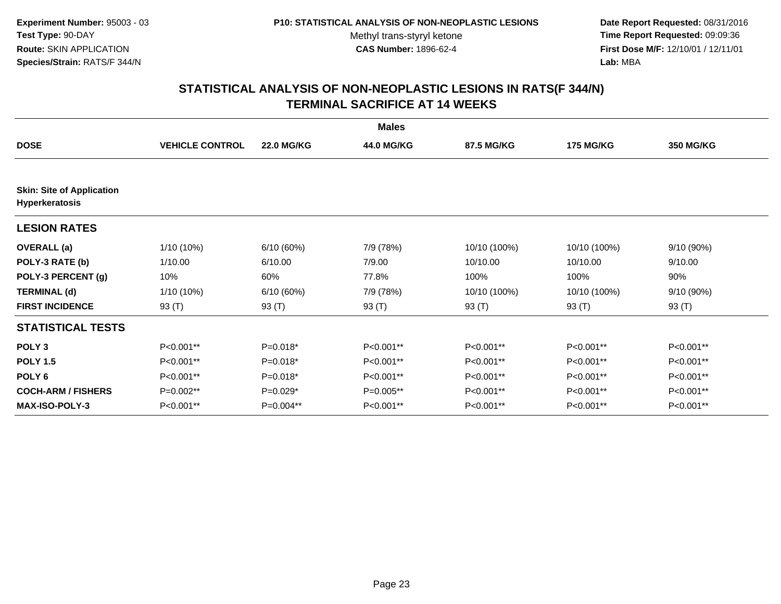**Date Report Requested:** 08/31/2016 **Time Report Requested:** 09:09:36 **First Dose M/F:** 12/10/01 / 12/11/01<br>**Lab:** MBA **Lab:** MBA

|                                                    |                        |                   | <b>Males</b> |              |                  |                  |
|----------------------------------------------------|------------------------|-------------------|--------------|--------------|------------------|------------------|
| <b>DOSE</b>                                        | <b>VEHICLE CONTROL</b> | <b>22.0 MG/KG</b> | 44.0 MG/KG   | 87.5 MG/KG   | <b>175 MG/KG</b> | <b>350 MG/KG</b> |
|                                                    |                        |                   |              |              |                  |                  |
| <b>Skin: Site of Application</b><br>Hyperkeratosis |                        |                   |              |              |                  |                  |
| <b>LESION RATES</b>                                |                        |                   |              |              |                  |                  |
| <b>OVERALL</b> (a)                                 | 1/10 (10%)             | 6/10(60%)         | 7/9 (78%)    | 10/10 (100%) | 10/10 (100%)     | 9/10 (90%)       |
| POLY-3 RATE (b)                                    | 1/10.00                | 6/10.00           | 7/9.00       | 10/10.00     | 10/10.00         | 9/10.00          |
| POLY-3 PERCENT (g)                                 | 10%                    | 60%               | 77.8%        | 100%         | 100%             | 90%              |
| <b>TERMINAL (d)</b>                                | $1/10(10\%)$           | 6/10(60%)         | 7/9 (78%)    | 10/10 (100%) | 10/10 (100%)     | 9/10 (90%)       |
| <b>FIRST INCIDENCE</b>                             | 93 (T)                 | 93 (T)            | 93 (T)       | 93 (T)       | 93 (T)           | 93 (T)           |
| <b>STATISTICAL TESTS</b>                           |                        |                   |              |              |                  |                  |
| POLY <sub>3</sub>                                  | P<0.001**              | $P=0.018*$        | P<0.001**    | P<0.001**    | P<0.001**        | P<0.001**        |
| <b>POLY 1.5</b>                                    | P<0.001**              | $P=0.018*$        | $P<0.001**$  | P<0.001**    | P<0.001**        | $P<0.001**$      |
| POLY <sub>6</sub>                                  | P<0.001**              | $P=0.018*$        | P<0.001**    | P<0.001**    | P<0.001**        | P<0.001**        |
| <b>COCH-ARM / FISHERS</b>                          | P=0.002**              | $P=0.029*$        | $P=0.005**$  | P<0.001**    | P<0.001**        | P<0.001**        |
| <b>MAX-ISO-POLY-3</b>                              | P<0.001**              | P=0.004**         | P<0.001**    | P<0.001**    | P<0.001**        | P<0.001**        |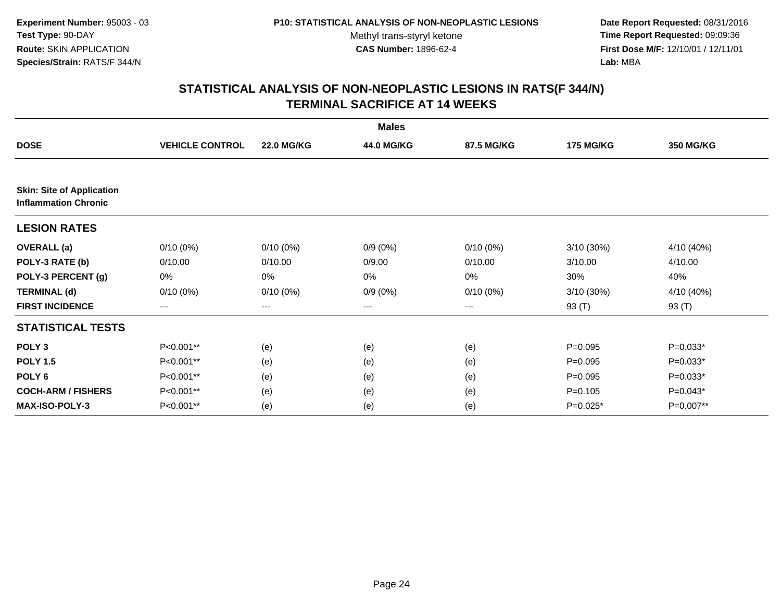**Date Report Requested:** 08/31/2016 **Time Report Requested:** 09:09:36 **First Dose M/F:** 12/10/01 / 12/11/01<br>**Lab:** MBA **Lab:** MBA

| <b>Males</b>                                                    |                        |                   |            |                   |                  |            |  |  |
|-----------------------------------------------------------------|------------------------|-------------------|------------|-------------------|------------------|------------|--|--|
| <b>DOSE</b>                                                     | <b>VEHICLE CONTROL</b> | <b>22.0 MG/KG</b> | 44.0 MG/KG | 87.5 MG/KG        | <b>175 MG/KG</b> | 350 MG/KG  |  |  |
|                                                                 |                        |                   |            |                   |                  |            |  |  |
| <b>Skin: Site of Application</b><br><b>Inflammation Chronic</b> |                        |                   |            |                   |                  |            |  |  |
| <b>LESION RATES</b>                                             |                        |                   |            |                   |                  |            |  |  |
| <b>OVERALL</b> (a)                                              | $0/10(0\%)$            | $0/10(0\%)$       | $0/9(0\%)$ | $0/10(0\%)$       | 3/10 (30%)       | 4/10 (40%) |  |  |
| POLY-3 RATE (b)                                                 | 0/10.00                | 0/10.00           | 0/9.00     | 0/10.00           | 3/10.00          | 4/10.00    |  |  |
| POLY-3 PERCENT (g)                                              | 0%                     | 0%                | 0%         | 0%                | 30%              | 40%        |  |  |
| <b>TERMINAL (d)</b>                                             | $0/10(0\%)$            | $0/10(0\%)$       | $0/9(0\%)$ | $0/10(0\%)$       | 3/10 (30%)       | 4/10 (40%) |  |  |
| <b>FIRST INCIDENCE</b>                                          | $---$                  | ---               | ---        | $\qquad \qquad -$ | 93 (T)           | 93 (T)     |  |  |
| <b>STATISTICAL TESTS</b>                                        |                        |                   |            |                   |                  |            |  |  |
| POLY <sub>3</sub>                                               | P<0.001**              | (e)               | (e)        | (e)               | $P=0.095$        | $P=0.033*$ |  |  |
| <b>POLY 1.5</b>                                                 | P<0.001**              | (e)               | (e)        | (e)               | $P = 0.095$      | $P=0.033*$ |  |  |
| POLY <sub>6</sub>                                               | P<0.001**              | (e)               | (e)        | (e)               | $P = 0.095$      | $P=0.033*$ |  |  |
| <b>COCH-ARM / FISHERS</b>                                       | P<0.001**              | (e)               | (e)        | (e)               | $P = 0.105$      | $P=0.043*$ |  |  |
| <b>MAX-ISO-POLY-3</b>                                           | P<0.001**              | (e)               | (e)        | (e)               | $P=0.025*$       | P=0.007**  |  |  |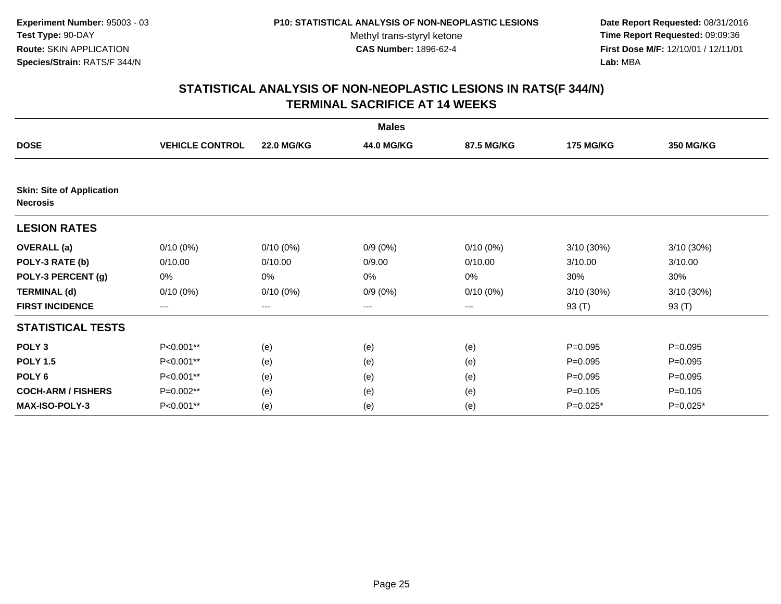**Date Report Requested:** 08/31/2016 **Time Report Requested:** 09:09:36 **First Dose M/F:** 12/10/01 / 12/11/01<br>**Lab:** MBA **Lab:** MBA

| <b>Males</b>                                        |                        |                   |            |             |                  |                  |  |  |
|-----------------------------------------------------|------------------------|-------------------|------------|-------------|------------------|------------------|--|--|
| <b>DOSE</b>                                         | <b>VEHICLE CONTROL</b> | <b>22.0 MG/KG</b> | 44.0 MG/KG | 87.5 MG/KG  | <b>175 MG/KG</b> | <b>350 MG/KG</b> |  |  |
|                                                     |                        |                   |            |             |                  |                  |  |  |
| <b>Skin: Site of Application</b><br><b>Necrosis</b> |                        |                   |            |             |                  |                  |  |  |
| <b>LESION RATES</b>                                 |                        |                   |            |             |                  |                  |  |  |
| <b>OVERALL</b> (a)                                  | $0/10(0\%)$            | $0/10(0\%)$       | $0/9(0\%)$ | $0/10(0\%)$ | 3/10 (30%)       | 3/10 (30%)       |  |  |
| POLY-3 RATE (b)                                     | 0/10.00                | 0/10.00           | 0/9.00     | 0/10.00     | 3/10.00          | 3/10.00          |  |  |
| POLY-3 PERCENT (g)                                  | 0%                     | 0%                | 0%         | 0%          | 30%              | 30%              |  |  |
| <b>TERMINAL (d)</b>                                 | $0/10(0\%)$            | $0/10(0\%)$       | $0/9(0\%)$ | $0/10(0\%)$ | 3/10 (30%)       | 3/10 (30%)       |  |  |
| <b>FIRST INCIDENCE</b>                              | $--$                   | $\qquad \qquad -$ | ---        | $---$       | 93 (T)           | 93 (T)           |  |  |
| <b>STATISTICAL TESTS</b>                            |                        |                   |            |             |                  |                  |  |  |
| POLY <sub>3</sub>                                   | P<0.001**              | (e)               | (e)        | (e)         | $P=0.095$        | $P=0.095$        |  |  |
| <b>POLY 1.5</b>                                     | P<0.001**              | (e)               | (e)        | (e)         | $P = 0.095$      | $P=0.095$        |  |  |
| POLY <sub>6</sub>                                   | P<0.001**              | (e)               | (e)        | (e)         | $P=0.095$        | $P=0.095$        |  |  |
| <b>COCH-ARM / FISHERS</b>                           | P=0.002**              | (e)               | (e)        | (e)         | $P = 0.105$      | $P = 0.105$      |  |  |
| MAX-ISO-POLY-3                                      | P<0.001**              | (e)               | (e)        | (e)         | $P=0.025*$       | P=0.025*         |  |  |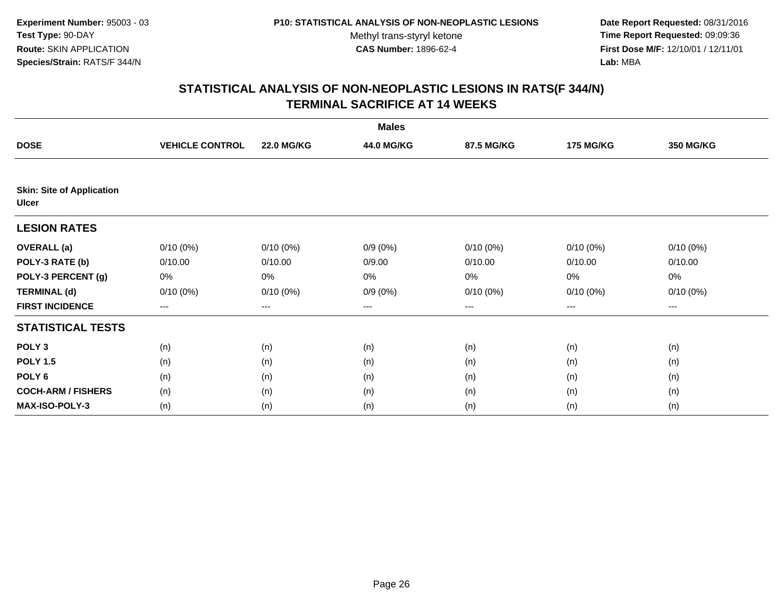**Date Report Requested:** 08/31/2016 **Time Report Requested:** 09:09:36 **First Dose M/F:** 12/10/01 / 12/11/01<br>**Lab:** MBA **Lab:** MBA

| <b>Males</b>                                     |                        |                   |            |             |                  |                  |  |  |
|--------------------------------------------------|------------------------|-------------------|------------|-------------|------------------|------------------|--|--|
| <b>DOSE</b>                                      | <b>VEHICLE CONTROL</b> | <b>22.0 MG/KG</b> | 44.0 MG/KG | 87.5 MG/KG  | <b>175 MG/KG</b> | <b>350 MG/KG</b> |  |  |
|                                                  |                        |                   |            |             |                  |                  |  |  |
| <b>Skin: Site of Application</b><br><b>Ulcer</b> |                        |                   |            |             |                  |                  |  |  |
| <b>LESION RATES</b>                              |                        |                   |            |             |                  |                  |  |  |
| <b>OVERALL</b> (a)                               | $0/10(0\%)$            | $0/10(0\%)$       | $0/9(0\%)$ | $0/10(0\%)$ | $0/10(0\%)$      | $0/10(0\%)$      |  |  |
| POLY-3 RATE (b)                                  | 0/10.00                | 0/10.00           | 0/9.00     | 0/10.00     | 0/10.00          | 0/10.00          |  |  |
| POLY-3 PERCENT (g)                               | 0%                     | 0%                | 0%         | 0%          | 0%               | 0%               |  |  |
| <b>TERMINAL (d)</b>                              | $0/10(0\%)$            | 0/10(0%)          | $0/9(0\%)$ | 0/10(0%)    | 0/10(0%)         | $0/10(0\%)$      |  |  |
| <b>FIRST INCIDENCE</b>                           | $\cdots$               | $\cdots$          | ---        | ---         | $---$            | $\cdots$         |  |  |
| <b>STATISTICAL TESTS</b>                         |                        |                   |            |             |                  |                  |  |  |
| POLY <sub>3</sub>                                | (n)                    | (n)               | (n)        | (n)         | (n)              | (n)              |  |  |
| <b>POLY 1.5</b>                                  | (n)                    | (n)               | (n)        | (n)         | (n)              | (n)              |  |  |
| POLY <sub>6</sub>                                | (n)                    | (n)               | (n)        | (n)         | (n)              | (n)              |  |  |
| <b>COCH-ARM / FISHERS</b>                        | (n)                    | (n)               | (n)        | (n)         | (n)              | (n)              |  |  |
| <b>MAX-ISO-POLY-3</b>                            | (n)                    | (n)               | (n)        | (n)         | (n)              | (n)              |  |  |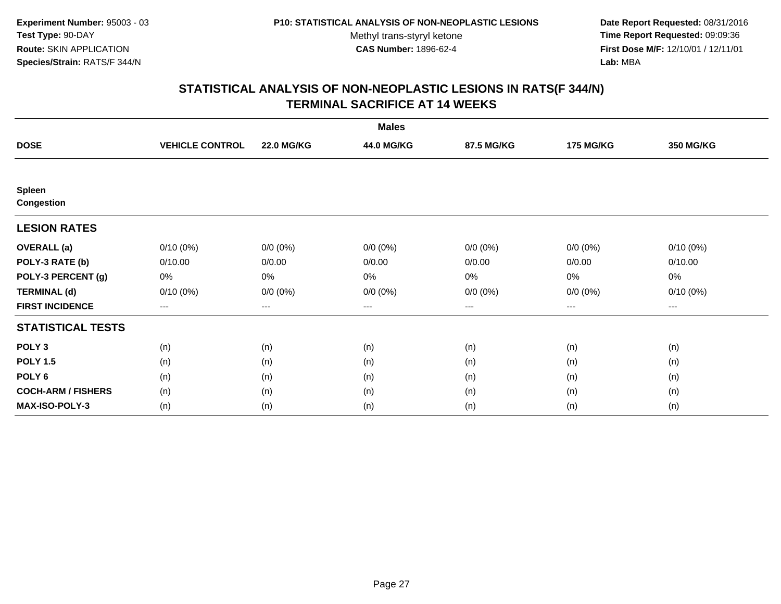**Date Report Requested:** 08/31/2016 **Time Report Requested:** 09:09:36 **First Dose M/F:** 12/10/01 / 12/11/01<br>**Lab:** MBA **Lab:** MBA

| <b>Males</b>                       |                        |                   |             |             |                   |             |  |  |
|------------------------------------|------------------------|-------------------|-------------|-------------|-------------------|-------------|--|--|
| <b>DOSE</b>                        | <b>VEHICLE CONTROL</b> | <b>22.0 MG/KG</b> | 44.0 MG/KG  | 87.5 MG/KG  | <b>175 MG/KG</b>  | 350 MG/KG   |  |  |
|                                    |                        |                   |             |             |                   |             |  |  |
| <b>Spleen</b><br><b>Congestion</b> |                        |                   |             |             |                   |             |  |  |
| <b>LESION RATES</b>                |                        |                   |             |             |                   |             |  |  |
| <b>OVERALL</b> (a)                 | $0/10(0\%)$            | $0/0 (0\%)$       | $0/0 (0\%)$ | $0/0 (0\%)$ | $0/0 (0\%)$       | $0/10(0\%)$ |  |  |
| POLY-3 RATE (b)                    | 0/10.00                | 0/0.00            | 0/0.00      | 0/0.00      | 0/0.00            | 0/10.00     |  |  |
| POLY-3 PERCENT (g)                 | 0%                     | 0%                | 0%          | 0%          | 0%                | 0%          |  |  |
| <b>TERMINAL (d)</b>                | $0/10(0\%)$            | $0/0 (0\%)$       | $0/0 (0\%)$ | $0/0 (0\%)$ | $0/0 (0\%)$       | $0/10(0\%)$ |  |  |
| <b>FIRST INCIDENCE</b>             | $--$                   | $---$             | $---$       | ---         | $\qquad \qquad -$ | $---$       |  |  |
| <b>STATISTICAL TESTS</b>           |                        |                   |             |             |                   |             |  |  |
| POLY <sub>3</sub>                  | (n)                    | (n)               | (n)         | (n)         | (n)               | (n)         |  |  |
| <b>POLY 1.5</b>                    | (n)                    | (n)               | (n)         | (n)         | (n)               | (n)         |  |  |
| POLY <sub>6</sub>                  | (n)                    | (n)               | (n)         | (n)         | (n)               | (n)         |  |  |
| <b>COCH-ARM / FISHERS</b>          | (n)                    | (n)               | (n)         | (n)         | (n)               | (n)         |  |  |
| <b>MAX-ISO-POLY-3</b>              | (n)                    | (n)               | (n)         | (n)         | (n)               | (n)         |  |  |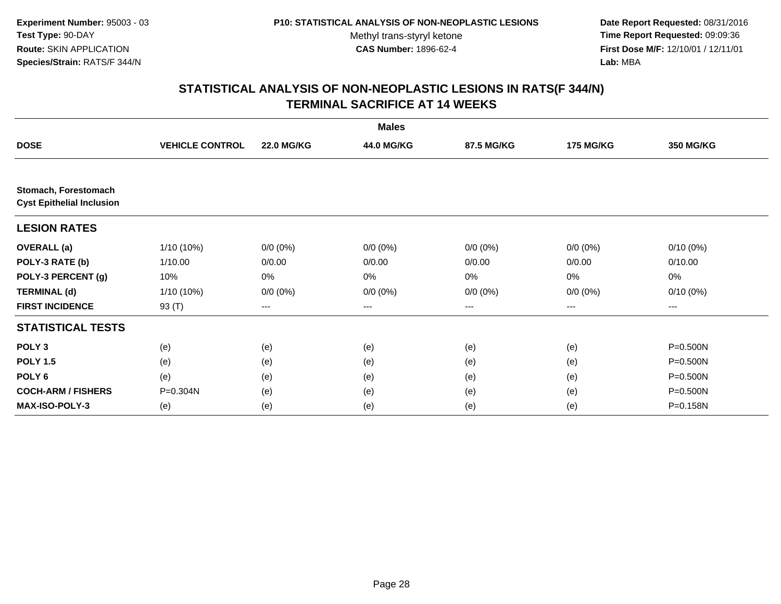**Date Report Requested:** 08/31/2016 **Time Report Requested:** 09:09:36 **First Dose M/F:** 12/10/01 / 12/11/01<br>**Lab:** MBA **Lab:** MBA

| <b>Males</b>                                             |                        |                   |             |             |                  |                  |  |  |
|----------------------------------------------------------|------------------------|-------------------|-------------|-------------|------------------|------------------|--|--|
| <b>DOSE</b>                                              | <b>VEHICLE CONTROL</b> | <b>22.0 MG/KG</b> | 44.0 MG/KG  | 87.5 MG/KG  | <b>175 MG/KG</b> | <b>350 MG/KG</b> |  |  |
|                                                          |                        |                   |             |             |                  |                  |  |  |
| Stomach, Forestomach<br><b>Cyst Epithelial Inclusion</b> |                        |                   |             |             |                  |                  |  |  |
| <b>LESION RATES</b>                                      |                        |                   |             |             |                  |                  |  |  |
| <b>OVERALL</b> (a)                                       | 1/10 (10%)             | $0/0 (0\%)$       | $0/0 (0\%)$ | $0/0 (0\%)$ | $0/0 (0\%)$      | $0/10(0\%)$      |  |  |
| POLY-3 RATE (b)                                          | 1/10.00                | 0/0.00            | 0/0.00      | 0/0.00      | 0/0.00           | 0/10.00          |  |  |
| POLY-3 PERCENT (g)                                       | 10%                    | 0%                | 0%          | 0%          | 0%               | 0%               |  |  |
| <b>TERMINAL (d)</b>                                      | 1/10 (10%)             | $0/0 (0\%)$       | $0/0 (0\%)$ | $0/0 (0\%)$ | $0/0 (0\%)$      | $0/10(0\%)$      |  |  |
| <b>FIRST INCIDENCE</b>                                   | 93 (T)                 | ---               | $--$        | ---         | ---              | ---              |  |  |
| <b>STATISTICAL TESTS</b>                                 |                        |                   |             |             |                  |                  |  |  |
| POLY <sub>3</sub>                                        | (e)                    | (e)               | (e)         | (e)         | (e)              | P=0.500N         |  |  |
| <b>POLY 1.5</b>                                          | (e)                    | (e)               | (e)         | (e)         | (e)              | P=0.500N         |  |  |
| POLY <sub>6</sub>                                        | (e)                    | (e)               | (e)         | (e)         | (e)              | P=0.500N         |  |  |
| <b>COCH-ARM / FISHERS</b>                                | $P = 0.304N$           | (e)               | (e)         | (e)         | (e)              | P=0.500N         |  |  |
| <b>MAX-ISO-POLY-3</b>                                    | (e)                    | (e)               | (e)         | (e)         | (e)              | P=0.158N         |  |  |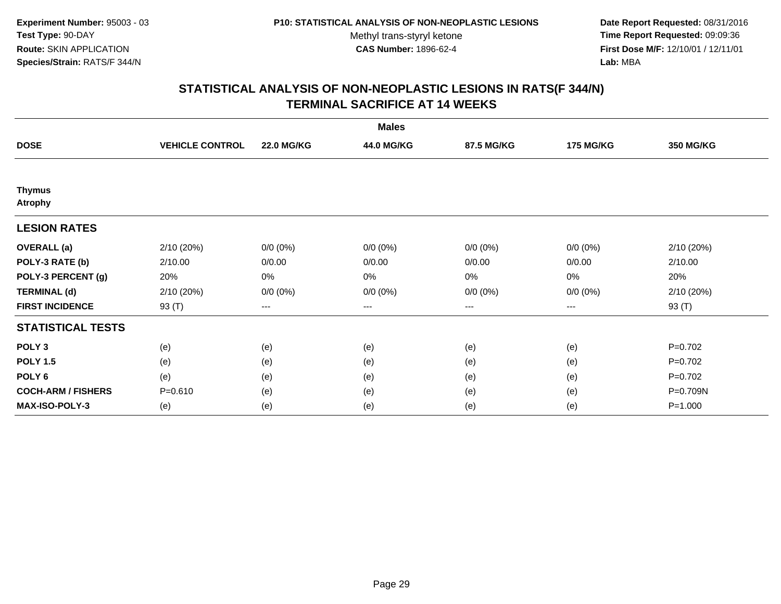**Date Report Requested:** 08/31/2016 **Time Report Requested:** 09:09:36 **First Dose M/F:** 12/10/01 / 12/11/01<br>**Lab:** MBA **Lab:** MBA

| <b>Males</b>                    |                        |                   |             |             |                  |             |  |  |
|---------------------------------|------------------------|-------------------|-------------|-------------|------------------|-------------|--|--|
| <b>DOSE</b>                     | <b>VEHICLE CONTROL</b> | <b>22.0 MG/KG</b> | 44.0 MG/KG  | 87.5 MG/KG  | <b>175 MG/KG</b> | 350 MG/KG   |  |  |
|                                 |                        |                   |             |             |                  |             |  |  |
| <b>Thymus</b><br><b>Atrophy</b> |                        |                   |             |             |                  |             |  |  |
| <b>LESION RATES</b>             |                        |                   |             |             |                  |             |  |  |
| <b>OVERALL</b> (a)              | 2/10 (20%)             | $0/0 (0\%)$       | $0/0 (0\%)$ | $0/0 (0\%)$ | $0/0 (0\%)$      | 2/10(20%)   |  |  |
| POLY-3 RATE (b)                 | 2/10.00                | 0/0.00            | 0/0.00      | 0/0.00      | 0/0.00           | 2/10.00     |  |  |
| POLY-3 PERCENT (g)              | 20%                    | 0%                | 0%          | 0%          | 0%               | 20%         |  |  |
| <b>TERMINAL (d)</b>             | 2/10 (20%)             | $0/0 (0\%)$       | $0/0 (0\%)$ | $0/0 (0\%)$ | $0/0 (0\%)$      | 2/10(20%)   |  |  |
| <b>FIRST INCIDENCE</b>          | 93 (T)                 | $---$             | $---$       | ---         | ---              | 93 (T)      |  |  |
| <b>STATISTICAL TESTS</b>        |                        |                   |             |             |                  |             |  |  |
| POLY <sub>3</sub>               | (e)                    | (e)               | (e)         | (e)         | (e)              | $P=0.702$   |  |  |
| <b>POLY 1.5</b>                 | (e)                    | (e)               | (e)         | (e)         | (e)              | $P=0.702$   |  |  |
| POLY <sub>6</sub>               | (e)                    | (e)               | (e)         | (e)         | (e)              | $P=0.702$   |  |  |
| <b>COCH-ARM / FISHERS</b>       | $P = 0.610$            | (e)               | (e)         | (e)         | (e)              | P=0.709N    |  |  |
| <b>MAX-ISO-POLY-3</b>           | (e)                    | (e)               | (e)         | (e)         | (e)              | $P = 1.000$ |  |  |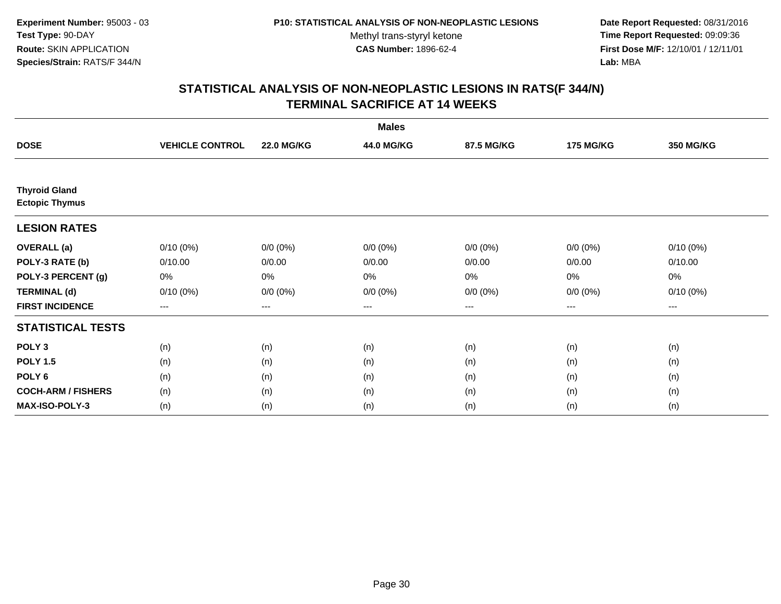**Date Report Requested:** 08/31/2016 **Time Report Requested:** 09:09:36 **First Dose M/F:** 12/10/01 / 12/11/01<br>**Lab:** MBA **Lab:** MBA

|                                               |                        |                   | <b>Males</b> |             |                  |                  |
|-----------------------------------------------|------------------------|-------------------|--------------|-------------|------------------|------------------|
| <b>DOSE</b>                                   | <b>VEHICLE CONTROL</b> | <b>22.0 MG/KG</b> | 44.0 MG/KG   | 87.5 MG/KG  | <b>175 MG/KG</b> | <b>350 MG/KG</b> |
|                                               |                        |                   |              |             |                  |                  |
| <b>Thyroid Gland</b><br><b>Ectopic Thymus</b> |                        |                   |              |             |                  |                  |
| <b>LESION RATES</b>                           |                        |                   |              |             |                  |                  |
| <b>OVERALL</b> (a)                            | $0/10(0\%)$            | $0/0 (0\%)$       | $0/0 (0\%)$  | $0/0 (0\%)$ | $0/0 (0\%)$      | $0/10(0\%)$      |
| POLY-3 RATE (b)                               | 0/10.00                | 0/0.00            | 0/0.00       | 0/0.00      | 0/0.00           | 0/10.00          |
| POLY-3 PERCENT (g)                            | 0%                     | 0%                | 0%           | 0%          | 0%               | 0%               |
| <b>TERMINAL (d)</b>                           | $0/10(0\%)$            | $0/0 (0\%)$       | $0/0 (0\%)$  | $0/0 (0\%)$ | $0/0 (0\%)$      | $0/10(0\%)$      |
| <b>FIRST INCIDENCE</b>                        | $\cdots$               | $\cdots$          | ---          | ---         | $---$            | $---$            |
| <b>STATISTICAL TESTS</b>                      |                        |                   |              |             |                  |                  |
| POLY <sub>3</sub>                             | (n)                    | (n)               | (n)          | (n)         | (n)              | (n)              |
| <b>POLY 1.5</b>                               | (n)                    | (n)               | (n)          | (n)         | (n)              | (n)              |
| POLY <sub>6</sub>                             | (n)                    | (n)               | (n)          | (n)         | (n)              | (n)              |
| <b>COCH-ARM / FISHERS</b>                     | (n)                    | (n)               | (n)          | (n)         | (n)              | (n)              |
| <b>MAX-ISO-POLY-3</b>                         | (n)                    | (n)               | (n)          | (n)         | (n)              | (n)              |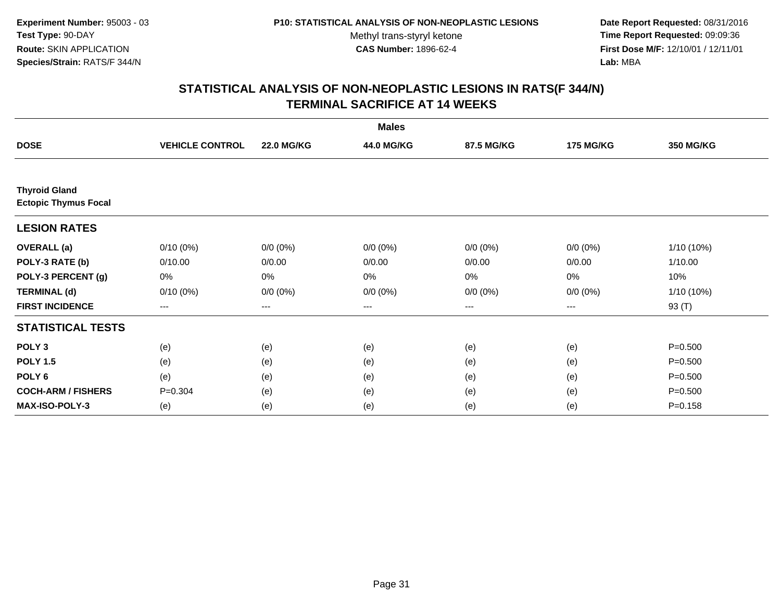**Date Report Requested:** 08/31/2016 **Time Report Requested:** 09:09:36 **First Dose M/F:** 12/10/01 / 12/11/01<br>**Lab:** MBA **Lab:** MBA

| <b>Males</b>                                        |                        |                   |             |                   |                  |                  |  |  |
|-----------------------------------------------------|------------------------|-------------------|-------------|-------------------|------------------|------------------|--|--|
| <b>DOSE</b>                                         | <b>VEHICLE CONTROL</b> | <b>22.0 MG/KG</b> | 44.0 MG/KG  | 87.5 MG/KG        | <b>175 MG/KG</b> | <b>350 MG/KG</b> |  |  |
|                                                     |                        |                   |             |                   |                  |                  |  |  |
| <b>Thyroid Gland</b><br><b>Ectopic Thymus Focal</b> |                        |                   |             |                   |                  |                  |  |  |
| <b>LESION RATES</b>                                 |                        |                   |             |                   |                  |                  |  |  |
| <b>OVERALL</b> (a)                                  | $0/10(0\%)$            | $0/0 (0\%)$       | $0/0 (0\%)$ | $0/0 (0\%)$       | $0/0 (0\%)$      | $1/10(10\%)$     |  |  |
| POLY-3 RATE (b)                                     | 0/10.00                | 0/0.00            | 0/0.00      | 0/0.00            | 0/0.00           | 1/10.00          |  |  |
| POLY-3 PERCENT (g)                                  | 0%                     | 0%                | 0%          | 0%                | $0\%$            | 10%              |  |  |
| <b>TERMINAL (d)</b>                                 | $0/10(0\%)$            | $0/0 (0\%)$       | $0/0 (0\%)$ | $0/0 (0\%)$       | $0/0 (0\%)$      | $1/10(10\%)$     |  |  |
| <b>FIRST INCIDENCE</b>                              | $---$                  | $\qquad \qquad -$ | ---         | $\qquad \qquad -$ | $---$            | 93 (T)           |  |  |
| <b>STATISTICAL TESTS</b>                            |                        |                   |             |                   |                  |                  |  |  |
| POLY <sub>3</sub>                                   | (e)                    | (e)               | (e)         | (e)               | (e)              | $P = 0.500$      |  |  |
| <b>POLY 1.5</b>                                     | (e)                    | (e)               | (e)         | (e)               | (e)              | $P = 0.500$      |  |  |
| POLY <sub>6</sub>                                   | (e)                    | (e)               | (e)         | (e)               | (e)              | $P = 0.500$      |  |  |
| <b>COCH-ARM / FISHERS</b>                           | $P = 0.304$            | (e)               | (e)         | (e)               | (e)              | $P = 0.500$      |  |  |
| <b>MAX-ISO-POLY-3</b>                               | (e)                    | (e)               | (e)         | (e)               | (e)              | $P = 0.158$      |  |  |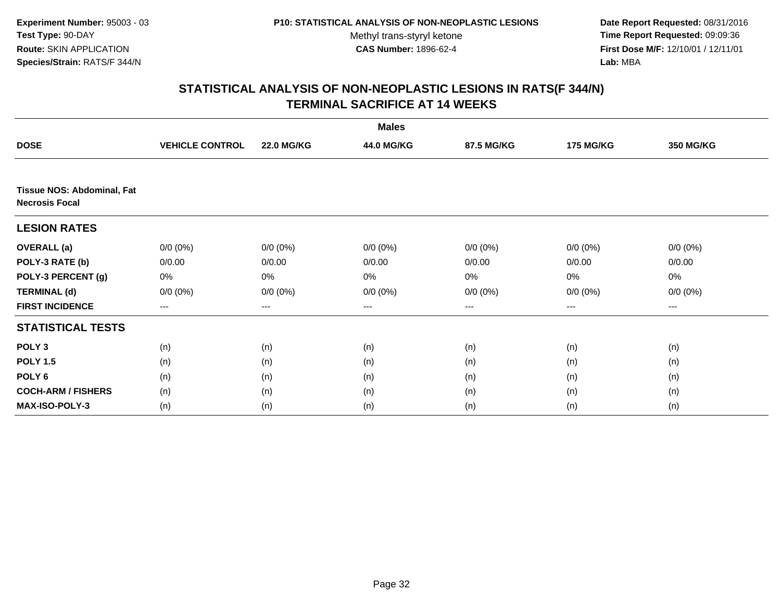**Date Report Requested:** 08/31/2016 **Time Report Requested:** 09:09:36 **First Dose M/F:** 12/10/01 / 12/11/01<br>**Lab:** MBA **Lab:** MBA

|                                                            |                        |                   | <b>Males</b> |             |                  |                  |
|------------------------------------------------------------|------------------------|-------------------|--------------|-------------|------------------|------------------|
| <b>DOSE</b>                                                | <b>VEHICLE CONTROL</b> | <b>22.0 MG/KG</b> | 44.0 MG/KG   | 87.5 MG/KG  | <b>175 MG/KG</b> | <b>350 MG/KG</b> |
|                                                            |                        |                   |              |             |                  |                  |
| <b>Tissue NOS: Abdominal, Fat</b><br><b>Necrosis Focal</b> |                        |                   |              |             |                  |                  |
| <b>LESION RATES</b>                                        |                        |                   |              |             |                  |                  |
| <b>OVERALL</b> (a)                                         | $0/0 (0\%)$            | $0/0 (0\%)$       | $0/0 (0\%)$  | $0/0 (0\%)$ | 0/0 (0%)         | $0/0 (0\%)$      |
| POLY-3 RATE (b)                                            | 0/0.00                 | 0/0.00            | 0/0.00       | 0/0.00      | 0/0.00           | 0/0.00           |
| POLY-3 PERCENT (g)                                         | 0%                     | 0%                | 0%           | 0%          | 0%               | 0%               |
| <b>TERMINAL (d)</b>                                        | $0/0 (0\%)$            | $0/0 (0\%)$       | $0/0 (0\%)$  | $0/0 (0\%)$ | $0/0 (0\%)$      | $0/0 (0\%)$      |
| <b>FIRST INCIDENCE</b>                                     | ---                    | ---               | $--$         | ---         | ---              | $---$            |
| <b>STATISTICAL TESTS</b>                                   |                        |                   |              |             |                  |                  |
| POLY <sub>3</sub>                                          | (n)                    | (n)               | (n)          | (n)         | (n)              | (n)              |
| <b>POLY 1.5</b>                                            | (n)                    | (n)               | (n)          | (n)         | (n)              | (n)              |
| POLY <sub>6</sub>                                          | (n)                    | (n)               | (n)          | (n)         | (n)              | (n)              |
| <b>COCH-ARM / FISHERS</b>                                  | (n)                    | (n)               | (n)          | (n)         | (n)              | (n)              |
| <b>MAX-ISO-POLY-3</b>                                      | (n)                    | (n)               | (n)          | (n)         | (n)              | (n)              |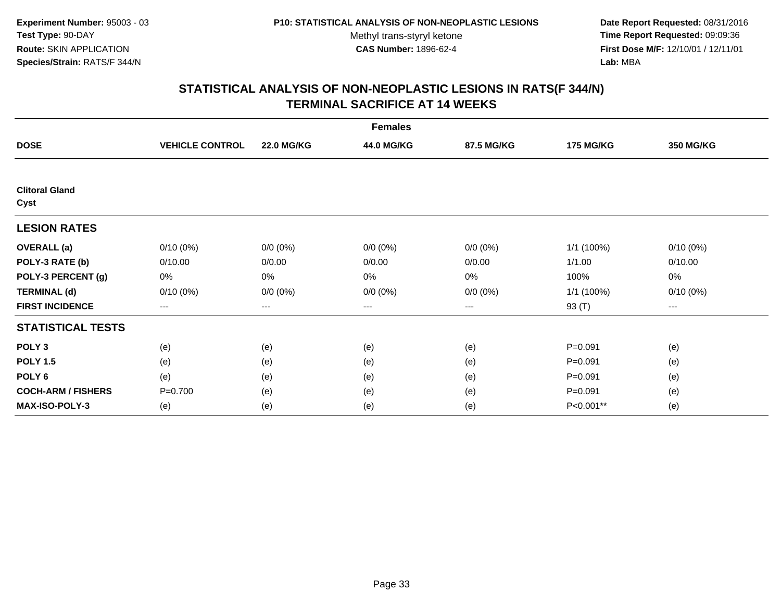**Date Report Requested:** 08/31/2016 **Time Report Requested:** 09:09:36 **First Dose M/F:** 12/10/01 / 12/11/01<br>**Lab:** MBA **Lab:** MBA

| <b>Females</b>                |                        |                   |             |             |                  |                        |  |  |
|-------------------------------|------------------------|-------------------|-------------|-------------|------------------|------------------------|--|--|
| <b>DOSE</b>                   | <b>VEHICLE CONTROL</b> | <b>22.0 MG/KG</b> | 44.0 MG/KG  | 87.5 MG/KG  | <b>175 MG/KG</b> | <b>350 MG/KG</b>       |  |  |
|                               |                        |                   |             |             |                  |                        |  |  |
| <b>Clitoral Gland</b><br>Cyst |                        |                   |             |             |                  |                        |  |  |
| <b>LESION RATES</b>           |                        |                   |             |             |                  |                        |  |  |
| <b>OVERALL</b> (a)            | $0/10(0\%)$            | $0/0 (0\%)$       | $0/0 (0\%)$ | $0/0 (0\%)$ | 1/1 (100%)       | 0/10(0%)               |  |  |
| POLY-3 RATE (b)               | 0/10.00                | 0/0.00            | 0/0.00      | 0/0.00      | 1/1.00           | 0/10.00                |  |  |
| POLY-3 PERCENT (g)            | 0%                     | 0%                | 0%          | 0%          | 100%             | 0%                     |  |  |
| <b>TERMINAL (d)</b>           | $0/10(0\%)$            | $0/0 (0\%)$       | $0/0 (0\%)$ | $0/0 (0\%)$ | 1/1 (100%)       | $0/10(0\%)$            |  |  |
| <b>FIRST INCIDENCE</b>        | ---                    | $---$             | ---         | ---         | 93 (T)           | $\qquad \qquad \cdots$ |  |  |
| <b>STATISTICAL TESTS</b>      |                        |                   |             |             |                  |                        |  |  |
| POLY <sub>3</sub>             | (e)                    | (e)               | (e)         | (e)         | $P = 0.091$      | (e)                    |  |  |
| <b>POLY 1.5</b>               | (e)                    | (e)               | (e)         | (e)         | $P = 0.091$      | (e)                    |  |  |
| POLY <sub>6</sub>             | (e)                    | (e)               | (e)         | (e)         | $P = 0.091$      | (e)                    |  |  |
| <b>COCH-ARM / FISHERS</b>     | $P=0.700$              | (e)               | (e)         | (e)         | $P = 0.091$      | (e)                    |  |  |
| <b>MAX-ISO-POLY-3</b>         | (e)                    | (e)               | (e)         | (e)         | P<0.001**        | (e)                    |  |  |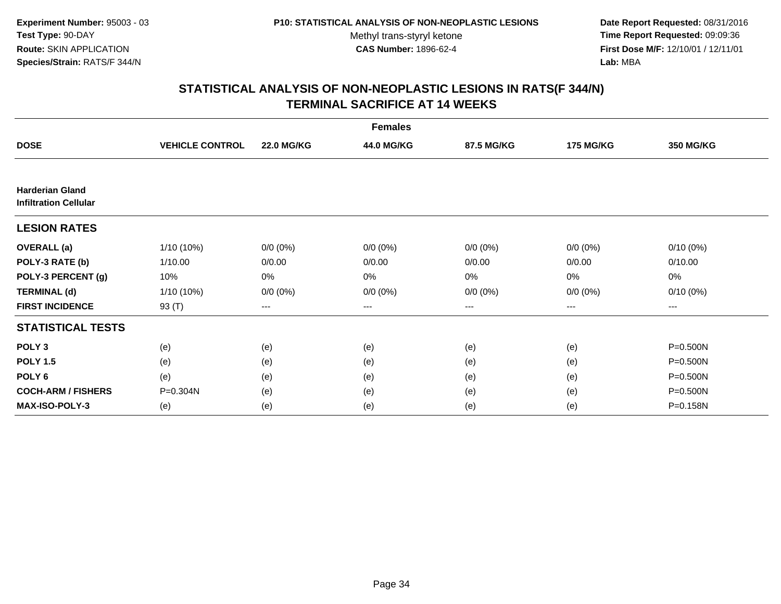**Date Report Requested:** 08/31/2016 **Time Report Requested:** 09:09:36 **First Dose M/F:** 12/10/01 / 12/11/01<br>**Lab:** MBA **Lab:** MBA

|                                                        |                        |                   | <b>Females</b> |             |                  |                  |
|--------------------------------------------------------|------------------------|-------------------|----------------|-------------|------------------|------------------|
| <b>DOSE</b>                                            | <b>VEHICLE CONTROL</b> | <b>22.0 MG/KG</b> | 44.0 MG/KG     | 87.5 MG/KG  | <b>175 MG/KG</b> | <b>350 MG/KG</b> |
|                                                        |                        |                   |                |             |                  |                  |
| <b>Harderian Gland</b><br><b>Infiltration Cellular</b> |                        |                   |                |             |                  |                  |
| <b>LESION RATES</b>                                    |                        |                   |                |             |                  |                  |
| <b>OVERALL</b> (a)                                     | $1/10(10\%)$           | $0/0 (0\%)$       | $0/0 (0\%)$    | $0/0 (0\%)$ | $0/0 (0\%)$      | $0/10(0\%)$      |
| POLY-3 RATE (b)                                        | 1/10.00                | 0/0.00            | 0/0.00         | 0/0.00      | 0/0.00           | 0/10.00          |
| POLY-3 PERCENT (g)                                     | 10%                    | 0%                | 0%             | 0%          | 0%               | 0%               |
| <b>TERMINAL (d)</b>                                    | 1/10 (10%)             | $0/0 (0\%)$       | $0/0 (0\%)$    | $0/0 (0\%)$ | $0/0 (0\%)$      | $0/10(0\%)$      |
| <b>FIRST INCIDENCE</b>                                 | 93 (T)                 | $--$              | ---            | ---         | ---              | ---              |
| <b>STATISTICAL TESTS</b>                               |                        |                   |                |             |                  |                  |
| POLY <sub>3</sub>                                      | (e)                    | (e)               | (e)            | (e)         | (e)              | $P = 0.500N$     |
| <b>POLY 1.5</b>                                        | (e)                    | (e)               | (e)            | (e)         | (e)              | $P = 0.500N$     |
| POLY <sub>6</sub>                                      | (e)                    | (e)               | (e)            | (e)         | (e)              | $P = 0.500N$     |
| <b>COCH-ARM / FISHERS</b>                              | P=0.304N               | (e)               | (e)            | (e)         | (e)              | P=0.500N         |
| <b>MAX-ISO-POLY-3</b>                                  | (e)                    | (e)               | (e)            | (e)         | (e)              | P=0.158N         |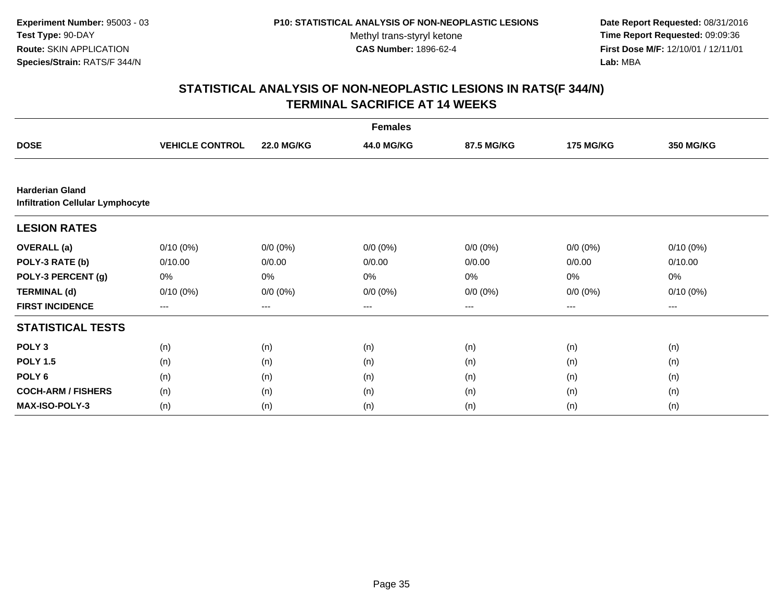**Date Report Requested:** 08/31/2016 **Time Report Requested:** 09:09:36 **First Dose M/F:** 12/10/01 / 12/11/01<br>**Lab:** MBA **Lab:** MBA

| <b>Females</b>                                                    |                        |                   |             |             |                  |             |  |  |
|-------------------------------------------------------------------|------------------------|-------------------|-------------|-------------|------------------|-------------|--|--|
| <b>DOSE</b>                                                       | <b>VEHICLE CONTROL</b> | <b>22.0 MG/KG</b> | 44.0 MG/KG  | 87.5 MG/KG  | <b>175 MG/KG</b> | 350 MG/KG   |  |  |
|                                                                   |                        |                   |             |             |                  |             |  |  |
| <b>Harderian Gland</b><br><b>Infiltration Cellular Lymphocyte</b> |                        |                   |             |             |                  |             |  |  |
| <b>LESION RATES</b>                                               |                        |                   |             |             |                  |             |  |  |
| <b>OVERALL</b> (a)                                                | $0/10(0\%)$            | $0/0 (0\%)$       | $0/0 (0\%)$ | $0/0 (0\%)$ | $0/0 (0\%)$      | $0/10(0\%)$ |  |  |
| POLY-3 RATE (b)                                                   | 0/10.00                | 0/0.00            | 0/0.00      | 0/0.00      | 0/0.00           | 0/10.00     |  |  |
| POLY-3 PERCENT (g)                                                | 0%                     | 0%                | 0%          | 0%          | 0%               | 0%          |  |  |
| <b>TERMINAL (d)</b>                                               | $0/10(0\%)$            | $0/0 (0\%)$       | $0/0 (0\%)$ | $0/0 (0\%)$ | $0/0 (0\%)$      | $0/10(0\%)$ |  |  |
| <b>FIRST INCIDENCE</b>                                            | $\qquad \qquad -$      | ---               | ---         | $--$        | ---              | ---         |  |  |
| <b>STATISTICAL TESTS</b>                                          |                        |                   |             |             |                  |             |  |  |
| POLY <sub>3</sub>                                                 | (n)                    | (n)               | (n)         | (n)         | (n)              | (n)         |  |  |
| <b>POLY 1.5</b>                                                   | (n)                    | (n)               | (n)         | (n)         | (n)              | (n)         |  |  |
| POLY <sub>6</sub>                                                 | (n)                    | (n)               | (n)         | (n)         | (n)              | (n)         |  |  |
| <b>COCH-ARM / FISHERS</b>                                         | (n)                    | (n)               | (n)         | (n)         | (n)              | (n)         |  |  |
| MAX-ISO-POLY-3                                                    | (n)                    | (n)               | (n)         | (n)         | (n)              | (n)         |  |  |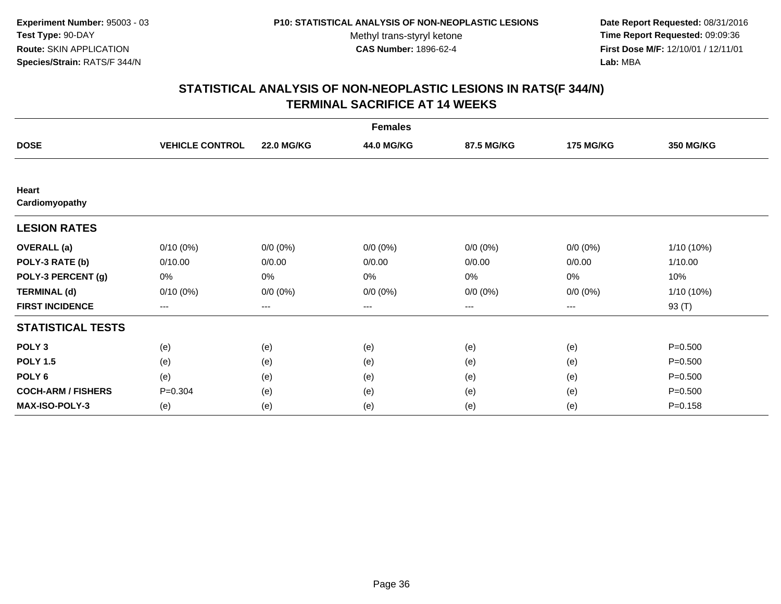**Date Report Requested:** 08/31/2016 **Time Report Requested:** 09:09:36 **First Dose M/F:** 12/10/01 / 12/11/01<br>**Lab:** MBA **Lab:** MBA

|                           |                        |                        | <b>Females</b> |             |                  |                  |
|---------------------------|------------------------|------------------------|----------------|-------------|------------------|------------------|
| <b>DOSE</b>               | <b>VEHICLE CONTROL</b> | <b>22.0 MG/KG</b>      | 44.0 MG/KG     | 87.5 MG/KG  | <b>175 MG/KG</b> | <b>350 MG/KG</b> |
|                           |                        |                        |                |             |                  |                  |
| Heart<br>Cardiomyopathy   |                        |                        |                |             |                  |                  |
| <b>LESION RATES</b>       |                        |                        |                |             |                  |                  |
| <b>OVERALL</b> (a)        | $0/10(0\%)$            | $0/0 (0\%)$            | $0/0 (0\%)$    | $0/0 (0\%)$ | $0/0 (0\%)$      | 1/10 (10%)       |
| POLY-3 RATE (b)           | 0/10.00                | 0/0.00                 | 0/0.00         | 0/0.00      | 0/0.00           | 1/10.00          |
| POLY-3 PERCENT (g)        | 0%                     | 0%                     | 0%             | 0%          | 0%               | 10%              |
| <b>TERMINAL (d)</b>       | $0/10(0\%)$            | $0/0 (0\%)$            | $0/0 (0\%)$    | $0/0 (0\%)$ | $0/0 (0\%)$      | 1/10 (10%)       |
| <b>FIRST INCIDENCE</b>    | ---                    | $\qquad \qquad \cdots$ | ---            | ---         | ---              | 93 (T)           |
| <b>STATISTICAL TESTS</b>  |                        |                        |                |             |                  |                  |
| POLY <sub>3</sub>         | (e)                    | (e)                    | (e)            | (e)         | (e)              | $P = 0.500$      |
| <b>POLY 1.5</b>           | (e)                    | (e)                    | (e)            | (e)         | (e)              | $P = 0.500$      |
| POLY <sub>6</sub>         | (e)                    | (e)                    | (e)            | (e)         | (e)              | $P = 0.500$      |
| <b>COCH-ARM / FISHERS</b> | $P = 0.304$            | (e)                    | (e)            | (e)         | (e)              | $P = 0.500$      |
| <b>MAX-ISO-POLY-3</b>     | (e)                    | (e)                    | (e)            | (e)         | (e)              | $P = 0.158$      |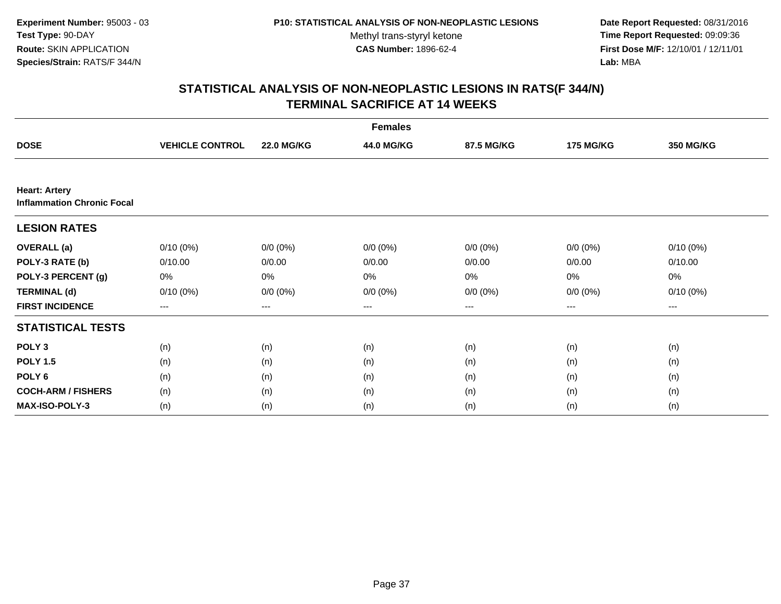**Date Report Requested:** 08/31/2016 **Time Report Requested:** 09:09:36 **First Dose M/F:** 12/10/01 / 12/11/01<br>**Lab:** MBA **Lab:** MBA

| <b>Females</b>                                            |                        |                   |             |             |                  |                  |  |  |
|-----------------------------------------------------------|------------------------|-------------------|-------------|-------------|------------------|------------------|--|--|
| <b>DOSE</b>                                               | <b>VEHICLE CONTROL</b> | <b>22.0 MG/KG</b> | 44.0 MG/KG  | 87.5 MG/KG  | <b>175 MG/KG</b> | <b>350 MG/KG</b> |  |  |
|                                                           |                        |                   |             |             |                  |                  |  |  |
| <b>Heart: Artery</b><br><b>Inflammation Chronic Focal</b> |                        |                   |             |             |                  |                  |  |  |
| <b>LESION RATES</b>                                       |                        |                   |             |             |                  |                  |  |  |
| <b>OVERALL</b> (a)                                        | $0/10(0\%)$            | $0/0 (0\%)$       | $0/0 (0\%)$ | $0/0 (0\%)$ | $0/0 (0\%)$      | $0/10(0\%)$      |  |  |
| POLY-3 RATE (b)                                           | 0/10.00                | 0/0.00            | 0/0.00      | 0/0.00      | 0/0.00           | 0/10.00          |  |  |
| POLY-3 PERCENT (g)                                        | 0%                     | 0%                | 0%          | 0%          | 0%               | 0%               |  |  |
| <b>TERMINAL (d)</b>                                       | $0/10(0\%)$            | $0/0 (0\%)$       | $0/0 (0\%)$ | $0/0 (0\%)$ | $0/0 (0\%)$      | $0/10(0\%)$      |  |  |
| <b>FIRST INCIDENCE</b>                                    | $\qquad \qquad \cdots$ | $---$             | ---         | $--$        | $--$             | ---              |  |  |
| <b>STATISTICAL TESTS</b>                                  |                        |                   |             |             |                  |                  |  |  |
| POLY <sub>3</sub>                                         | (n)                    | (n)               | (n)         | (n)         | (n)              | (n)              |  |  |
| <b>POLY 1.5</b>                                           | (n)                    | (n)               | (n)         | (n)         | (n)              | (n)              |  |  |
| POLY <sub>6</sub>                                         | (n)                    | (n)               | (n)         | (n)         | (n)              | (n)              |  |  |
| <b>COCH-ARM / FISHERS</b>                                 | (n)                    | (n)               | (n)         | (n)         | (n)              | (n)              |  |  |
| <b>MAX-ISO-POLY-3</b>                                     | (n)                    | (n)               | (n)         | (n)         | (n)              | (n)              |  |  |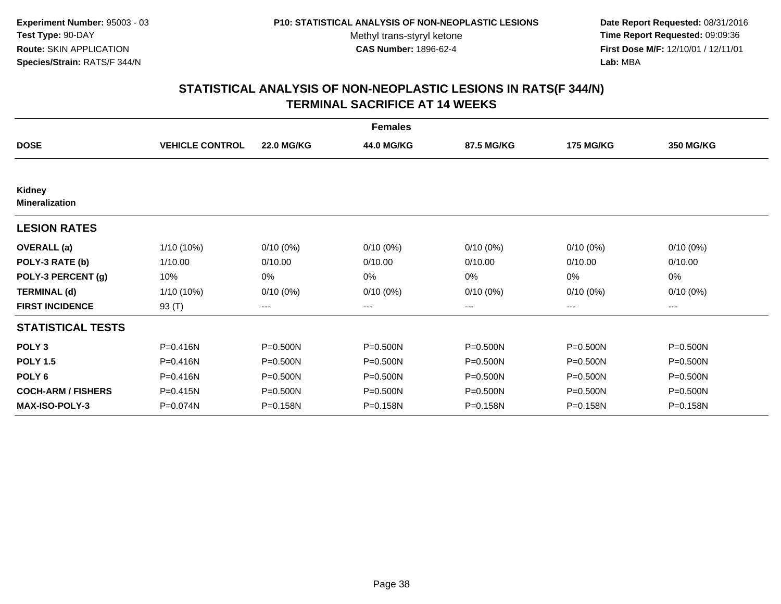**Date Report Requested:** 08/31/2016 **Time Report Requested:** 09:09:36 **First Dose M/F:** 12/10/01 / 12/11/01<br>**Lab:** MBA **Lab:** MBA

|                           |                        |                   | <b>Females</b> |              |                  |              |
|---------------------------|------------------------|-------------------|----------------|--------------|------------------|--------------|
| <b>DOSE</b>               | <b>VEHICLE CONTROL</b> | <b>22.0 MG/KG</b> | 44.0 MG/KG     | 87.5 MG/KG   | <b>175 MG/KG</b> | 350 MG/KG    |
| Kidney                    |                        |                   |                |              |                  |              |
| <b>Mineralization</b>     |                        |                   |                |              |                  |              |
| <b>LESION RATES</b>       |                        |                   |                |              |                  |              |
| <b>OVERALL (a)</b>        | 1/10 (10%)             | $0/10(0\%)$       | $0/10(0\%)$    | $0/10(0\%)$  | $0/10(0\%)$      | $0/10(0\%)$  |
| POLY-3 RATE (b)           | 1/10.00                | 0/10.00           | 0/10.00        | 0/10.00      | 0/10.00          | 0/10.00      |
| POLY-3 PERCENT (g)        | 10%                    | 0%                | 0%             | 0%           | 0%               | 0%           |
| <b>TERMINAL (d)</b>       | 1/10 (10%)             | $0/10(0\%)$       | $0/10(0\%)$    | $0/10(0\%)$  | $0/10(0\%)$      | $0/10(0\%)$  |
| <b>FIRST INCIDENCE</b>    | 93 (T)                 | $--$              | ---            | ---          | ---              | $--$         |
| <b>STATISTICAL TESTS</b>  |                        |                   |                |              |                  |              |
| POLY <sub>3</sub>         | P=0.416N               | P=0.500N          | $P = 0.500N$   | $P = 0.500N$ | $P = 0.500N$     | $P = 0.500N$ |
| <b>POLY 1.5</b>           | P=0.416N               | $P = 0.500N$      | $P = 0.500N$   | $P = 0.500N$ | $P = 0.500N$     | $P = 0.500N$ |
| POLY <sub>6</sub>         | P=0.416N               | $P = 0.500N$      | $P = 0.500N$   | P=0.500N     | $P = 0.500N$     | $P = 0.500N$ |
| <b>COCH-ARM / FISHERS</b> | $P = 0.415N$           | P=0.500N          | P=0.500N       | P=0.500N     | P=0.500N         | P=0.500N     |
| <b>MAX-ISO-POLY-3</b>     | P=0.074N               | P=0.158N          | P=0.158N       | P=0.158N     | P=0.158N         | P=0.158N     |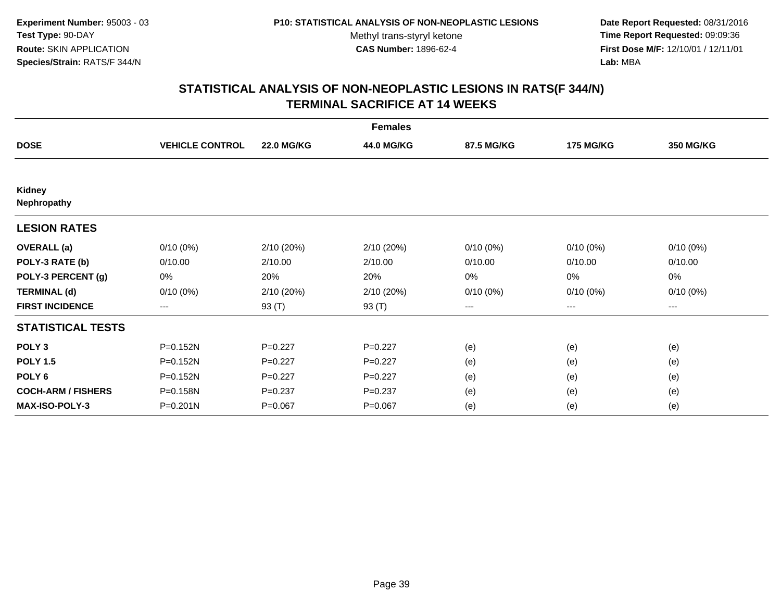**Date Report Requested:** 08/31/2016 **Time Report Requested:** 09:09:36 **First Dose M/F:** 12/10/01 / 12/11/01<br>**Lab:** MBA **Lab:** MBA

|                              |                        |                   | <b>Females</b> |             |                  |                  |
|------------------------------|------------------------|-------------------|----------------|-------------|------------------|------------------|
| <b>DOSE</b>                  | <b>VEHICLE CONTROL</b> | <b>22.0 MG/KG</b> | 44.0 MG/KG     | 87.5 MG/KG  | <b>175 MG/KG</b> | <b>350 MG/KG</b> |
|                              |                        |                   |                |             |                  |                  |
| <b>Kidney</b><br>Nephropathy |                        |                   |                |             |                  |                  |
| <b>LESION RATES</b>          |                        |                   |                |             |                  |                  |
| <b>OVERALL</b> (a)           | 0/10(0%)               | 2/10(20%)         | 2/10(20%)      | $0/10(0\%)$ | $0/10(0\%)$      | $0/10(0\%)$      |
| POLY-3 RATE (b)              | 0/10.00                | 2/10.00           | 2/10.00        | 0/10.00     | 0/10.00          | 0/10.00          |
| POLY-3 PERCENT (g)           | 0%                     | 20%               | 20%            | 0%          | 0%               | 0%               |
| <b>TERMINAL (d)</b>          | $0/10(0\%)$            | 2/10(20%)         | 2/10(20%)      | $0/10(0\%)$ | $0/10(0\%)$      | $0/10(0\%)$      |
| <b>FIRST INCIDENCE</b>       | $\qquad \qquad \cdots$ | 93 (T)            | 93 (T)         | ---         | ---              | ---              |
| <b>STATISTICAL TESTS</b>     |                        |                   |                |             |                  |                  |
| POLY <sub>3</sub>            | P=0.152N               | $P=0.227$         | $P=0.227$      | (e)         | (e)              | (e)              |
| <b>POLY 1.5</b>              | P=0.152N               | $P=0.227$         | $P=0.227$      | (e)         | (e)              | (e)              |
| POLY <sub>6</sub>            | P=0.152N               | $P=0.227$         | $P=0.227$      | (e)         | (e)              | (e)              |
| <b>COCH-ARM / FISHERS</b>    | P=0.158N               | $P=0.237$         | $P = 0.237$    | (e)         | (e)              | (e)              |
| MAX-ISO-POLY-3               | $P = 0.201N$           | $P = 0.067$       | $P = 0.067$    | (e)         | (e)              | (e)              |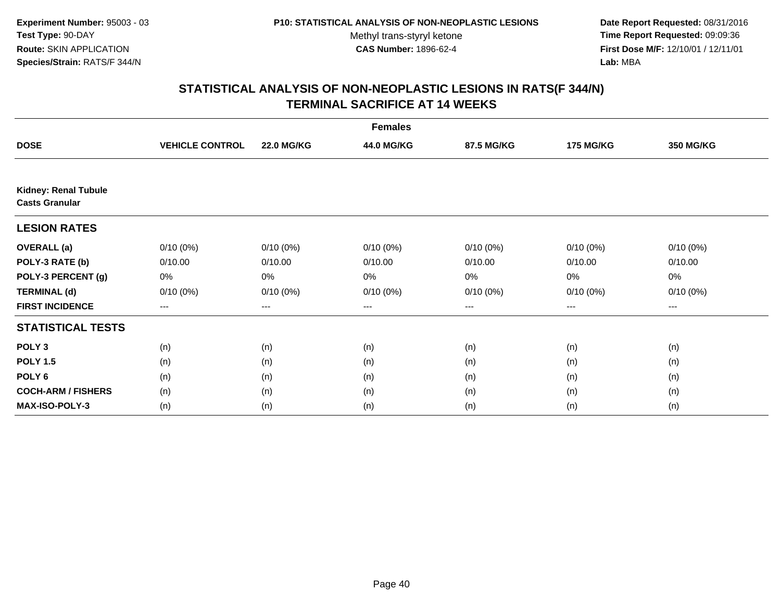**Date Report Requested:** 08/31/2016 **Time Report Requested:** 09:09:36 **First Dose M/F:** 12/10/01 / 12/11/01<br>**Lab:** MBA **Lab:** MBA

|                             |                        |                   | <b>Females</b> |             |                  |                  |
|-----------------------------|------------------------|-------------------|----------------|-------------|------------------|------------------|
| <b>DOSE</b>                 | <b>VEHICLE CONTROL</b> | <b>22.0 MG/KG</b> | 44.0 MG/KG     | 87.5 MG/KG  | <b>175 MG/KG</b> | <b>350 MG/KG</b> |
| <b>Kidney: Renal Tubule</b> |                        |                   |                |             |                  |                  |
| <b>Casts Granular</b>       |                        |                   |                |             |                  |                  |
| <b>LESION RATES</b>         |                        |                   |                |             |                  |                  |
| <b>OVERALL</b> (a)          | $0/10(0\%)$            | $0/10(0\%)$       | $0/10(0\%)$    | $0/10(0\%)$ | $0/10(0\%)$      | $0/10(0\%)$      |
| POLY-3 RATE (b)             | 0/10.00                | 0/10.00           | 0/10.00        | 0/10.00     | 0/10.00          | 0/10.00          |
| POLY-3 PERCENT (g)          | 0%                     | 0%                | 0%             | 0%          | 0%               | 0%               |
| <b>TERMINAL (d)</b>         | $0/10(0\%)$            | $0/10(0\%)$       | $0/10(0\%)$    | 0/10(0%)    | $0/10(0\%)$      | $0/10(0\%)$      |
| <b>FIRST INCIDENCE</b>      | $\qquad \qquad -$      | ---               | ---            | $--$        | ---              | ---              |
| <b>STATISTICAL TESTS</b>    |                        |                   |                |             |                  |                  |
| POLY <sub>3</sub>           | (n)                    | (n)               | (n)            | (n)         | (n)              | (n)              |
| <b>POLY 1.5</b>             | (n)                    | (n)               | (n)            | (n)         | (n)              | (n)              |
| POLY <sub>6</sub>           | (n)                    | (n)               | (n)            | (n)         | (n)              | (n)              |
| <b>COCH-ARM / FISHERS</b>   | (n)                    | (n)               | (n)            | (n)         | (n)              | (n)              |
| <b>MAX-ISO-POLY-3</b>       | (n)                    | (n)               | (n)            | (n)         | (n)              | (n)              |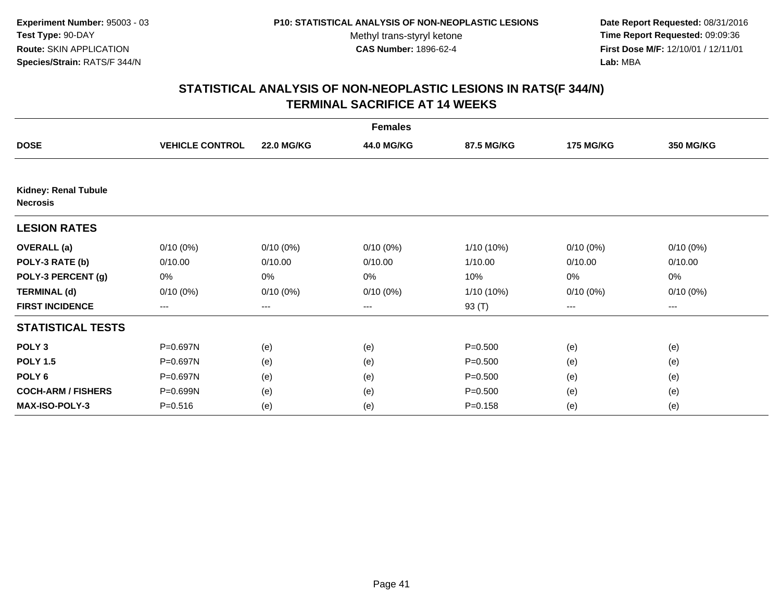**Date Report Requested:** 08/31/2016 **Time Report Requested:** 09:09:36 **First Dose M/F:** 12/10/01 / 12/11/01<br>**Lab:** MBA **Lab:** MBA

|                                                |                        |                   | <b>Females</b> |             |                  |                  |
|------------------------------------------------|------------------------|-------------------|----------------|-------------|------------------|------------------|
| <b>DOSE</b>                                    | <b>VEHICLE CONTROL</b> | <b>22.0 MG/KG</b> | 44.0 MG/KG     | 87.5 MG/KG  | <b>175 MG/KG</b> | <b>350 MG/KG</b> |
|                                                |                        |                   |                |             |                  |                  |
| <b>Kidney: Renal Tubule</b><br><b>Necrosis</b> |                        |                   |                |             |                  |                  |
| <b>LESION RATES</b>                            |                        |                   |                |             |                  |                  |
| <b>OVERALL</b> (a)                             | $0/10(0\%)$            | $0/10(0\%)$       | $0/10(0\%)$    | 1/10 (10%)  | $0/10(0\%)$      | $0/10(0\%)$      |
| POLY-3 RATE (b)                                | 0/10.00                | 0/10.00           | 0/10.00        | 1/10.00     | 0/10.00          | 0/10.00          |
| POLY-3 PERCENT (g)                             | 0%                     | 0%                | 0%             | 10%         | 0%               | 0%               |
| <b>TERMINAL (d)</b>                            | $0/10(0\%)$            | $0/10(0\%)$       | $0/10(0\%)$    | 1/10 (10%)  | $0/10(0\%)$      | $0/10(0\%)$      |
| <b>FIRST INCIDENCE</b>                         | $---$                  | $---$             | ---            | 93 (T)      | ---              | ---              |
| <b>STATISTICAL TESTS</b>                       |                        |                   |                |             |                  |                  |
| POLY <sub>3</sub>                              | P=0.697N               | (e)               | (e)            | $P = 0.500$ | (e)              | (e)              |
| <b>POLY 1.5</b>                                | P=0.697N               | (e)               | (e)            | $P = 0.500$ | (e)              | (e)              |
| POLY <sub>6</sub>                              | P=0.697N               | (e)               | (e)            | $P = 0.500$ | (e)              | (e)              |
| <b>COCH-ARM / FISHERS</b>                      | P=0.699N               | (e)               | (e)            | $P = 0.500$ | (e)              | (e)              |
| <b>MAX-ISO-POLY-3</b>                          | $P = 0.516$            | (e)               | (e)            | $P = 0.158$ | (e)              | (e)              |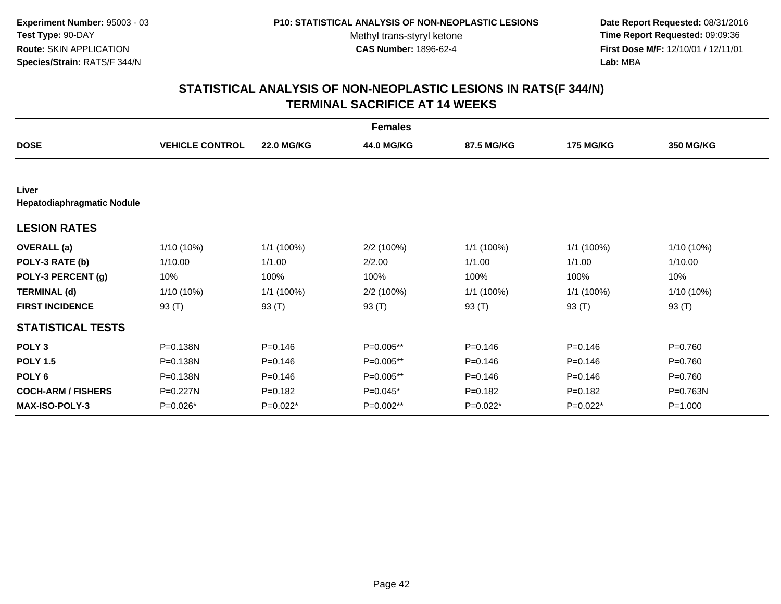**Date Report Requested:** 08/31/2016 **Time Report Requested:** 09:09:36 **First Dose M/F:** 12/10/01 / 12/11/01<br>**Lab:** MBA **Lab:** MBA

|                                     |                        |                   | <b>Females</b> |             |                  |                  |
|-------------------------------------|------------------------|-------------------|----------------|-------------|------------------|------------------|
| <b>DOSE</b>                         | <b>VEHICLE CONTROL</b> | <b>22.0 MG/KG</b> | 44.0 MG/KG     | 87.5 MG/KG  | <b>175 MG/KG</b> | <b>350 MG/KG</b> |
|                                     |                        |                   |                |             |                  |                  |
| Liver<br>Hepatodiaphragmatic Nodule |                        |                   |                |             |                  |                  |
| <b>LESION RATES</b>                 |                        |                   |                |             |                  |                  |
| <b>OVERALL</b> (a)                  | 1/10 (10%)             | 1/1 (100%)        | 2/2 (100%)     | 1/1 (100%)  | 1/1 (100%)       | 1/10 (10%)       |
| POLY-3 RATE (b)                     | 1/10.00                | 1/1.00            | 2/2.00         | 1/1.00      | 1/1.00           | 1/10.00          |
| POLY-3 PERCENT (g)                  | 10%                    | 100%              | 100%           | 100%        | 100%             | 10%              |
| <b>TERMINAL (d)</b>                 | 1/10 (10%)             | 1/1(100%)         | 2/2 (100%)     | 1/1 (100%)  | 1/1 (100%)       | 1/10 (10%)       |
| <b>FIRST INCIDENCE</b>              | 93 $(T)$               | 93 (T)            | 93 (T)         | 93 (T)      | 93 (T)           | 93 (T)           |
| <b>STATISTICAL TESTS</b>            |                        |                   |                |             |                  |                  |
| POLY <sub>3</sub>                   | P=0.138N               | $P = 0.146$       | P=0.005**      | $P = 0.146$ | $P = 0.146$      | $P = 0.760$      |
| <b>POLY 1.5</b>                     | P=0.138N               | $P = 0.146$       | P=0.005**      | $P = 0.146$ | $P = 0.146$      | $P = 0.760$      |
| POLY <sub>6</sub>                   | P=0.138N               | $P = 0.146$       | P=0.005**      | $P = 0.146$ | $P = 0.146$      | $P = 0.760$      |
| <b>COCH-ARM / FISHERS</b>           | P=0.227N               | $P = 0.182$       | $P=0.045*$     | $P = 0.182$ | $P = 0.182$      | P=0.763N         |
| <b>MAX-ISO-POLY-3</b>               | $P=0.026*$             | $P=0.022*$        | $P=0.002**$    | P=0.022*    | $P=0.022*$       | $P = 1.000$      |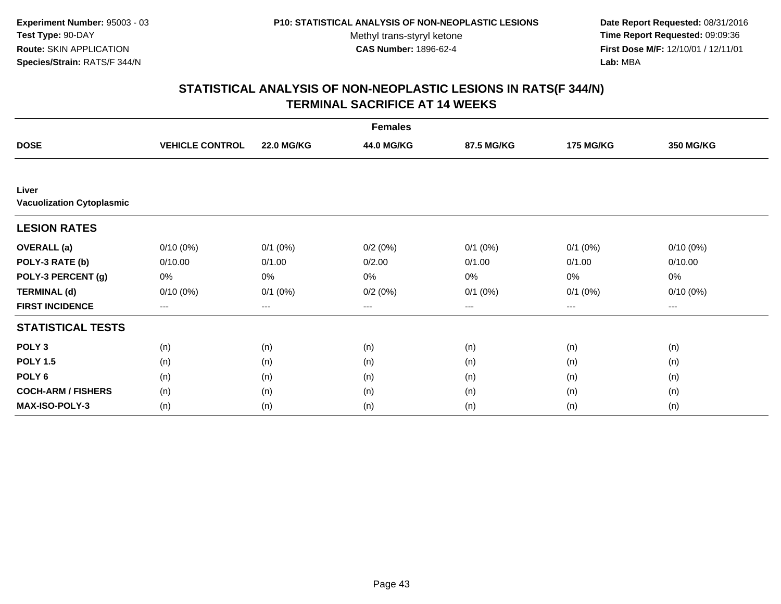**Date Report Requested:** 08/31/2016 **Time Report Requested:** 09:09:36 **First Dose M/F:** 12/10/01 / 12/11/01<br>**Lab:** MBA **Lab:** MBA

|                                           |                        |                   | <b>Females</b> |              |                  |                  |
|-------------------------------------------|------------------------|-------------------|----------------|--------------|------------------|------------------|
| <b>DOSE</b>                               | <b>VEHICLE CONTROL</b> | <b>22.0 MG/KG</b> | 44.0 MG/KG     | 87.5 MG/KG   | <b>175 MG/KG</b> | <b>350 MG/KG</b> |
|                                           |                        |                   |                |              |                  |                  |
| Liver<br><b>Vacuolization Cytoplasmic</b> |                        |                   |                |              |                  |                  |
| <b>LESION RATES</b>                       |                        |                   |                |              |                  |                  |
| <b>OVERALL</b> (a)                        | $0/10(0\%)$            | $0/1$ $(0%)$      | 0/2(0%)        | $0/1$ $(0%)$ | $0/1$ (0%)       | $0/10(0\%)$      |
| POLY-3 RATE (b)                           | 0/10.00                | 0/1.00            | 0/2.00         | 0/1.00       | 0/1.00           | 0/10.00          |
| POLY-3 PERCENT (g)                        | 0%                     | 0%                | 0%             | 0%           | 0%               | 0%               |
| <b>TERMINAL (d)</b>                       | $0/10(0\%)$            | $0/1$ $(0%)$      | 0/2(0%)        | $0/1$ $(0%)$ | $0/1$ $(0%)$     | $0/10(0\%)$      |
| <b>FIRST INCIDENCE</b>                    | ---                    | $---$             | ---            | ---          | $---$            | $--$             |
| <b>STATISTICAL TESTS</b>                  |                        |                   |                |              |                  |                  |
| POLY <sub>3</sub>                         | (n)                    | (n)               | (n)            | (n)          | (n)              | (n)              |
| <b>POLY 1.5</b>                           | (n)                    | (n)               | (n)            | (n)          | (n)              | (n)              |
| POLY <sub>6</sub>                         | (n)                    | (n)               | (n)            | (n)          | (n)              | (n)              |
| <b>COCH-ARM / FISHERS</b>                 | (n)                    | (n)               | (n)            | (n)          | (n)              | (n)              |
| <b>MAX-ISO-POLY-3</b>                     | (n)                    | (n)               | (n)            | (n)          | (n)              | (n)              |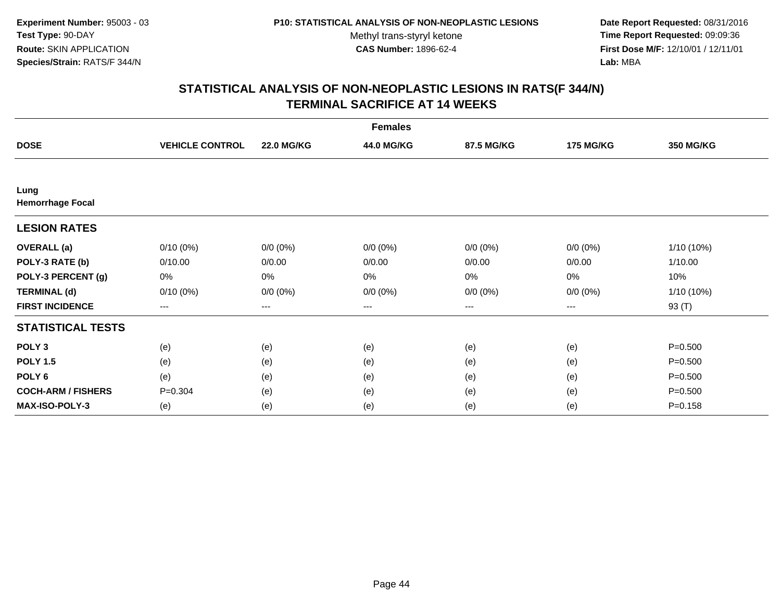**Date Report Requested:** 08/31/2016 **Time Report Requested:** 09:09:36 **First Dose M/F:** 12/10/01 / 12/11/01<br>**Lab:** MBA **Lab:** MBA

|                                 |                        |                        | <b>Females</b> |             |                        |                  |
|---------------------------------|------------------------|------------------------|----------------|-------------|------------------------|------------------|
| <b>DOSE</b>                     | <b>VEHICLE CONTROL</b> | <b>22.0 MG/KG</b>      | 44.0 MG/KG     | 87.5 MG/KG  | <b>175 MG/KG</b>       | <b>350 MG/KG</b> |
|                                 |                        |                        |                |             |                        |                  |
| Lung<br><b>Hemorrhage Focal</b> |                        |                        |                |             |                        |                  |
| <b>LESION RATES</b>             |                        |                        |                |             |                        |                  |
| <b>OVERALL</b> (a)              | $0/10(0\%)$            | $0/0 (0\%)$            | $0/0 (0\%)$    | $0/0 (0\%)$ | $0/0 (0\%)$            | 1/10 (10%)       |
| POLY-3 RATE (b)                 | 0/10.00                | 0/0.00                 | 0/0.00         | 0/0.00      | 0/0.00                 | 1/10.00          |
| POLY-3 PERCENT (g)              | 0%                     | 0%                     | 0%             | 0%          | 0%                     | 10%              |
| <b>TERMINAL (d)</b>             | $0/10(0\%)$            | $0/0 (0\%)$            | $0/0 (0\%)$    | $0/0 (0\%)$ | $0/0 (0\%)$            | 1/10 (10%)       |
| <b>FIRST INCIDENCE</b>          | ---                    | $\qquad \qquad \cdots$ | ---            | ---         | $\qquad \qquad \cdots$ | 93 (T)           |
| <b>STATISTICAL TESTS</b>        |                        |                        |                |             |                        |                  |
| POLY <sub>3</sub>               | (e)                    | (e)                    | (e)            | (e)         | (e)                    | $P = 0.500$      |
| <b>POLY 1.5</b>                 | (e)                    | (e)                    | (e)            | (e)         | (e)                    | $P = 0.500$      |
| POLY <sub>6</sub>               | (e)                    | (e)                    | (e)            | (e)         | (e)                    | $P = 0.500$      |
| <b>COCH-ARM / FISHERS</b>       | $P = 0.304$            | (e)                    | (e)            | (e)         | (e)                    | $P = 0.500$      |
| <b>MAX-ISO-POLY-3</b>           | (e)                    | (e)                    | (e)            | (e)         | (e)                    | $P = 0.158$      |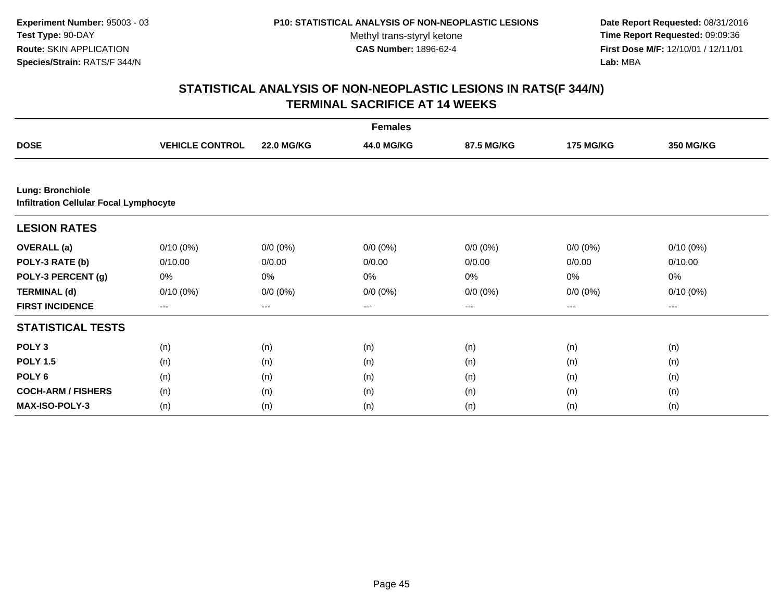**Date Report Requested:** 08/31/2016 **Time Report Requested:** 09:09:36 **First Dose M/F:** 12/10/01 / 12/11/01<br>**Lab:** MBA **Lab:** MBA

|                                                                   |                        |                   | <b>Females</b> |             |                  |             |  |  |
|-------------------------------------------------------------------|------------------------|-------------------|----------------|-------------|------------------|-------------|--|--|
| <b>DOSE</b>                                                       | <b>VEHICLE CONTROL</b> | <b>22.0 MG/KG</b> | 44.0 MG/KG     | 87.5 MG/KG  | <b>175 MG/KG</b> | 350 MG/KG   |  |  |
|                                                                   |                        |                   |                |             |                  |             |  |  |
| Lung: Bronchiole<br><b>Infiltration Cellular Focal Lymphocyte</b> |                        |                   |                |             |                  |             |  |  |
| <b>LESION RATES</b>                                               |                        |                   |                |             |                  |             |  |  |
| <b>OVERALL</b> (a)                                                | $0/10(0\%)$            | $0/0 (0\%)$       | $0/0 (0\%)$    | $0/0 (0\%)$ | $0/0 (0\%)$      | $0/10(0\%)$ |  |  |
| POLY-3 RATE (b)                                                   | 0/10.00                | 0/0.00            | 0/0.00         | 0/0.00      | 0/0.00           | 0/10.00     |  |  |
| POLY-3 PERCENT (g)                                                | 0%                     | 0%                | 0%             | 0%          | 0%               | 0%          |  |  |
| <b>TERMINAL (d)</b>                                               | $0/10(0\%)$            | $0/0 (0\%)$       | $0/0 (0\%)$    | $0/0 (0\%)$ | $0/0 (0\%)$      | $0/10(0\%)$ |  |  |
| <b>FIRST INCIDENCE</b>                                            | ---                    | ---               | ---            | ---         | ---              | ---         |  |  |
| <b>STATISTICAL TESTS</b>                                          |                        |                   |                |             |                  |             |  |  |
| POLY <sub>3</sub>                                                 | (n)                    | (n)               | (n)            | (n)         | (n)              | (n)         |  |  |
| <b>POLY 1.5</b>                                                   | (n)                    | (n)               | (n)            | (n)         | (n)              | (n)         |  |  |
| POLY 6                                                            | (n)                    | (n)               | (n)            | (n)         | (n)              | (n)         |  |  |
| <b>COCH-ARM / FISHERS</b>                                         | (n)                    | (n)               | (n)            | (n)         | (n)              | (n)         |  |  |
| <b>MAX-ISO-POLY-3</b>                                             | (n)                    | (n)               | (n)            | (n)         | (n)              | (n)         |  |  |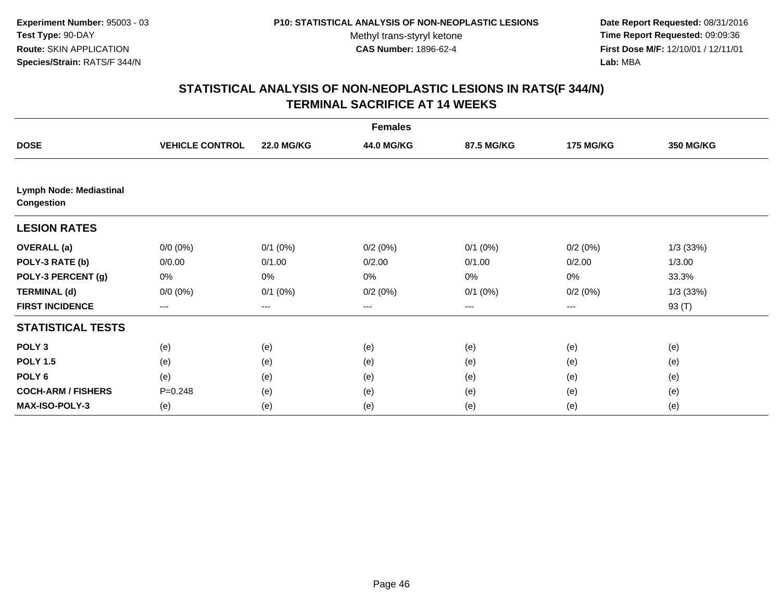**Date Report Requested:** 08/31/2016 **Time Report Requested:** 09:09:36 **First Dose M/F:** 12/10/01 / 12/11/01<br>**Lab:** MBA **Lab:** MBA

| <b>Females</b>                               |                        |                   |            |              |                  |                  |  |
|----------------------------------------------|------------------------|-------------------|------------|--------------|------------------|------------------|--|
| <b>DOSE</b>                                  | <b>VEHICLE CONTROL</b> | <b>22.0 MG/KG</b> | 44.0 MG/KG | 87.5 MG/KG   | <b>175 MG/KG</b> | <b>350 MG/KG</b> |  |
|                                              |                        |                   |            |              |                  |                  |  |
| <b>Lymph Node: Mediastinal</b><br>Congestion |                        |                   |            |              |                  |                  |  |
| <b>LESION RATES</b>                          |                        |                   |            |              |                  |                  |  |
| <b>OVERALL</b> (a)                           | $0/0 (0\%)$            | $0/1$ $(0%)$      | 0/2(0%)    | $0/1$ $(0%)$ | 0/2(0%)          | $1/3$ (33%)      |  |
| POLY-3 RATE (b)                              | 0/0.00                 | 0/1.00            | 0/2.00     | 0/1.00       | 0/2.00           | 1/3.00           |  |
| POLY-3 PERCENT (g)                           | 0%                     | 0%                | 0%         | 0%           | 0%               | 33.3%            |  |
| <b>TERMINAL (d)</b>                          | $0/0 (0\%)$            | $0/1$ $(0%)$      | 0/2(0%)    | $0/1$ $(0%)$ | 0/2(0%)          | $1/3$ (33%)      |  |
| <b>FIRST INCIDENCE</b>                       | ---                    | ---               | ---        | ---          | ---              | 93 (T)           |  |
| <b>STATISTICAL TESTS</b>                     |                        |                   |            |              |                  |                  |  |
| POLY <sub>3</sub>                            | (e)                    | (e)               | (e)        | (e)          | (e)              | (e)              |  |
| <b>POLY 1.5</b>                              | (e)                    | (e)               | (e)        | (e)          | (e)              | (e)              |  |
| POLY <sub>6</sub>                            | (e)                    | (e)               | (e)        | (e)          | (e)              | (e)              |  |
| <b>COCH-ARM / FISHERS</b>                    | $P = 0.248$            | (e)               | (e)        | (e)          | (e)              | (e)              |  |
| MAX-ISO-POLY-3                               | (e)                    | (e)               | (e)        | (e)          | (e)              | (e)              |  |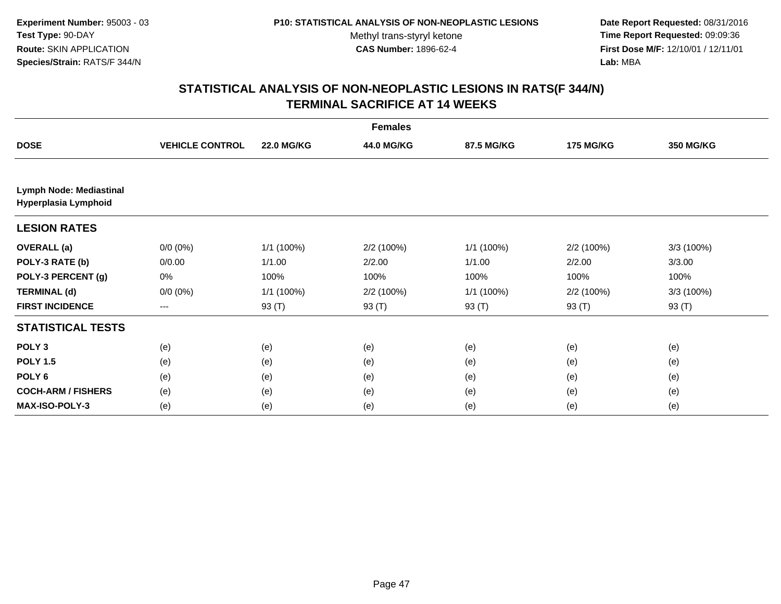**Date Report Requested:** 08/31/2016 **Time Report Requested:** 09:09:36 **First Dose M/F:** 12/10/01 / 12/11/01<br>**Lab:** MBA **Lab:** MBA

|                                                 |                        |                   | <b>Females</b> |            |                  |                  |
|-------------------------------------------------|------------------------|-------------------|----------------|------------|------------------|------------------|
| <b>DOSE</b>                                     | <b>VEHICLE CONTROL</b> | <b>22.0 MG/KG</b> | 44.0 MG/KG     | 87.5 MG/KG | <b>175 MG/KG</b> | <b>350 MG/KG</b> |
|                                                 |                        |                   |                |            |                  |                  |
| Lymph Node: Mediastinal<br>Hyperplasia Lymphoid |                        |                   |                |            |                  |                  |
| <b>LESION RATES</b>                             |                        |                   |                |            |                  |                  |
| <b>OVERALL</b> (a)                              | $0/0 (0\%)$            | 1/1 (100%)        | 2/2 (100%)     | 1/1 (100%) | 2/2(100%)        | 3/3 (100%)       |
| POLY-3 RATE (b)                                 | 0/0.00                 | 1/1.00            | 2/2.00         | 1/1.00     | 2/2.00           | 3/3.00           |
| POLY-3 PERCENT (g)                              | 0%                     | 100%              | 100%           | 100%       | 100%             | 100%             |
| <b>TERMINAL (d)</b>                             | $0/0 (0\%)$            | 1/1 (100%)        | 2/2(100%)      | 1/1(100%)  | 2/2(100%)        | 3/3 (100%)       |
| <b>FIRST INCIDENCE</b>                          | $---$                  | 93 (T)            | 93 (T)         | 93 (T)     | 93 (T)           | 93 (T)           |
| <b>STATISTICAL TESTS</b>                        |                        |                   |                |            |                  |                  |
| POLY <sub>3</sub>                               | (e)                    | (e)               | (e)            | (e)        | (e)              | (e)              |
| <b>POLY 1.5</b>                                 | (e)                    | (e)               | (e)            | (e)        | (e)              | (e)              |
| POLY <sub>6</sub>                               | (e)                    | (e)               | (e)            | (e)        | (e)              | (e)              |
| <b>COCH-ARM / FISHERS</b>                       | (e)                    | (e)               | (e)            | (e)        | (e)              | (e)              |
| <b>MAX-ISO-POLY-3</b>                           | (e)                    | (e)               | (e)            | (e)        | (e)              | (e)              |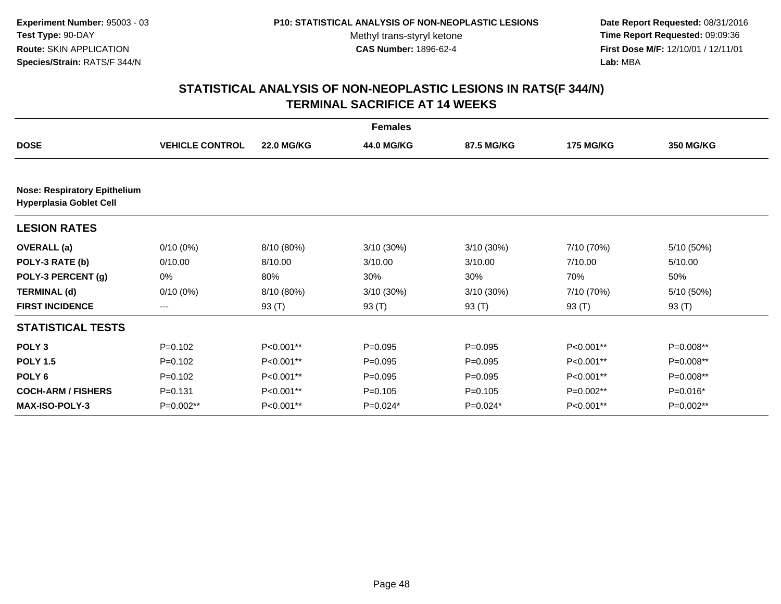**Date Report Requested:** 08/31/2016 **Time Report Requested:** 09:09:36 **First Dose M/F:** 12/10/01 / 12/11/01<br>**Lab:** MBA **Lab:** MBA

|                                                                       |                        |                   | <b>Females</b> |              |                  |             |
|-----------------------------------------------------------------------|------------------------|-------------------|----------------|--------------|------------------|-------------|
| <b>DOSE</b>                                                           | <b>VEHICLE CONTROL</b> | <b>22.0 MG/KG</b> | 44.0 MG/KG     | 87.5 MG/KG   | <b>175 MG/KG</b> | 350 MG/KG   |
|                                                                       |                        |                   |                |              |                  |             |
| <b>Nose: Respiratory Epithelium</b><br><b>Hyperplasia Goblet Cell</b> |                        |                   |                |              |                  |             |
| <b>LESION RATES</b>                                                   |                        |                   |                |              |                  |             |
| <b>OVERALL</b> (a)                                                    | $0/10(0\%)$            | 8/10 (80%)        | 3/10 (30%)     | $3/10(30\%)$ | 7/10 (70%)       | 5/10 (50%)  |
| POLY-3 RATE (b)                                                       | 0/10.00                | 8/10.00           | 3/10.00        | 3/10.00      | 7/10.00          | 5/10.00     |
| POLY-3 PERCENT (g)                                                    | 0%                     | 80%               | 30%            | 30%          | 70%              | 50%         |
| <b>TERMINAL (d)</b>                                                   | $0/10(0\%)$            | 8/10 (80%)        | 3/10 (30%)     | $3/10(30\%)$ | 7/10 (70%)       | 5/10 (50%)  |
| <b>FIRST INCIDENCE</b>                                                | ---                    | 93 (T)            | 93 (T)         | 93 (T)       | 93 (T)           | 93 (T)      |
| <b>STATISTICAL TESTS</b>                                              |                        |                   |                |              |                  |             |
| POLY <sub>3</sub>                                                     | $P = 0.102$            | P<0.001**         | $P = 0.095$    | $P = 0.095$  | P<0.001**        | P=0.008**   |
| <b>POLY 1.5</b>                                                       | $P = 0.102$            | P<0.001**         | $P = 0.095$    | $P = 0.095$  | P<0.001**        | $P=0.008**$ |
| POLY 6                                                                | $P = 0.102$            | P<0.001**         | $P = 0.095$    | $P = 0.095$  | P<0.001**        | P=0.008**   |
| <b>COCH-ARM / FISHERS</b>                                             | $P = 0.131$            | P<0.001**         | $P=0.105$      | $P = 0.105$  | P=0.002**        | P=0.016*    |
| MAX-ISO-POLY-3                                                        | $P=0.002**$            | P<0.001**         | $P=0.024*$     | $P=0.024*$   | P<0.001**        | $P=0.002**$ |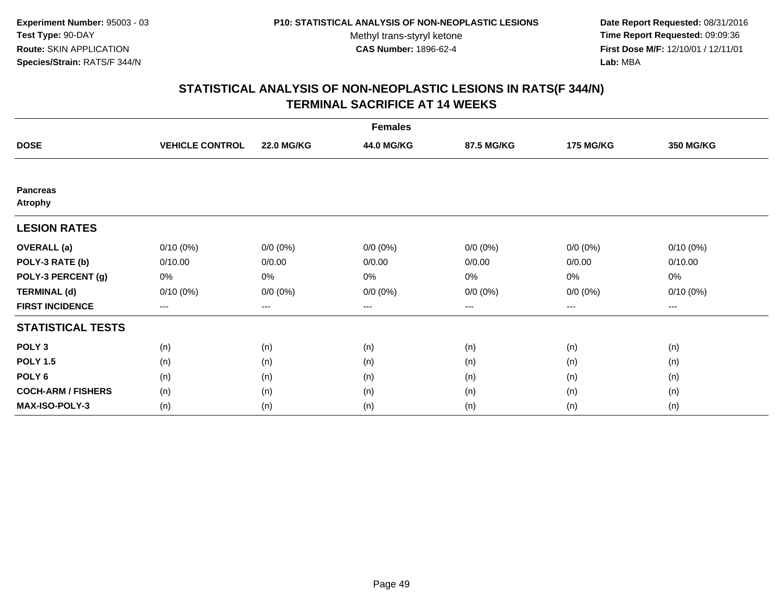**Date Report Requested:** 08/31/2016 **Time Report Requested:** 09:09:36 **First Dose M/F:** 12/10/01 / 12/11/01<br>**Lab:** MBA **Lab:** MBA

|                                   |                        |                   | <b>Females</b> |             |                  |                        |
|-----------------------------------|------------------------|-------------------|----------------|-------------|------------------|------------------------|
| <b>DOSE</b>                       | <b>VEHICLE CONTROL</b> | <b>22.0 MG/KG</b> | 44.0 MG/KG     | 87.5 MG/KG  | <b>175 MG/KG</b> | <b>350 MG/KG</b>       |
|                                   |                        |                   |                |             |                  |                        |
| <b>Pancreas</b><br><b>Atrophy</b> |                        |                   |                |             |                  |                        |
| <b>LESION RATES</b>               |                        |                   |                |             |                  |                        |
| <b>OVERALL</b> (a)                | $0/10(0\%)$            | $0/0 (0\%)$       | $0/0 (0\%)$    | $0/0 (0\%)$ | $0/0(0\%)$       | $0/10(0\%)$            |
| POLY-3 RATE (b)                   | 0/10.00                | 0/0.00            | 0/0.00         | 0/0.00      | 0/0.00           | 0/10.00                |
| POLY-3 PERCENT (g)                | 0%                     | 0%                | 0%             | 0%          | 0%               | 0%                     |
| <b>TERMINAL (d)</b>               | $0/10(0\%)$            | $0/0 (0\%)$       | $0/0 (0\%)$    | $0/0 (0\%)$ | $0/0 (0\%)$      | $0/10(0\%)$            |
| <b>FIRST INCIDENCE</b>            | $\cdots$               | $\cdots$          | ---            | ---         | $---$            | $\qquad \qquad \cdots$ |
| <b>STATISTICAL TESTS</b>          |                        |                   |                |             |                  |                        |
| POLY <sub>3</sub>                 | (n)                    | (n)               | (n)            | (n)         | (n)              | (n)                    |
| <b>POLY 1.5</b>                   | (n)                    | (n)               | (n)            | (n)         | (n)              | (n)                    |
| POLY <sub>6</sub>                 | (n)                    | (n)               | (n)            | (n)         | (n)              | (n)                    |
| <b>COCH-ARM / FISHERS</b>         | (n)                    | (n)               | (n)            | (n)         | (n)              | (n)                    |
| <b>MAX-ISO-POLY-3</b>             | (n)                    | (n)               | (n)            | (n)         | (n)              | (n)                    |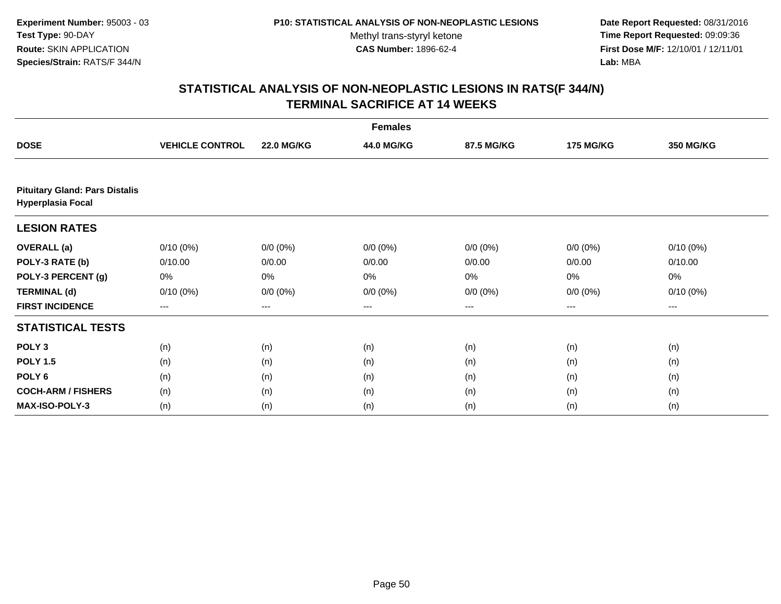**Date Report Requested:** 08/31/2016 **Time Report Requested:** 09:09:36 **First Dose M/F:** 12/10/01 / 12/11/01<br>**Lab:** MBA **Lab:** MBA

|                                                                   |                        |                   | <b>Females</b> |             |                  |                  |
|-------------------------------------------------------------------|------------------------|-------------------|----------------|-------------|------------------|------------------|
| <b>DOSE</b>                                                       | <b>VEHICLE CONTROL</b> | <b>22.0 MG/KG</b> | 44.0 MG/KG     | 87.5 MG/KG  | <b>175 MG/KG</b> | <b>350 MG/KG</b> |
|                                                                   |                        |                   |                |             |                  |                  |
| <b>Pituitary Gland: Pars Distalis</b><br><b>Hyperplasia Focal</b> |                        |                   |                |             |                  |                  |
| <b>LESION RATES</b>                                               |                        |                   |                |             |                  |                  |
| <b>OVERALL</b> (a)                                                | $0/10(0\%)$            | $0/0 (0\%)$       | $0/0 (0\%)$    | $0/0 (0\%)$ | $0/0 (0\%)$      | 0/10(0%)         |
| POLY-3 RATE (b)                                                   | 0/10.00                | 0/0.00            | 0/0.00         | 0/0.00      | 0/0.00           | 0/10.00          |
| POLY-3 PERCENT (g)                                                | 0%                     | 0%                | 0%             | 0%          | 0%               | 0%               |
| <b>TERMINAL (d)</b>                                               | $0/10(0\%)$            | $0/0 (0\%)$       | $0/0 (0\%)$    | $0/0 (0\%)$ | $0/0 (0\%)$      | $0/10(0\%)$      |
| <b>FIRST INCIDENCE</b>                                            | ---                    | ---               | ---            | $---$       | $---$            | $\cdots$         |
| <b>STATISTICAL TESTS</b>                                          |                        |                   |                |             |                  |                  |
| POLY <sub>3</sub>                                                 | (n)                    | (n)               | (n)            | (n)         | (n)              | (n)              |
| <b>POLY 1.5</b>                                                   | (n)                    | (n)               | (n)            | (n)         | (n)              | (n)              |
| POLY 6                                                            | (n)                    | (n)               | (n)            | (n)         | (n)              | (n)              |
| <b>COCH-ARM / FISHERS</b>                                         | (n)                    | (n)               | (n)            | (n)         | (n)              | (n)              |
| <b>MAX-ISO-POLY-3</b>                                             | (n)                    | (n)               | (n)            | (n)         | (n)              | (n)              |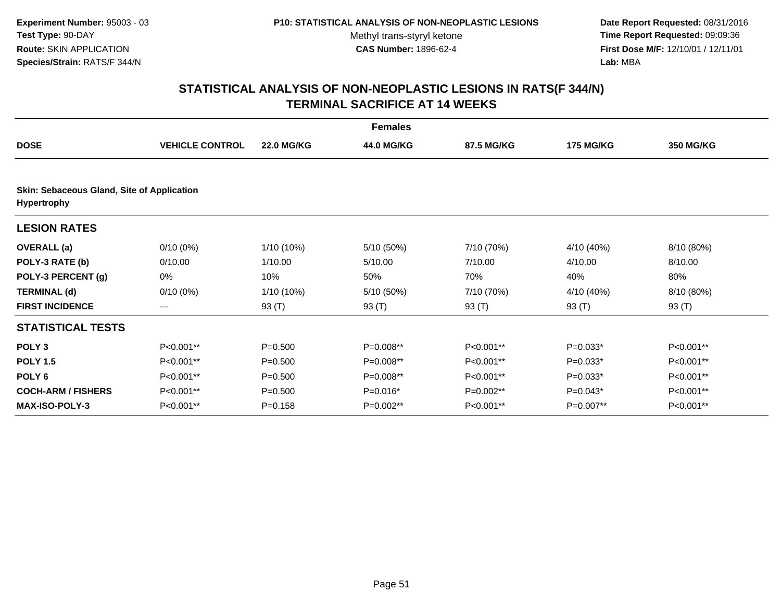**Date Report Requested:** 08/31/2016 **Time Report Requested:** 09:09:36 **First Dose M/F:** 12/10/01 / 12/11/01<br>**Lab:** MBA **Lab:** MBA

|                                                                  |                        |                   | <b>Females</b> |            |                  |             |  |  |
|------------------------------------------------------------------|------------------------|-------------------|----------------|------------|------------------|-------------|--|--|
| <b>DOSE</b>                                                      | <b>VEHICLE CONTROL</b> | <b>22.0 MG/KG</b> | 44.0 MG/KG     | 87.5 MG/KG | <b>175 MG/KG</b> | 350 MG/KG   |  |  |
| Skin: Sebaceous Gland, Site of Application<br><b>Hypertrophy</b> |                        |                   |                |            |                  |             |  |  |
| <b>LESION RATES</b>                                              |                        |                   |                |            |                  |             |  |  |
| <b>OVERALL</b> (a)                                               | $0/10(0\%)$            | 1/10 (10%)        | 5/10 (50%)     | 7/10 (70%) | 4/10 (40%)       | 8/10 (80%)  |  |  |
| POLY-3 RATE (b)                                                  | 0/10.00                | 1/10.00           | 5/10.00        | 7/10.00    | 4/10.00          | 8/10.00     |  |  |
| POLY-3 PERCENT (g)                                               | 0%                     | 10%               | 50%            | 70%        | 40%              | 80%         |  |  |
| <b>TERMINAL (d)</b>                                              | $0/10(0\%)$            | 1/10 (10%)        | 5/10 (50%)     | 7/10 (70%) | 4/10 (40%)       | 8/10 (80%)  |  |  |
| <b>FIRST INCIDENCE</b>                                           | $---$                  | 93 (T)            | 93 (T)         | 93 (T)     | 93 (T)           | 93 (T)      |  |  |
| <b>STATISTICAL TESTS</b>                                         |                        |                   |                |            |                  |             |  |  |
| POLY <sub>3</sub>                                                | P<0.001**              | $P = 0.500$       | P=0.008**      | P<0.001**  | $P=0.033*$       | P<0.001**   |  |  |
| <b>POLY 1.5</b>                                                  | P<0.001**              | $P = 0.500$       | $P=0.008**$    | P<0.001**  | $P=0.033*$       | P<0.001**   |  |  |
| POLY <sub>6</sub>                                                | P<0.001**              | $P = 0.500$       | $P=0.008**$    | P<0.001**  | $P=0.033*$       | P<0.001**   |  |  |
| <b>COCH-ARM / FISHERS</b>                                        | P<0.001**              | $P = 0.500$       | $P=0.016*$     | P=0.002**  | $P=0.043*$       | P<0.001**   |  |  |
| <b>MAX-ISO-POLY-3</b>                                            | P<0.001**              | $P = 0.158$       | $P=0.002**$    | P<0.001**  | $P=0.007**$      | $P<0.001**$ |  |  |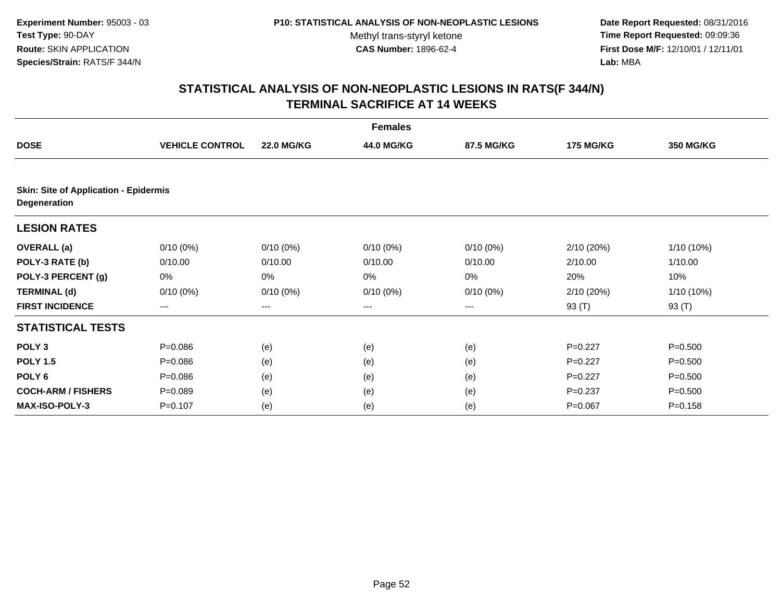**Date Report Requested:** 08/31/2016 **Time Report Requested:** 09:09:36 **First Dose M/F:** 12/10/01 / 12/11/01<br>**Lab:** MBA **Lab:** MBA

|                                              |                        |                   | <b>Females</b> |             |                  |              |
|----------------------------------------------|------------------------|-------------------|----------------|-------------|------------------|--------------|
| <b>DOSE</b>                                  | <b>VEHICLE CONTROL</b> | <b>22.0 MG/KG</b> | 44.0 MG/KG     | 87.5 MG/KG  | <b>175 MG/KG</b> | 350 MG/KG    |
| <b>Skin: Site of Application - Epidermis</b> |                        |                   |                |             |                  |              |
| Degeneration                                 |                        |                   |                |             |                  |              |
| <b>LESION RATES</b>                          |                        |                   |                |             |                  |              |
| <b>OVERALL</b> (a)                           | $0/10(0\%)$            | $0/10(0\%)$       | $0/10(0\%)$    | $0/10(0\%)$ | 2/10(20%)        | $1/10(10\%)$ |
| POLY-3 RATE (b)                              | 0/10.00                | 0/10.00           | 0/10.00        | 0/10.00     | 2/10.00          | 1/10.00      |
| POLY-3 PERCENT (g)                           | 0%                     | 0%                | 0%             | 0%          | 20%              | 10%          |
| <b>TERMINAL (d)</b>                          | $0/10(0\%)$            | $0/10(0\%)$       | $0/10(0\%)$    | $0/10(0\%)$ | 2/10(20%)        | $1/10(10\%)$ |
| <b>FIRST INCIDENCE</b>                       | ---                    | ---               | ---            | ---         | 93 (T)           | 93 (T)       |
| <b>STATISTICAL TESTS</b>                     |                        |                   |                |             |                  |              |
| POLY <sub>3</sub>                            | $P = 0.086$            | (e)               | (e)            | (e)         | $P=0.227$        | $P = 0.500$  |
| <b>POLY 1.5</b>                              | $P = 0.086$            | (e)               | (e)            | (e)         | $P=0.227$        | $P = 0.500$  |
| POLY <sub>6</sub>                            | $P=0.086$              | (e)               | (e)            | (e)         | $P=0.227$        | $P = 0.500$  |
| <b>COCH-ARM / FISHERS</b>                    | $P=0.089$              | (e)               | (e)            | (e)         | $P=0.237$        | $P = 0.500$  |
| <b>MAX-ISO-POLY-3</b>                        | $P = 0.107$            | (e)               | (e)            | (e)         | $P = 0.067$      | $P = 0.158$  |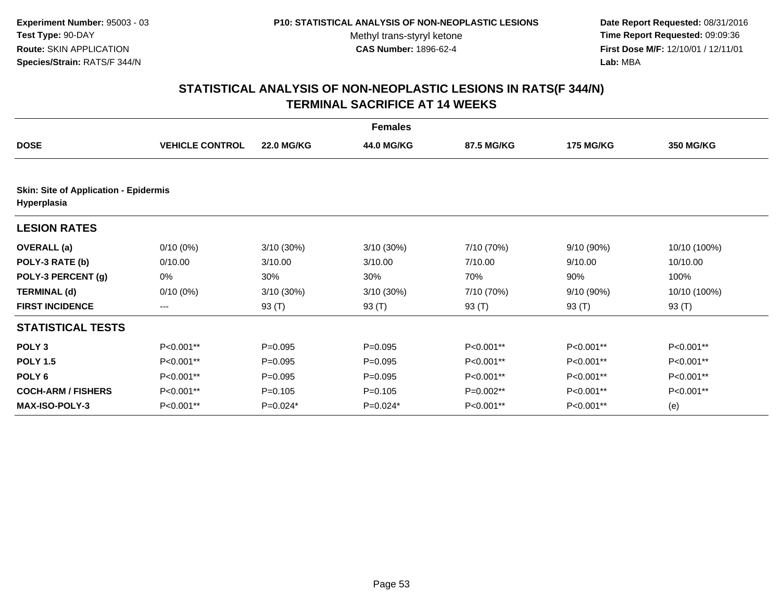#### **P10: STATISTICAL ANALYSIS OF NON-NEOPLASTIC LESIONS**

Methyl trans-styryl ketone<br>CAS Number: 1896-62-4

 **Date Report Requested:** 08/31/2016 **Time Report Requested:** 09:09:36 **First Dose M/F:** 12/10/01 / 12/11/01<br>**Lab:** MBA **Lab:** MBA

|                                                             |                        |                   | <b>Females</b> |            |                  |              |  |  |
|-------------------------------------------------------------|------------------------|-------------------|----------------|------------|------------------|--------------|--|--|
| <b>DOSE</b>                                                 | <b>VEHICLE CONTROL</b> | <b>22.0 MG/KG</b> | 44.0 MG/KG     | 87.5 MG/KG | <b>175 MG/KG</b> | 350 MG/KG    |  |  |
| <b>Skin: Site of Application - Epidermis</b><br>Hyperplasia |                        |                   |                |            |                  |              |  |  |
| <b>LESION RATES</b>                                         |                        |                   |                |            |                  |              |  |  |
| <b>OVERALL</b> (a)                                          | $0/10(0\%)$            | $3/10(30\%)$      | 3/10 (30%)     | 7/10 (70%) | 9/10 (90%)       | 10/10 (100%) |  |  |
| POLY-3 RATE (b)                                             | 0/10.00                | 3/10.00           | 3/10.00        | 7/10.00    | 9/10.00          | 10/10.00     |  |  |
| POLY-3 PERCENT (g)                                          | 0%                     | 30%               | 30%            | 70%        | 90%              | 100%         |  |  |
| <b>TERMINAL (d)</b>                                         | $0/10(0\%)$            | $3/10(30\%)$      | 3/10 (30%)     | 7/10 (70%) | 9/10 (90%)       | 10/10 (100%) |  |  |
| <b>FIRST INCIDENCE</b>                                      | ---                    | 93 (T)            | 93 $(T)$       | 93 $(T)$   | 93 $(T)$         | 93 (T)       |  |  |
| <b>STATISTICAL TESTS</b>                                    |                        |                   |                |            |                  |              |  |  |
| POLY <sub>3</sub>                                           | P<0.001**              | $P = 0.095$       | $P=0.095$      | P<0.001**  | P<0.001**        | P<0.001**    |  |  |
| <b>POLY 1.5</b>                                             | P<0.001**              | $P = 0.095$       | $P = 0.095$    | P<0.001**  | P<0.001**        | P<0.001**    |  |  |
| POLY <sub>6</sub>                                           | P<0.001**              | $P=0.095$         | $P=0.095$      | P<0.001**  | P<0.001**        | P<0.001**    |  |  |
| <b>COCH-ARM / FISHERS</b>                                   | P<0.001**              | $P = 0.105$       | $P=0.105$      | P=0.002**  | P<0.001**        | P<0.001**    |  |  |
| <b>MAX-ISO-POLY-3</b>                                       | $P<0.001**$            | $P=0.024*$        | $P=0.024*$     | P<0.001**  | P<0.001**        | (e)          |  |  |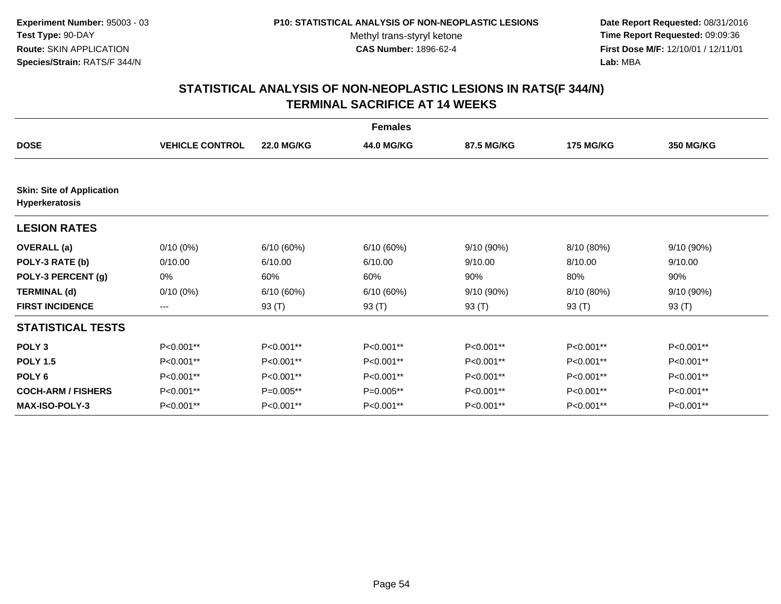**Date Report Requested:** 08/31/2016 **Time Report Requested:** 09:09:36 **First Dose M/F:** 12/10/01 / 12/11/01<br>**Lab:** MBA **Lab:** MBA

|                                                    |                        |                   | <b>Females</b> |            |                  |                  |
|----------------------------------------------------|------------------------|-------------------|----------------|------------|------------------|------------------|
| <b>DOSE</b>                                        | <b>VEHICLE CONTROL</b> | <b>22.0 MG/KG</b> | 44.0 MG/KG     | 87.5 MG/KG | <b>175 MG/KG</b> | <b>350 MG/KG</b> |
|                                                    |                        |                   |                |            |                  |                  |
| <b>Skin: Site of Application</b><br>Hyperkeratosis |                        |                   |                |            |                  |                  |
| <b>LESION RATES</b>                                |                        |                   |                |            |                  |                  |
| <b>OVERALL</b> (a)                                 | $0/10(0\%)$            | 6/10(60%)         | 6/10(60%)      | 9/10 (90%) | 8/10 (80%)       | 9/10 (90%)       |
| POLY-3 RATE (b)                                    | 0/10.00                | 6/10.00           | 6/10.00        | 9/10.00    | 8/10.00          | 9/10.00          |
| POLY-3 PERCENT (g)                                 | 0%                     | 60%               | 60%            | 90%        | 80%              | 90%              |
| <b>TERMINAL (d)</b>                                | $0/10(0\%)$            | 6/10(60%)         | 6/10(60%)      | 9/10 (90%) | 8/10 (80%)       | 9/10(90%)        |
| <b>FIRST INCIDENCE</b>                             | ---                    | 93 (T)            | 93 (T)         | 93 (T)     | 93 (T)           | 93 (T)           |
| <b>STATISTICAL TESTS</b>                           |                        |                   |                |            |                  |                  |
| POLY <sub>3</sub>                                  | P<0.001**              | P<0.001**         | P<0.001**      | P<0.001**  | P<0.001**        | P<0.001**        |
| <b>POLY 1.5</b>                                    | P<0.001**              | P<0.001**         | P<0.001**      | P<0.001**  | P<0.001**        | P<0.001**        |
| POLY <sub>6</sub>                                  | P<0.001**              | P<0.001**         | P<0.001**      | P<0.001**  | P<0.001**        | $P<0.001**$      |
| <b>COCH-ARM / FISHERS</b>                          | P<0.001**              | $P=0.005**$       | $P=0.005**$    | P<0.001**  | P<0.001**        | P<0.001**        |
| <b>MAX-ISO-POLY-3</b>                              | P<0.001**              | P<0.001**         | P<0.001**      | P<0.001**  | P<0.001**        | P<0.001**        |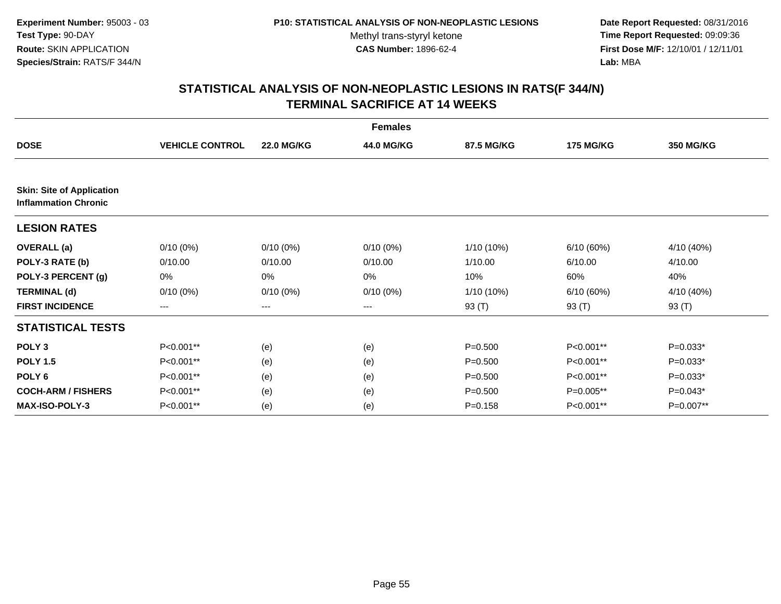**Date Report Requested:** 08/31/2016 **Time Report Requested:** 09:09:36 **First Dose M/F:** 12/10/01 / 12/11/01<br>**Lab:** MBA **Lab:** MBA

|                                                                 |                        |                   | <b>Females</b> |             |                  |                  |
|-----------------------------------------------------------------|------------------------|-------------------|----------------|-------------|------------------|------------------|
| <b>DOSE</b>                                                     | <b>VEHICLE CONTROL</b> | <b>22.0 MG/KG</b> | 44.0 MG/KG     | 87.5 MG/KG  | <b>175 MG/KG</b> | <b>350 MG/KG</b> |
|                                                                 |                        |                   |                |             |                  |                  |
| <b>Skin: Site of Application</b><br><b>Inflammation Chronic</b> |                        |                   |                |             |                  |                  |
| <b>LESION RATES</b>                                             |                        |                   |                |             |                  |                  |
| <b>OVERALL</b> (a)                                              | $0/10(0\%)$            | $0/10(0\%)$       | $0/10(0\%)$    | 1/10 (10%)  | 6/10(60%)        | 4/10 (40%)       |
| POLY-3 RATE (b)                                                 | 0/10.00                | 0/10.00           | 0/10.00        | 1/10.00     | 6/10.00          | 4/10.00          |
| POLY-3 PERCENT (g)                                              | 0%                     | 0%                | 0%             | 10%         | 60%              | 40%              |
| <b>TERMINAL (d)</b>                                             | $0/10(0\%)$            | $0/10(0\%)$       | $0/10(0\%)$    | 1/10 (10%)  | 6/10(60%)        | 4/10 (40%)       |
| <b>FIRST INCIDENCE</b>                                          | $---$                  | ---               | ---            | 93 (T)      | 93 (T)           | 93 (T)           |
| <b>STATISTICAL TESTS</b>                                        |                        |                   |                |             |                  |                  |
| POLY <sub>3</sub>                                               | P<0.001**              | (e)               | (e)            | $P = 0.500$ | P<0.001**        | $P=0.033*$       |
| <b>POLY 1.5</b>                                                 | P<0.001**              | (e)               | (e)            | $P = 0.500$ | P<0.001**        | $P=0.033*$       |
| POLY <sub>6</sub>                                               | P<0.001**              | (e)               | (e)            | $P = 0.500$ | P<0.001**        | $P=0.033*$       |
| <b>COCH-ARM / FISHERS</b>                                       | P<0.001**              | (e)               | (e)            | $P = 0.500$ | P=0.005**        | $P=0.043*$       |
| <b>MAX-ISO-POLY-3</b>                                           | P<0.001**              | (e)               | (e)            | $P = 0.158$ | P<0.001**        | $P=0.007**$      |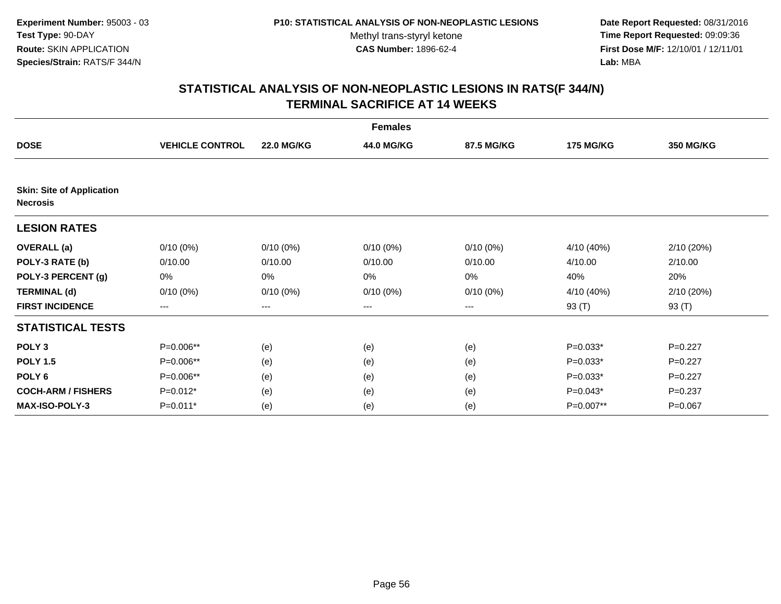**Date Report Requested:** 08/31/2016 **Time Report Requested:** 09:09:36 **First Dose M/F:** 12/10/01 / 12/11/01<br>**Lab:** MBA **Lab:** MBA

|                                                     |                        |                   | <b>Females</b> |             |                  |                  |
|-----------------------------------------------------|------------------------|-------------------|----------------|-------------|------------------|------------------|
| <b>DOSE</b>                                         | <b>VEHICLE CONTROL</b> | <b>22.0 MG/KG</b> | 44.0 MG/KG     | 87.5 MG/KG  | <b>175 MG/KG</b> | <b>350 MG/KG</b> |
|                                                     |                        |                   |                |             |                  |                  |
| <b>Skin: Site of Application</b><br><b>Necrosis</b> |                        |                   |                |             |                  |                  |
| <b>LESION RATES</b>                                 |                        |                   |                |             |                  |                  |
| <b>OVERALL</b> (a)                                  | $0/10(0\%)$            | $0/10(0\%)$       | $0/10(0\%)$    | $0/10(0\%)$ | 4/10 (40%)       | 2/10(20%)        |
| POLY-3 RATE (b)                                     | 0/10.00                | 0/10.00           | 0/10.00        | 0/10.00     | 4/10.00          | 2/10.00          |
| POLY-3 PERCENT (g)                                  | 0%                     | 0%                | 0%             | 0%          | 40%              | 20%              |
| <b>TERMINAL (d)</b>                                 | $0/10(0\%)$            | $0/10(0\%)$       | $0/10(0\%)$    | $0/10(0\%)$ | 4/10 (40%)       | 2/10(20%)        |
| <b>FIRST INCIDENCE</b>                              | $---$                  | $---$             | $---$          | ---         | 93 (T)           | 93 (T)           |
| <b>STATISTICAL TESTS</b>                            |                        |                   |                |             |                  |                  |
| POLY <sub>3</sub>                                   | P=0.006**              | (e)               | (e)            | (e)         | $P=0.033*$       | $P=0.227$        |
| <b>POLY 1.5</b>                                     | P=0.006**              | (e)               | (e)            | (e)         | $P=0.033*$       | $P=0.227$        |
| POLY <sub>6</sub>                                   | P=0.006**              | (e)               | (e)            | (e)         | $P=0.033*$       | $P=0.227$        |
| <b>COCH-ARM / FISHERS</b>                           | $P=0.012*$             | (e)               | (e)            | (e)         | $P=0.043*$       | $P = 0.237$      |
| <b>MAX-ISO-POLY-3</b>                               | P=0.011*               | (e)               | (e)            | (e)         | P=0.007**        | $P = 0.067$      |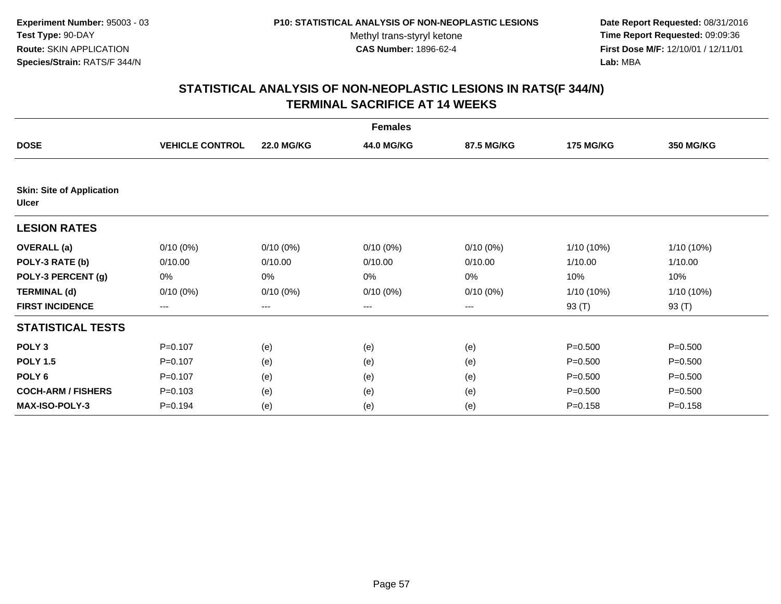**Date Report Requested:** 08/31/2016 **Time Report Requested:** 09:09:36 **First Dose M/F:** 12/10/01 / 12/11/01<br>**Lab:** MBA **Lab:** MBA

|                                                  |                        |                   | <b>Females</b> |             |                  |              |
|--------------------------------------------------|------------------------|-------------------|----------------|-------------|------------------|--------------|
| <b>DOSE</b>                                      | <b>VEHICLE CONTROL</b> | <b>22.0 MG/KG</b> | 44.0 MG/KG     | 87.5 MG/KG  | <b>175 MG/KG</b> | 350 MG/KG    |
|                                                  |                        |                   |                |             |                  |              |
| <b>Skin: Site of Application</b><br><b>Ulcer</b> |                        |                   |                |             |                  |              |
| <b>LESION RATES</b>                              |                        |                   |                |             |                  |              |
| <b>OVERALL</b> (a)                               | $0/10(0\%)$            | $0/10(0\%)$       | $0/10(0\%)$    | $0/10(0\%)$ | $1/10(10\%)$     | 1/10 (10%)   |
| POLY-3 RATE (b)                                  | 0/10.00                | 0/10.00           | 0/10.00        | 0/10.00     | 1/10.00          | 1/10.00      |
| POLY-3 PERCENT (g)                               | 0%                     | 0%                | 0%             | 0%          | 10%              | 10%          |
| <b>TERMINAL (d)</b>                              | $0/10(0\%)$            | $0/10(0\%)$       | $0/10(0\%)$    | $0/10(0\%)$ | $1/10(10\%)$     | $1/10(10\%)$ |
| <b>FIRST INCIDENCE</b>                           | $---$                  | ---               | ---            | $---$       | 93 (T)           | 93 $(T)$     |
| <b>STATISTICAL TESTS</b>                         |                        |                   |                |             |                  |              |
| POLY <sub>3</sub>                                | $P = 0.107$            | (e)               | (e)            | (e)         | $P = 0.500$      | $P = 0.500$  |
| <b>POLY 1.5</b>                                  | $P=0.107$              | (e)               | (e)            | (e)         | $P = 0.500$      | $P = 0.500$  |
| POLY <sub>6</sub>                                | $P = 0.107$            | (e)               | (e)            | (e)         | $P = 0.500$      | $P = 0.500$  |
| <b>COCH-ARM / FISHERS</b>                        | $P = 0.103$            | (e)               | (e)            | (e)         | $P = 0.500$      | $P = 0.500$  |
| <b>MAX-ISO-POLY-3</b>                            | $P = 0.194$            | (e)               | (e)            | (e)         | $P = 0.158$      | $P = 0.158$  |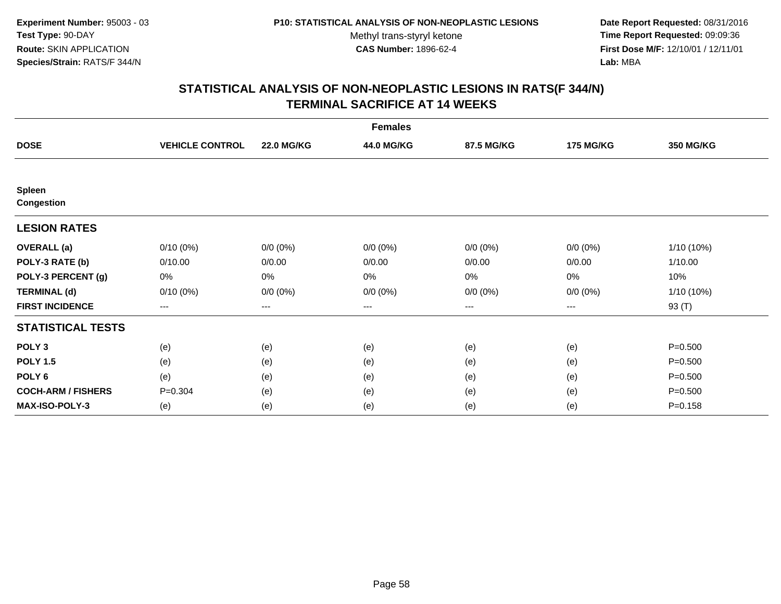**Date Report Requested:** 08/31/2016 **Time Report Requested:** 09:09:36 **First Dose M/F:** 12/10/01 / 12/11/01<br>**Lab:** MBA **Lab:** MBA

|                             |                        |                   | <b>Females</b> |             |                  |                  |
|-----------------------------|------------------------|-------------------|----------------|-------------|------------------|------------------|
| <b>DOSE</b>                 | <b>VEHICLE CONTROL</b> | <b>22.0 MG/KG</b> | 44.0 MG/KG     | 87.5 MG/KG  | <b>175 MG/KG</b> | <b>350 MG/KG</b> |
|                             |                        |                   |                |             |                  |                  |
| Spleen<br><b>Congestion</b> |                        |                   |                |             |                  |                  |
| <b>LESION RATES</b>         |                        |                   |                |             |                  |                  |
| <b>OVERALL</b> (a)          | $0/10(0\%)$            | $0/0 (0\%)$       | $0/0 (0\%)$    | $0/0 (0\%)$ | $0/0 (0\%)$      | 1/10 (10%)       |
| POLY-3 RATE (b)             | 0/10.00                | 0/0.00            | 0/0.00         | 0/0.00      | 0/0.00           | 1/10.00          |
| POLY-3 PERCENT (g)          | 0%                     | 0%                | 0%             | 0%          | 0%               | 10%              |
| <b>TERMINAL (d)</b>         | $0/10(0\%)$            | $0/0 (0\%)$       | $0/0 (0\%)$    | $0/0 (0\%)$ | $0/0 (0\%)$      | 1/10 (10%)       |
| <b>FIRST INCIDENCE</b>      | ---                    | $---$             | ---            | ---         | ---              | 93 (T)           |
| <b>STATISTICAL TESTS</b>    |                        |                   |                |             |                  |                  |
| POLY <sub>3</sub>           | (e)                    | (e)               | (e)            | (e)         | (e)              | $P = 0.500$      |
| <b>POLY 1.5</b>             | (e)                    | (e)               | (e)            | (e)         | (e)              | $P = 0.500$      |
| POLY <sub>6</sub>           | (e)                    | (e)               | (e)            | (e)         | (e)              | $P = 0.500$      |
| <b>COCH-ARM / FISHERS</b>   | $P = 0.304$            | (e)               | (e)            | (e)         | (e)              | $P = 0.500$      |
| <b>MAX-ISO-POLY-3</b>       | (e)                    | (e)               | (e)            | (e)         | (e)              | $P = 0.158$      |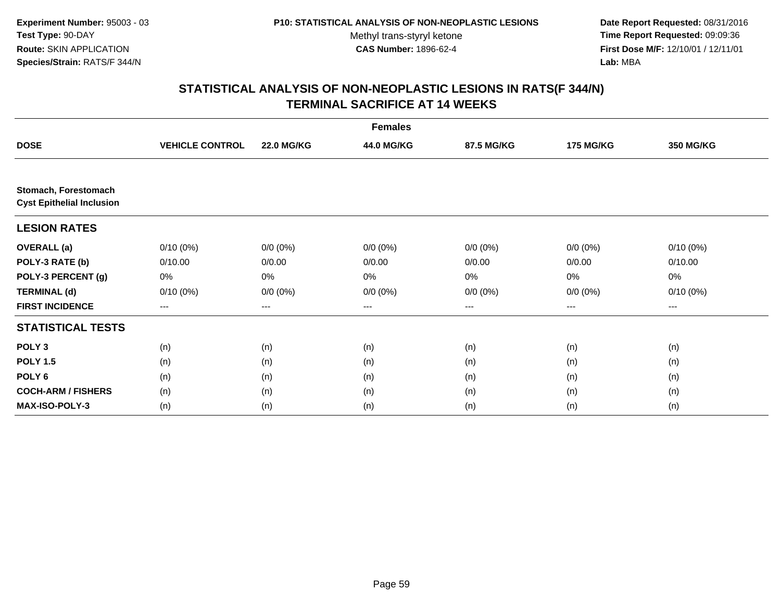**Date Report Requested:** 08/31/2016 **Time Report Requested:** 09:09:36 **First Dose M/F:** 12/10/01 / 12/11/01<br>**Lab:** MBA **Lab:** MBA

|                                                          |                        |                   | <b>Females</b> |             |                  |             |
|----------------------------------------------------------|------------------------|-------------------|----------------|-------------|------------------|-------------|
| <b>DOSE</b>                                              | <b>VEHICLE CONTROL</b> | <b>22.0 MG/KG</b> | 44.0 MG/KG     | 87.5 MG/KG  | <b>175 MG/KG</b> | 350 MG/KG   |
|                                                          |                        |                   |                |             |                  |             |
| Stomach, Forestomach<br><b>Cyst Epithelial Inclusion</b> |                        |                   |                |             |                  |             |
| <b>LESION RATES</b>                                      |                        |                   |                |             |                  |             |
| <b>OVERALL</b> (a)                                       | $0/10(0\%)$            | $0/0 (0\%)$       | $0/0 (0\%)$    | $0/0 (0\%)$ | $0/0 (0\%)$      | $0/10(0\%)$ |
| POLY-3 RATE (b)                                          | 0/10.00                | 0/0.00            | 0/0.00         | 0/0.00      | 0/0.00           | 0/10.00     |
| POLY-3 PERCENT (g)                                       | 0%                     | 0%                | 0%             | 0%          | 0%               | 0%          |
| <b>TERMINAL (d)</b>                                      | $0/10(0\%)$            | $0/0 (0\%)$       | $0/0 (0\%)$    | $0/0 (0\%)$ | $0/0 (0\%)$      | $0/10(0\%)$ |
| <b>FIRST INCIDENCE</b>                                   | ---                    | ---               | ---            | $--$        | ---              | ---         |
| <b>STATISTICAL TESTS</b>                                 |                        |                   |                |             |                  |             |
| POLY <sub>3</sub>                                        | (n)                    | (n)               | (n)            | (n)         | (n)              | (n)         |
| <b>POLY 1.5</b>                                          | (n)                    | (n)               | (n)            | (n)         | (n)              | (n)         |
| POLY <sub>6</sub>                                        | (n)                    | (n)               | (n)            | (n)         | (n)              | (n)         |
| <b>COCH-ARM / FISHERS</b>                                | (n)                    | (n)               | (n)            | (n)         | (n)              | (n)         |
| <b>MAX-ISO-POLY-3</b>                                    | (n)                    | (n)               | (n)            | (n)         | (n)              | (n)         |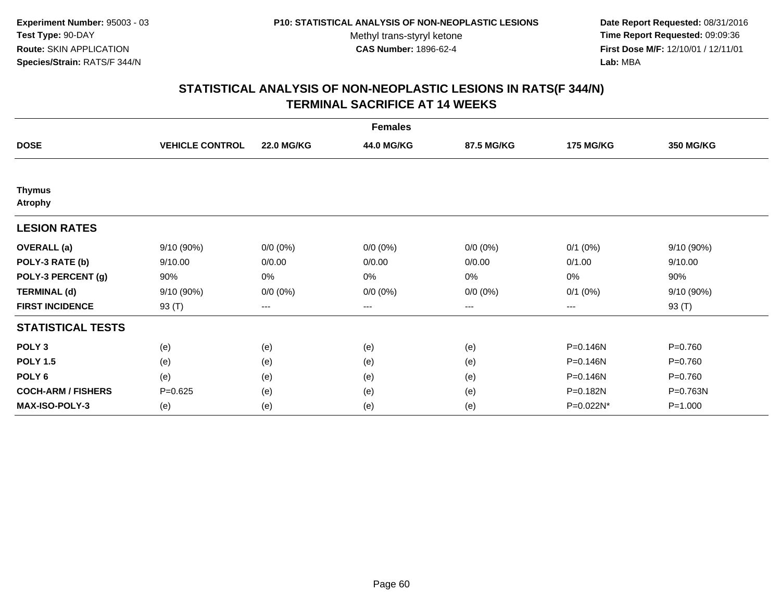**Date Report Requested:** 08/31/2016 **Time Report Requested:** 09:09:36 **First Dose M/F:** 12/10/01 / 12/11/01<br>**Lab:** MBA **Lab:** MBA

|                                 |                        |                   | <b>Females</b> |             |                  |             |
|---------------------------------|------------------------|-------------------|----------------|-------------|------------------|-------------|
| <b>DOSE</b>                     | <b>VEHICLE CONTROL</b> | <b>22.0 MG/KG</b> | 44.0 MG/KG     | 87.5 MG/KG  | <b>175 MG/KG</b> | 350 MG/KG   |
|                                 |                        |                   |                |             |                  |             |
| <b>Thymus</b><br><b>Atrophy</b> |                        |                   |                |             |                  |             |
| <b>LESION RATES</b>             |                        |                   |                |             |                  |             |
| <b>OVERALL</b> (a)              | 9/10 (90%)             | $0/0 (0\%)$       | $0/0 (0\%)$    | $0/0 (0\%)$ | $0/1$ (0%)       | 9/10 (90%)  |
| POLY-3 RATE (b)                 | 9/10.00                | 0/0.00            | 0/0.00         | 0/0.00      | 0/1.00           | 9/10.00     |
| POLY-3 PERCENT (g)              | 90%                    | $0\%$             | 0%             | 0%          | 0%               | 90%         |
| <b>TERMINAL (d)</b>             | 9/10(90%)              | $0/0 (0\%)$       | $0/0 (0\%)$    | $0/0 (0\%)$ | $0/1$ $(0%)$     | 9/10 (90%)  |
| <b>FIRST INCIDENCE</b>          | 93 (T)                 | $\qquad \qquad -$ | $---$          | ---         | $---$            | 93 (T)      |
| <b>STATISTICAL TESTS</b>        |                        |                   |                |             |                  |             |
| POLY <sub>3</sub>               | (e)                    | (e)               | (e)            | (e)         | P=0.146N         | $P = 0.760$ |
| <b>POLY 1.5</b>                 | (e)                    | (e)               | (e)            | (e)         | P=0.146N         | $P = 0.760$ |
| POLY <sub>6</sub>               | (e)                    | (e)               | (e)            | (e)         | P=0.146N         | $P = 0.760$ |
| <b>COCH-ARM / FISHERS</b>       | $P = 0.625$            | (e)               | (e)            | (e)         | P=0.182N         | P=0.763N    |
| <b>MAX-ISO-POLY-3</b>           | (e)                    | (e)               | (e)            | (e)         | P=0.022N*        | $P = 1.000$ |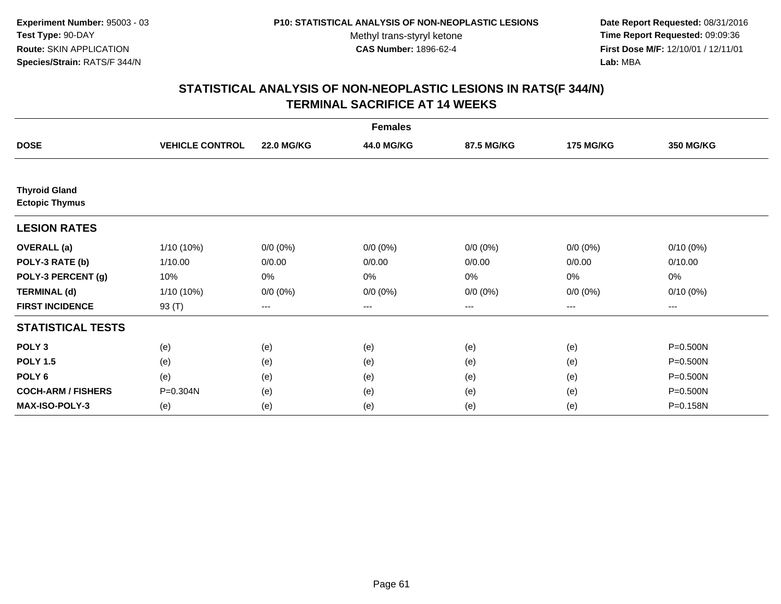**Date Report Requested:** 08/31/2016 **Time Report Requested:** 09:09:36 **First Dose M/F:** 12/10/01 / 12/11/01<br>**Lab:** MBA **Lab:** MBA

|                                               |                        |                   | <b>Females</b> |             |                  |                  |
|-----------------------------------------------|------------------------|-------------------|----------------|-------------|------------------|------------------|
| <b>DOSE</b>                                   | <b>VEHICLE CONTROL</b> | <b>22.0 MG/KG</b> | 44.0 MG/KG     | 87.5 MG/KG  | <b>175 MG/KG</b> | <b>350 MG/KG</b> |
|                                               |                        |                   |                |             |                  |                  |
| <b>Thyroid Gland</b><br><b>Ectopic Thymus</b> |                        |                   |                |             |                  |                  |
| <b>LESION RATES</b>                           |                        |                   |                |             |                  |                  |
| <b>OVERALL</b> (a)                            | 1/10 (10%)             | $0/0 (0\%)$       | $0/0 (0\%)$    | $0/0 (0\%)$ | $0/0(0\%)$       | $0/10(0\%)$      |
| POLY-3 RATE (b)                               | 1/10.00                | 0/0.00            | 0/0.00         | 0/0.00      | 0/0.00           | 0/10.00          |
| POLY-3 PERCENT (g)                            | 10%                    | 0%                | 0%             | 0%          | 0%               | 0%               |
| <b>TERMINAL (d)</b>                           | 1/10 (10%)             | $0/0 (0\%)$       | $0/0 (0\%)$    | $0/0 (0\%)$ | $0/0 (0\%)$      | $0/10(0\%)$      |
| <b>FIRST INCIDENCE</b>                        | 93 (T)                 | $\cdots$          | ---            | ---         | $---$            | ---              |
| <b>STATISTICAL TESTS</b>                      |                        |                   |                |             |                  |                  |
| POLY <sub>3</sub>                             | (e)                    | (e)               | (e)            | (e)         | (e)              | P=0.500N         |
| <b>POLY 1.5</b>                               | (e)                    | (e)               | (e)            | (e)         | (e)              | P=0.500N         |
| POLY <sub>6</sub>                             | (e)                    | (e)               | (e)            | (e)         | (e)              | P=0.500N         |
| <b>COCH-ARM / FISHERS</b>                     | P=0.304N               | (e)               | (e)            | (e)         | (e)              | P=0.500N         |
| <b>MAX-ISO-POLY-3</b>                         | (e)                    | (e)               | (e)            | (e)         | (e)              | P=0.158N         |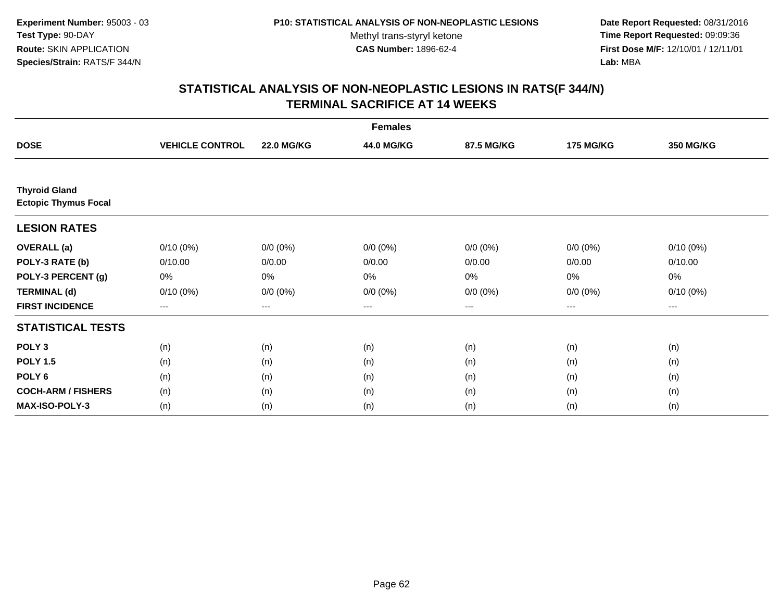**Date Report Requested:** 08/31/2016 **Time Report Requested:** 09:09:36 **First Dose M/F:** 12/10/01 / 12/11/01<br>**Lab:** MBA **Lab:** MBA

| <b>Females</b>                                      |                        |                   |             |             |                   |                  |
|-----------------------------------------------------|------------------------|-------------------|-------------|-------------|-------------------|------------------|
| <b>DOSE</b>                                         | <b>VEHICLE CONTROL</b> | <b>22.0 MG/KG</b> | 44.0 MG/KG  | 87.5 MG/KG  | <b>175 MG/KG</b>  | <b>350 MG/KG</b> |
|                                                     |                        |                   |             |             |                   |                  |
| <b>Thyroid Gland</b><br><b>Ectopic Thymus Focal</b> |                        |                   |             |             |                   |                  |
| <b>LESION RATES</b>                                 |                        |                   |             |             |                   |                  |
| <b>OVERALL</b> (a)                                  | $0/10(0\%)$            | $0/0 (0\%)$       | $0/0 (0\%)$ | $0/0 (0\%)$ | $0/0 (0\%)$       | $0/10(0\%)$      |
| POLY-3 RATE (b)                                     | 0/10.00                | 0/0.00            | 0/0.00      | 0/0.00      | 0/0.00            | 0/10.00          |
| POLY-3 PERCENT (g)                                  | 0%                     | 0%                | 0%          | 0%          | 0%                | 0%               |
| <b>TERMINAL (d)</b>                                 | $0/10(0\%)$            | $0/0 (0\%)$       | $0/0 (0\%)$ | $0/0 (0\%)$ | $0/0 (0\%)$       | $0/10(0\%)$      |
| <b>FIRST INCIDENCE</b>                              | $\qquad \qquad \cdots$ | $---$             | ---         | $--$        | $\qquad \qquad -$ | ---              |
| <b>STATISTICAL TESTS</b>                            |                        |                   |             |             |                   |                  |
| POLY <sub>3</sub>                                   | (n)                    | (n)               | (n)         | (n)         | (n)               | (n)              |
| <b>POLY 1.5</b>                                     | (n)                    | (n)               | (n)         | (n)         | (n)               | (n)              |
| POLY <sub>6</sub>                                   | (n)                    | (n)               | (n)         | (n)         | (n)               | (n)              |
| <b>COCH-ARM / FISHERS</b>                           | (n)                    | (n)               | (n)         | (n)         | (n)               | (n)              |
| <b>MAX-ISO-POLY-3</b>                               | (n)                    | (n)               | (n)         | (n)         | (n)               | (n)              |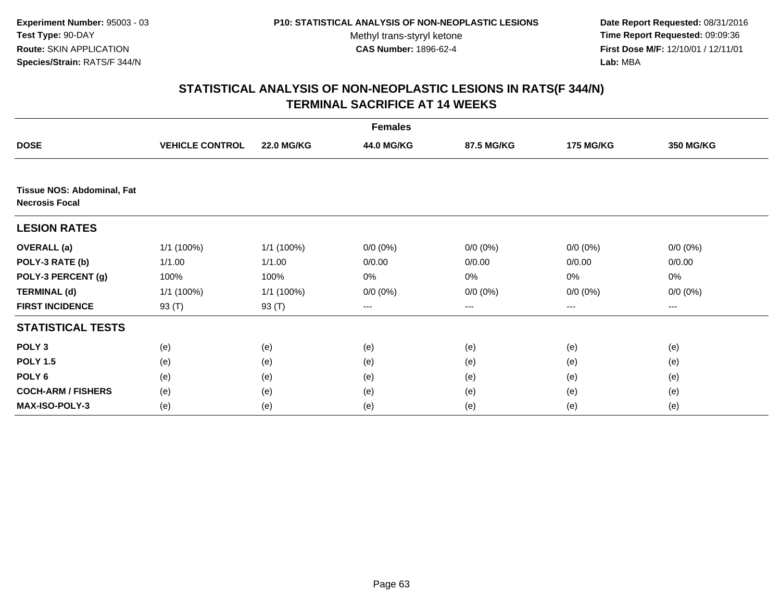**Date Report Requested:** 08/31/2016 **Time Report Requested:** 09:09:36 **First Dose M/F:** 12/10/01 / 12/11/01<br>**Lab:** MBA **Lab:** MBA

|                                                            |                        |                   | <b>Females</b> |                        |                  |             |
|------------------------------------------------------------|------------------------|-------------------|----------------|------------------------|------------------|-------------|
| <b>DOSE</b>                                                | <b>VEHICLE CONTROL</b> | <b>22.0 MG/KG</b> | 44.0 MG/KG     | 87.5 MG/KG             | <b>175 MG/KG</b> | 350 MG/KG   |
|                                                            |                        |                   |                |                        |                  |             |
| <b>Tissue NOS: Abdominal, Fat</b><br><b>Necrosis Focal</b> |                        |                   |                |                        |                  |             |
| <b>LESION RATES</b>                                        |                        |                   |                |                        |                  |             |
| <b>OVERALL</b> (a)                                         | 1/1 (100%)             | 1/1 (100%)        | $0/0 (0\%)$    | $0/0 (0\%)$            | $0/0 (0\%)$      | $0/0 (0\%)$ |
| POLY-3 RATE (b)                                            | 1/1.00                 | 1/1.00            | 0/0.00         | 0/0.00                 | 0/0.00           | 0/0.00      |
| POLY-3 PERCENT (g)                                         | 100%                   | 100%              | 0%             | 0%                     | 0%               | $0\%$       |
| <b>TERMINAL (d)</b>                                        | 1/1 (100%)             | 1/1 (100%)        | $0/0 (0\%)$    | $0/0 (0\%)$            | $0/0 (0\%)$      | $0/0 (0\%)$ |
| <b>FIRST INCIDENCE</b>                                     | 93 (T)                 | 93 (T)            | ---            | $\qquad \qquad \cdots$ | $---$            | ---         |
| <b>STATISTICAL TESTS</b>                                   |                        |                   |                |                        |                  |             |
| POLY <sub>3</sub>                                          | (e)                    | (e)               | (e)            | (e)                    | (e)              | (e)         |
| <b>POLY 1.5</b>                                            | (e)                    | (e)               | (e)            | (e)                    | (e)              | (e)         |
| POLY 6                                                     | (e)                    | (e)               | (e)            | (e)                    | (e)              | (e)         |
| <b>COCH-ARM / FISHERS</b>                                  | (e)                    | (e)               | (e)            | (e)                    | (e)              | (e)         |
| MAX-ISO-POLY-3                                             | (e)                    | (e)               | (e)            | (e)                    | (e)              | (e)         |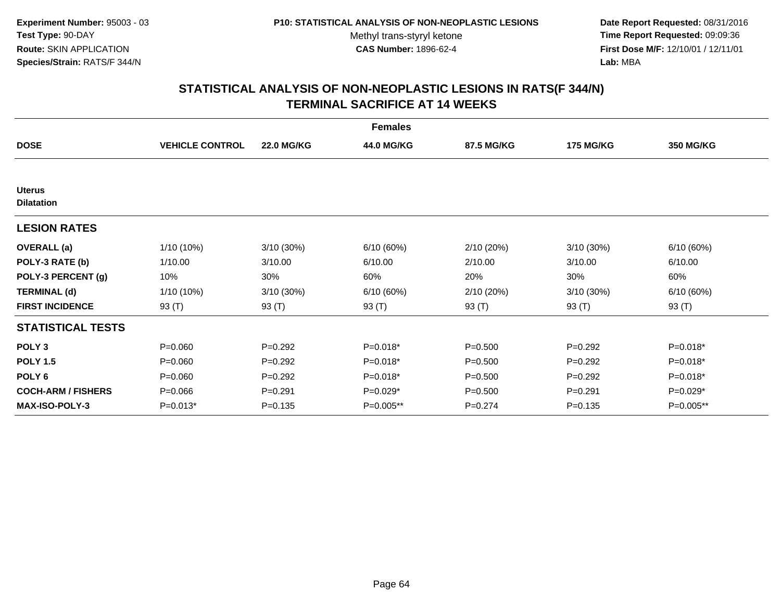**Date Report Requested:** 08/31/2016 **Time Report Requested:** 09:09:36 **First Dose M/F:** 12/10/01 / 12/11/01<br>**Lab:** MBA **Lab:** MBA

| <b>Females</b>                     |                        |                   |             |             |                  |           |
|------------------------------------|------------------------|-------------------|-------------|-------------|------------------|-----------|
| <b>DOSE</b>                        | <b>VEHICLE CONTROL</b> | <b>22.0 MG/KG</b> | 44.0 MG/KG  | 87.5 MG/KG  | <b>175 MG/KG</b> | 350 MG/KG |
|                                    |                        |                   |             |             |                  |           |
| <b>Uterus</b><br><b>Dilatation</b> |                        |                   |             |             |                  |           |
| <b>LESION RATES</b>                |                        |                   |             |             |                  |           |
| <b>OVERALL (a)</b>                 | 1/10 (10%)             | $3/10(30\%)$      | 6/10(60%)   | 2/10(20%)   | $3/10(30\%)$     | 6/10(60%) |
| POLY-3 RATE (b)                    | 1/10.00                | 3/10.00           | 6/10.00     | 2/10.00     | 3/10.00          | 6/10.00   |
| POLY-3 PERCENT (g)                 | 10%                    | 30%               | 60%         | 20%         | 30%              | 60%       |
| <b>TERMINAL (d)</b>                | 1/10 (10%)             | 3/10 (30%)        | 6/10 (60%)  | 2/10(20%)   | 3/10 (30%)       | 6/10(60%) |
| <b>FIRST INCIDENCE</b>             | 93 $(T)$               | 93 (T)            | 93 (T)      | 93 $(T)$    | 93 (T)           | 93 $(T)$  |
| <b>STATISTICAL TESTS</b>           |                        |                   |             |             |                  |           |
| POLY <sub>3</sub>                  | $P = 0.060$            | $P=0.292$         | P=0.018*    | $P = 0.500$ | $P = 0.292$      | P=0.018*  |
| <b>POLY 1.5</b>                    | $P = 0.060$            | $P=0.292$         | $P=0.018*$  | $P = 0.500$ | $P=0.292$        | P=0.018*  |
| POLY <sub>6</sub>                  | $P = 0.060$            | $P=0.292$         | P=0.018*    | $P = 0.500$ | $P=0.292$        | P=0.018*  |
| <b>COCH-ARM / FISHERS</b>          | $P = 0.066$            | $P = 0.291$       | $P=0.029*$  | $P = 0.500$ | $P = 0.291$      | P=0.029*  |
| <b>MAX-ISO-POLY-3</b>              | $P=0.013*$             | $P = 0.135$       | $P=0.005**$ | $P=0.274$   | $P = 0.135$      | P=0.005** |